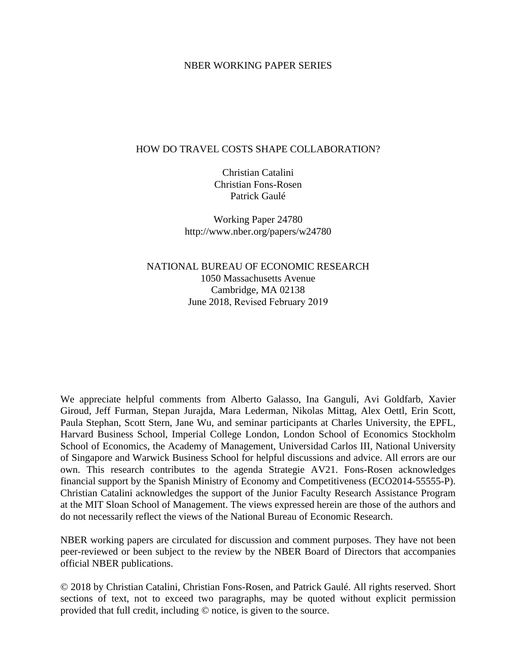#### NBER WORKING PAPER SERIES

#### HOW DO TRAVEL COSTS SHAPE COLLABORATION?

Christian Catalini Christian Fons-Rosen Patrick Gaulé

Working Paper 24780 http://www.nber.org/papers/w24780

NATIONAL BUREAU OF ECONOMIC RESEARCH 1050 Massachusetts Avenue Cambridge, MA 02138 June 2018, Revised February 2019

We appreciate helpful comments from Alberto Galasso, Ina Ganguli, Avi Goldfarb, Xavier Giroud, Jeff Furman, Stepan Jurajda, Mara Lederman, Nikolas Mittag, Alex Oettl, Erin Scott, Paula Stephan, Scott Stern, Jane Wu, and seminar participants at Charles University, the EPFL, Harvard Business School, Imperial College London, London School of Economics Stockholm School of Economics, the Academy of Management, Universidad Carlos III, National University of Singapore and Warwick Business School for helpful discussions and advice. All errors are our own. This research contributes to the agenda Strategie AV21. Fons-Rosen acknowledges financial support by the Spanish Ministry of Economy and Competitiveness (ECO2014-55555-P). Christian Catalini acknowledges the support of the Junior Faculty Research Assistance Program at the MIT Sloan School of Management. The views expressed herein are those of the authors and do not necessarily reflect the views of the National Bureau of Economic Research.

NBER working papers are circulated for discussion and comment purposes. They have not been peer-reviewed or been subject to the review by the NBER Board of Directors that accompanies official NBER publications.

© 2018 by Christian Catalini, Christian Fons-Rosen, and Patrick Gaulé. All rights reserved. Short sections of text, not to exceed two paragraphs, may be quoted without explicit permission provided that full credit, including © notice, is given to the source.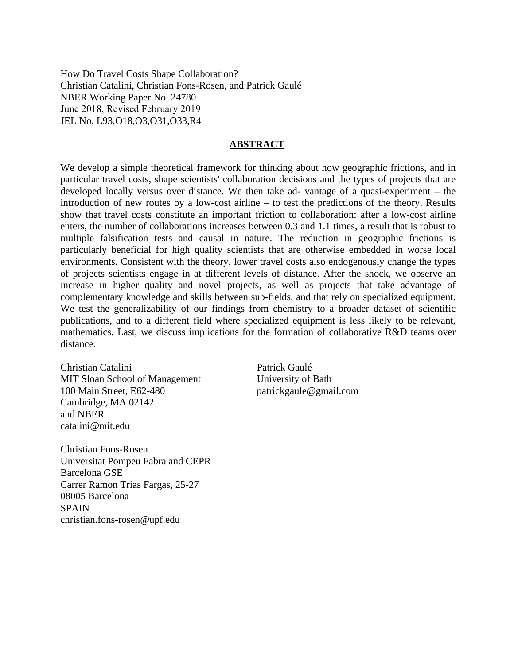How Do Travel Costs Shape Collaboration? Christian Catalini, Christian Fons-Rosen, and Patrick Gaulé NBER Working Paper No. 24780 June 2018, Revised February 2019 JEL No. L93,O18,O3,O31,O33,R4

#### **ABSTRACT**

We develop a simple theoretical framework for thinking about how geographic frictions, and in particular travel costs, shape scientists' collaboration decisions and the types of projects that are developed locally versus over distance. We then take ad- vantage of a quasi-experiment – the introduction of new routes by a low-cost airline – to test the predictions of the theory. Results show that travel costs constitute an important friction to collaboration: after a low-cost airline enters, the number of collaborations increases between 0.3 and 1.1 times, a result that is robust to multiple falsification tests and causal in nature. The reduction in geographic frictions is particularly beneficial for high quality scientists that are otherwise embedded in worse local environments. Consistent with the theory, lower travel costs also endogenously change the types of projects scientists engage in at different levels of distance. After the shock, we observe an increase in higher quality and novel projects, as well as projects that take advantage of complementary knowledge and skills between sub-fields, and that rely on specialized equipment. We test the generalizability of our findings from chemistry to a broader dataset of scientific publications, and to a different field where specialized equipment is less likely to be relevant, mathematics. Last, we discuss implications for the formation of collaborative R&D teams over distance.

Christian Catalini MIT Sloan School of Management 100 Main Street, E62-480 Cambridge, MA 02142 and NBER catalini@mit.edu

Patrick Gaulé University of Bath patrickgaule@gmail.com

Christian Fons-Rosen Universitat Pompeu Fabra and CEPR Barcelona GSE Carrer Ramon Trias Fargas, 25-27 08005 Barcelona SPAIN christian.fons-rosen@upf.edu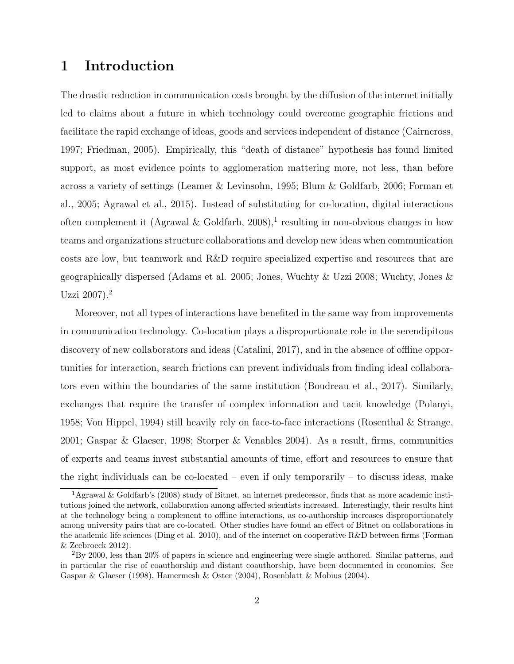# 1 Introduction

The drastic reduction in communication costs brought by the diffusion of the internet initially led to claims about a future in which technology could overcome geographic frictions and facilitate the rapid exchange of ideas, goods and services independent of distance (Cairncross, 1997; Friedman, 2005). Empirically, this "death of distance" hypothesis has found limited support, as most evidence points to agglomeration mattering more, not less, than before across a variety of settings (Leamer & Levinsohn, 1995; Blum & Goldfarb, 2006; Forman et al., 2005; Agrawal et al., 2015). Instead of substituting for co-location, digital interactions often complement it (Agrawal & Goldfarb,  $2008$ ),<sup>1</sup> resulting in non-obvious changes in how teams and organizations structure collaborations and develop new ideas when communication costs are low, but teamwork and R&D require specialized expertise and resources that are geographically dispersed (Adams et al. 2005; Jones, Wuchty & Uzzi 2008; Wuchty, Jones & Uzzi 2007).<sup>2</sup>

Moreover, not all types of interactions have benefited in the same way from improvements in communication technology. Co-location plays a disproportionate role in the serendipitous discovery of new collaborators and ideas (Catalini, 2017), and in the absence of offline opportunities for interaction, search frictions can prevent individuals from finding ideal collaborators even within the boundaries of the same institution (Boudreau et al., 2017). Similarly, exchanges that require the transfer of complex information and tacit knowledge (Polanyi, 1958; Von Hippel, 1994) still heavily rely on face-to-face interactions (Rosenthal & Strange, 2001; Gaspar & Glaeser, 1998; Storper & Venables 2004). As a result, firms, communities of experts and teams invest substantial amounts of time, effort and resources to ensure that the right individuals can be co-located – even if only temporarily – to discuss ideas, make

<sup>&</sup>lt;sup>1</sup>Agrawal & Goldfarb's (2008) study of Bitnet, an internet predecessor, finds that as more academic institutions joined the network, collaboration among affected scientists increased. Interestingly, their results hint at the technology being a complement to offline interactions, as co-authorship increases disproportionately among university pairs that are co-located. Other studies have found an effect of Bitnet on collaborations in the academic life sciences (Ding et al. 2010), and of the internet on cooperative R&D between firms (Forman & Zeebroeck 2012).

<sup>2</sup>By 2000, less than 20% of papers in science and engineering were single authored. Similar patterns, and in particular the rise of coauthorship and distant coauthorship, have been documented in economics. See Gaspar & Glaeser (1998), Hamermesh & Oster (2004), Rosenblatt & Mobius (2004).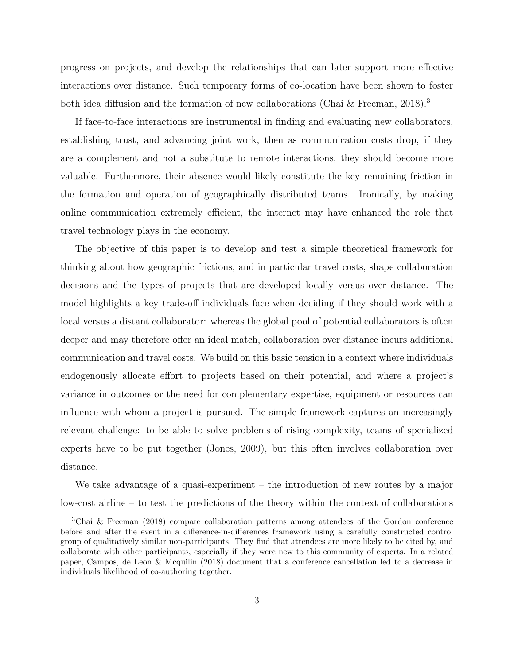progress on projects, and develop the relationships that can later support more effective interactions over distance. Such temporary forms of co-location have been shown to foster both idea diffusion and the formation of new collaborations (Chai & Freeman, 2018).<sup>3</sup>

If face-to-face interactions are instrumental in finding and evaluating new collaborators, establishing trust, and advancing joint work, then as communication costs drop, if they are a complement and not a substitute to remote interactions, they should become more valuable. Furthermore, their absence would likely constitute the key remaining friction in the formation and operation of geographically distributed teams. Ironically, by making online communication extremely efficient, the internet may have enhanced the role that travel technology plays in the economy.

The objective of this paper is to develop and test a simple theoretical framework for thinking about how geographic frictions, and in particular travel costs, shape collaboration decisions and the types of projects that are developed locally versus over distance. The model highlights a key trade-off individuals face when deciding if they should work with a local versus a distant collaborator: whereas the global pool of potential collaborators is often deeper and may therefore offer an ideal match, collaboration over distance incurs additional communication and travel costs. We build on this basic tension in a context where individuals endogenously allocate effort to projects based on their potential, and where a project's variance in outcomes or the need for complementary expertise, equipment or resources can influence with whom a project is pursued. The simple framework captures an increasingly relevant challenge: to be able to solve problems of rising complexity, teams of specialized experts have to be put together (Jones, 2009), but this often involves collaboration over distance.

We take advantage of a quasi-experiment – the introduction of new routes by a major low-cost airline – to test the predictions of the theory within the context of collaborations

<sup>3</sup>Chai & Freeman (2018) compare collaboration patterns among attendees of the Gordon conference before and after the event in a difference-in-differences framework using a carefully constructed control group of qualitatively similar non-participants. They find that attendees are more likely to be cited by, and collaborate with other participants, especially if they were new to this community of experts. In a related paper, Campos, de Leon & Mcquilin (2018) document that a conference cancellation led to a decrease in individuals likelihood of co-authoring together.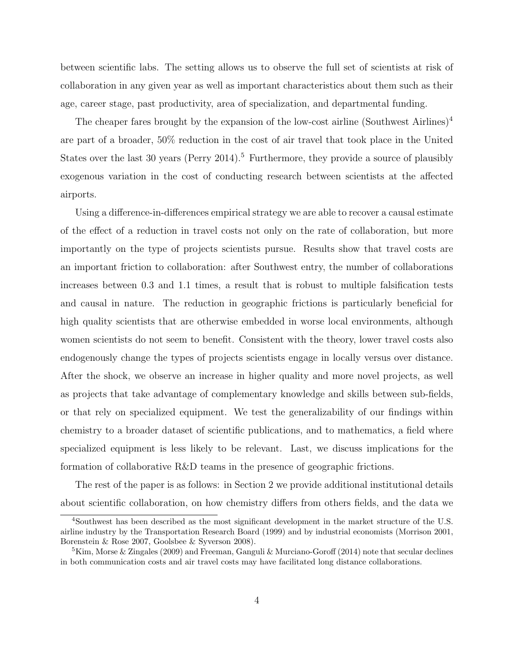between scientific labs. The setting allows us to observe the full set of scientists at risk of collaboration in any given year as well as important characteristics about them such as their age, career stage, past productivity, area of specialization, and departmental funding.

The cheaper fares brought by the expansion of the low-cost airline (Southwest Airlines)<sup>4</sup> are part of a broader, 50% reduction in the cost of air travel that took place in the United States over the last 30 years (Perry 2014).<sup>5</sup> Furthermore, they provide a source of plausibly exogenous variation in the cost of conducting research between scientists at the affected airports.

Using a difference-in-differences empirical strategy we are able to recover a causal estimate of the effect of a reduction in travel costs not only on the rate of collaboration, but more importantly on the type of projects scientists pursue. Results show that travel costs are an important friction to collaboration: after Southwest entry, the number of collaborations increases between 0.3 and 1.1 times, a result that is robust to multiple falsification tests and causal in nature. The reduction in geographic frictions is particularly beneficial for high quality scientists that are otherwise embedded in worse local environments, although women scientists do not seem to benefit. Consistent with the theory, lower travel costs also endogenously change the types of projects scientists engage in locally versus over distance. After the shock, we observe an increase in higher quality and more novel projects, as well as projects that take advantage of complementary knowledge and skills between sub-fields, or that rely on specialized equipment. We test the generalizability of our findings within chemistry to a broader dataset of scientific publications, and to mathematics, a field where specialized equipment is less likely to be relevant. Last, we discuss implications for the formation of collaborative R&D teams in the presence of geographic frictions.

The rest of the paper is as follows: in Section 2 we provide additional institutional details about scientific collaboration, on how chemistry differs from others fields, and the data we

<sup>4</sup>Southwest has been described as the most significant development in the market structure of the U.S. airline industry by the Transportation Research Board (1999) and by industrial economists (Morrison 2001, Borenstein & Rose 2007, Goolsbee & Syverson 2008).

<sup>&</sup>lt;sup>5</sup>Kim, Morse & Zingales (2009) and Freeman, Ganguli & Murciano-Goroff (2014) note that secular declines in both communication costs and air travel costs may have facilitated long distance collaborations.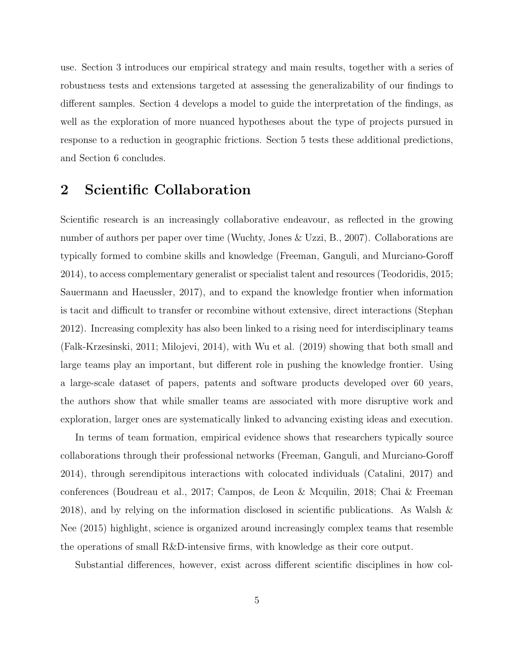use. Section 3 introduces our empirical strategy and main results, together with a series of robustness tests and extensions targeted at assessing the generalizability of our findings to different samples. Section 4 develops a model to guide the interpretation of the findings, as well as the exploration of more nuanced hypotheses about the type of projects pursued in response to a reduction in geographic frictions. Section 5 tests these additional predictions, and Section 6 concludes.

# 2 Scientific Collaboration

Scientific research is an increasingly collaborative endeavour, as reflected in the growing number of authors per paper over time (Wuchty, Jones & Uzzi, B., 2007). Collaborations are typically formed to combine skills and knowledge (Freeman, Ganguli, and Murciano-Goroff 2014), to access complementary generalist or specialist talent and resources (Teodoridis, 2015; Sauermann and Haeussler, 2017), and to expand the knowledge frontier when information is tacit and difficult to transfer or recombine without extensive, direct interactions (Stephan 2012). Increasing complexity has also been linked to a rising need for interdisciplinary teams (Falk-Krzesinski, 2011; Milojevi, 2014), with Wu et al. (2019) showing that both small and large teams play an important, but different role in pushing the knowledge frontier. Using a large-scale dataset of papers, patents and software products developed over 60 years, the authors show that while smaller teams are associated with more disruptive work and exploration, larger ones are systematically linked to advancing existing ideas and execution.

In terms of team formation, empirical evidence shows that researchers typically source collaborations through their professional networks (Freeman, Ganguli, and Murciano-Goroff 2014), through serendipitous interactions with colocated individuals (Catalini, 2017) and conferences (Boudreau et al., 2017; Campos, de Leon & Mcquilin, 2018; Chai & Freeman 2018), and by relying on the information disclosed in scientific publications. As Walsh & Nee (2015) highlight, science is organized around increasingly complex teams that resemble the operations of small R&D-intensive firms, with knowledge as their core output.

Substantial differences, however, exist across different scientific disciplines in how col-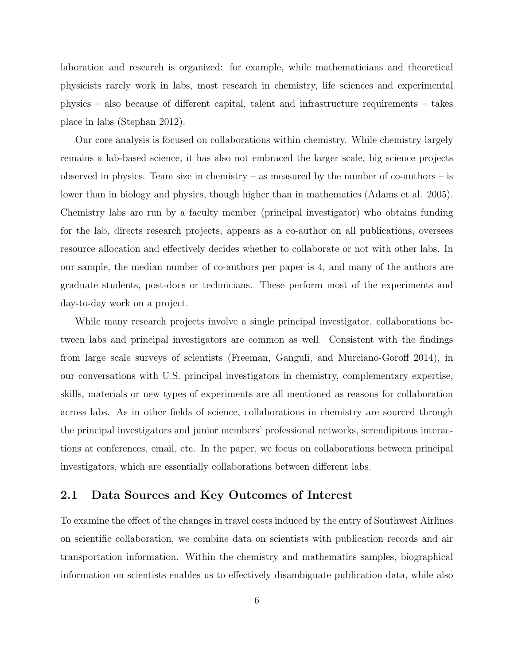laboration and research is organized: for example, while mathematicians and theoretical physicists rarely work in labs, most research in chemistry, life sciences and experimental physics – also because of different capital, talent and infrastructure requirements – takes place in labs (Stephan 2012).

Our core analysis is focused on collaborations within chemistry. While chemistry largely remains a lab-based science, it has also not embraced the larger scale, big science projects observed in physics. Team size in chemistry – as measured by the number of co-authors – is lower than in biology and physics, though higher than in mathematics (Adams et al. 2005). Chemistry labs are run by a faculty member (principal investigator) who obtains funding for the lab, directs research projects, appears as a co-author on all publications, oversees resource allocation and effectively decides whether to collaborate or not with other labs. In our sample, the median number of co-authors per paper is 4, and many of the authors are graduate students, post-docs or technicians. These perform most of the experiments and day-to-day work on a project.

While many research projects involve a single principal investigator, collaborations between labs and principal investigators are common as well. Consistent with the findings from large scale surveys of scientists (Freeman, Ganguli, and Murciano-Goroff 2014), in our conversations with U.S. principal investigators in chemistry, complementary expertise, skills, materials or new types of experiments are all mentioned as reasons for collaboration across labs. As in other fields of science, collaborations in chemistry are sourced through the principal investigators and junior members' professional networks, serendipitous interactions at conferences, email, etc. In the paper, we focus on collaborations between principal investigators, which are essentially collaborations between different labs.

## 2.1 Data Sources and Key Outcomes of Interest

To examine the effect of the changes in travel costs induced by the entry of Southwest Airlines on scientific collaboration, we combine data on scientists with publication records and air transportation information. Within the chemistry and mathematics samples, biographical information on scientists enables us to effectively disambiguate publication data, while also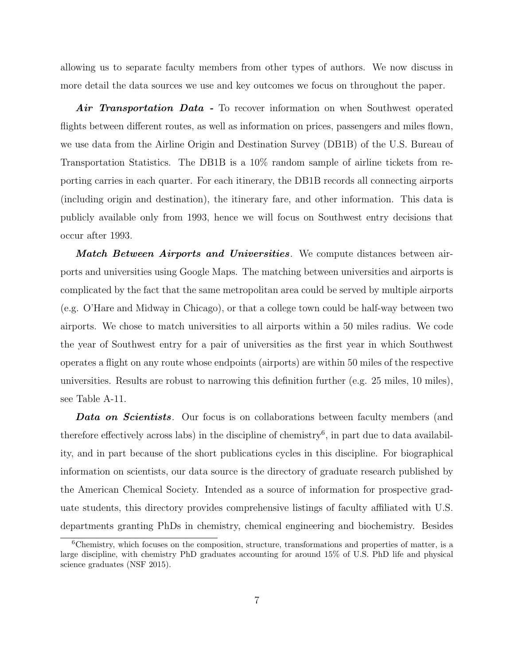allowing us to separate faculty members from other types of authors. We now discuss in more detail the data sources we use and key outcomes we focus on throughout the paper.

Air Transportation Data - To recover information on when Southwest operated flights between different routes, as well as information on prices, passengers and miles flown, we use data from the Airline Origin and Destination Survey (DB1B) of the U.S. Bureau of Transportation Statistics. The DB1B is a 10% random sample of airline tickets from reporting carries in each quarter. For each itinerary, the DB1B records all connecting airports (including origin and destination), the itinerary fare, and other information. This data is publicly available only from 1993, hence we will focus on Southwest entry decisions that occur after 1993.

**Match Between Airports and Universities.** We compute distances between airports and universities using Google Maps. The matching between universities and airports is complicated by the fact that the same metropolitan area could be served by multiple airports (e.g. O'Hare and Midway in Chicago), or that a college town could be half-way between two airports. We chose to match universities to all airports within a 50 miles radius. We code the year of Southwest entry for a pair of universities as the first year in which Southwest operates a flight on any route whose endpoints (airports) are within 50 miles of the respective universities. Results are robust to narrowing this definition further (e.g. 25 miles, 10 miles), see Table A-11.

**Data on Scientists**. Our focus is on collaborations between faculty members (and therefore effectively across labs) in the discipline of chemistry<sup>6</sup>, in part due to data availability, and in part because of the short publications cycles in this discipline. For biographical information on scientists, our data source is the directory of graduate research published by the American Chemical Society. Intended as a source of information for prospective graduate students, this directory provides comprehensive listings of faculty affiliated with U.S. departments granting PhDs in chemistry, chemical engineering and biochemistry. Besides

 $6$ Chemistry, which focuses on the composition, structure, transformations and properties of matter, is a large discipline, with chemistry PhD graduates accounting for around 15% of U.S. PhD life and physical science graduates (NSF 2015).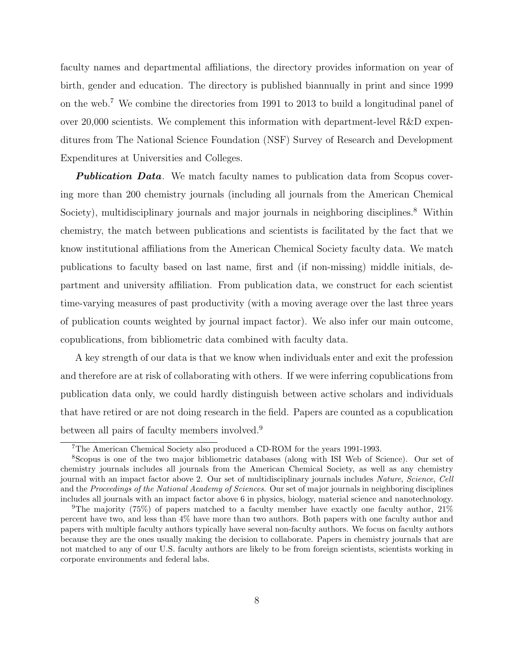faculty names and departmental affiliations, the directory provides information on year of birth, gender and education. The directory is published biannually in print and since 1999 on the web.<sup>7</sup> We combine the directories from 1991 to 2013 to build a longitudinal panel of over 20,000 scientists. We complement this information with department-level R&D expenditures from The National Science Foundation (NSF) Survey of Research and Development Expenditures at Universities and Colleges.

**Publication Data**. We match faculty names to publication data from Scopus covering more than 200 chemistry journals (including all journals from the American Chemical Society), multidisciplinary journals and major journals in neighboring disciplines.<sup>8</sup> Within chemistry, the match between publications and scientists is facilitated by the fact that we know institutional affiliations from the American Chemical Society faculty data. We match publications to faculty based on last name, first and (if non-missing) middle initials, department and university affiliation. From publication data, we construct for each scientist time-varying measures of past productivity (with a moving average over the last three years of publication counts weighted by journal impact factor). We also infer our main outcome, copublications, from bibliometric data combined with faculty data.

A key strength of our data is that we know when individuals enter and exit the profession and therefore are at risk of collaborating with others. If we were inferring copublications from publication data only, we could hardly distinguish between active scholars and individuals that have retired or are not doing research in the field. Papers are counted as a copublication between all pairs of faculty members involved.<sup>9</sup>

<sup>7</sup>The American Chemical Society also produced a CD-ROM for the years 1991-1993.

<sup>8</sup>Scopus is one of the two major bibliometric databases (along with ISI Web of Science). Our set of chemistry journals includes all journals from the American Chemical Society, as well as any chemistry journal with an impact factor above 2. Our set of multidisciplinary journals includes Nature, Science, Cell and the Proceedings of the National Academy of Sciences. Our set of major journals in neighboring disciplines includes all journals with an impact factor above 6 in physics, biology, material science and nanotechnology.

<sup>&</sup>lt;sup>9</sup>The majority (75%) of papers matched to a faculty member have exactly one faculty author,  $21\%$ percent have two, and less than 4% have more than two authors. Both papers with one faculty author and papers with multiple faculty authors typically have several non-faculty authors. We focus on faculty authors because they are the ones usually making the decision to collaborate. Papers in chemistry journals that are not matched to any of our U.S. faculty authors are likely to be from foreign scientists, scientists working in corporate environments and federal labs.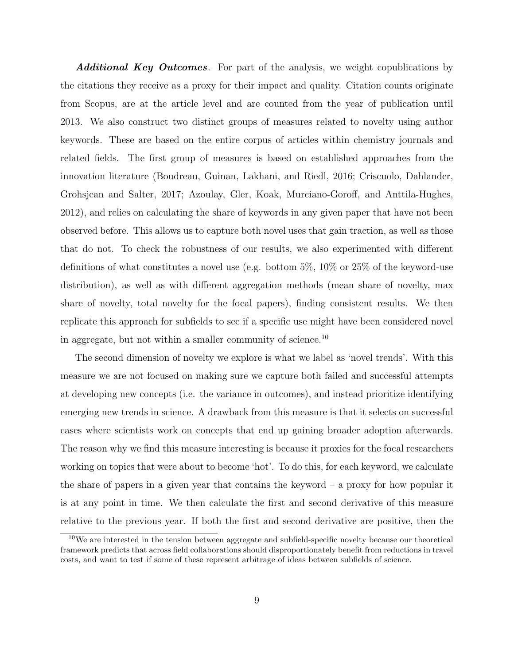**Additional Key Outcomes**. For part of the analysis, we weight copublications by the citations they receive as a proxy for their impact and quality. Citation counts originate from Scopus, are at the article level and are counted from the year of publication until 2013. We also construct two distinct groups of measures related to novelty using author keywords. These are based on the entire corpus of articles within chemistry journals and related fields. The first group of measures is based on established approaches from the innovation literature (Boudreau, Guinan, Lakhani, and Riedl, 2016; Criscuolo, Dahlander, Grohsjean and Salter, 2017; Azoulay, Gler, Koak, Murciano-Goroff, and Anttila-Hughes, 2012), and relies on calculating the share of keywords in any given paper that have not been observed before. This allows us to capture both novel uses that gain traction, as well as those that do not. To check the robustness of our results, we also experimented with different definitions of what constitutes a novel use (e.g. bottom 5%, 10% or 25% of the keyword-use distribution), as well as with different aggregation methods (mean share of novelty, max share of novelty, total novelty for the focal papers), finding consistent results. We then replicate this approach for subfields to see if a specific use might have been considered novel in aggregate, but not within a smaller community of science.<sup>10</sup>

The second dimension of novelty we explore is what we label as 'novel trends'. With this measure we are not focused on making sure we capture both failed and successful attempts at developing new concepts (i.e. the variance in outcomes), and instead prioritize identifying emerging new trends in science. A drawback from this measure is that it selects on successful cases where scientists work on concepts that end up gaining broader adoption afterwards. The reason why we find this measure interesting is because it proxies for the focal researchers working on topics that were about to become 'hot'. To do this, for each keyword, we calculate the share of papers in a given year that contains the keyword  $-$  a proxy for how popular it is at any point in time. We then calculate the first and second derivative of this measure relative to the previous year. If both the first and second derivative are positive, then the

 $10$ We are interested in the tension between aggregate and subfield-specific novelty because our theoretical framework predicts that across field collaborations should disproportionately benefit from reductions in travel costs, and want to test if some of these represent arbitrage of ideas between subfields of science.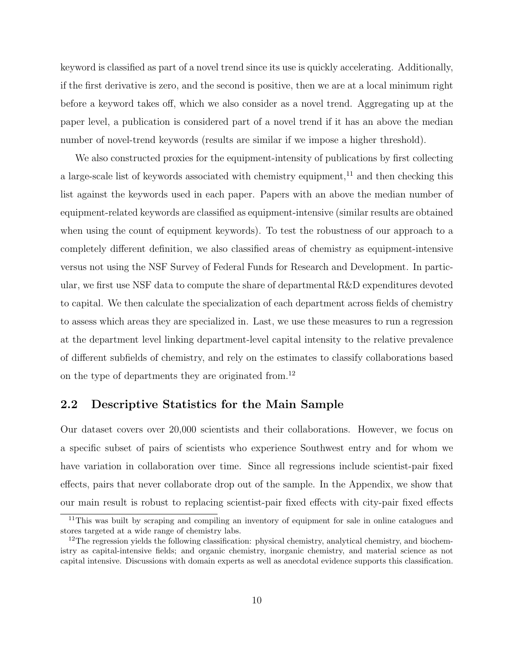keyword is classified as part of a novel trend since its use is quickly accelerating. Additionally, if the first derivative is zero, and the second is positive, then we are at a local minimum right before a keyword takes off, which we also consider as a novel trend. Aggregating up at the paper level, a publication is considered part of a novel trend if it has an above the median number of novel-trend keywords (results are similar if we impose a higher threshold).

We also constructed proxies for the equipment-intensity of publications by first collecting a large-scale list of keywords associated with chemistry equipment,<sup>11</sup> and then checking this list against the keywords used in each paper. Papers with an above the median number of equipment-related keywords are classified as equipment-intensive (similar results are obtained when using the count of equipment keywords). To test the robustness of our approach to a completely different definition, we also classified areas of chemistry as equipment-intensive versus not using the NSF Survey of Federal Funds for Research and Development. In particular, we first use NSF data to compute the share of departmental R&D expenditures devoted to capital. We then calculate the specialization of each department across fields of chemistry to assess which areas they are specialized in. Last, we use these measures to run a regression at the department level linking department-level capital intensity to the relative prevalence of different subfields of chemistry, and rely on the estimates to classify collaborations based on the type of departments they are originated from.<sup>12</sup>

## 2.2 Descriptive Statistics for the Main Sample

Our dataset covers over 20,000 scientists and their collaborations. However, we focus on a specific subset of pairs of scientists who experience Southwest entry and for whom we have variation in collaboration over time. Since all regressions include scientist-pair fixed effects, pairs that never collaborate drop out of the sample. In the Appendix, we show that our main result is robust to replacing scientist-pair fixed effects with city-pair fixed effects

<sup>&</sup>lt;sup>11</sup>This was built by scraping and compiling an inventory of equipment for sale in online catalogues and stores targeted at a wide range of chemistry labs.

<sup>&</sup>lt;sup>12</sup>The regression yields the following classification: physical chemistry, analytical chemistry, and biochemistry as capital-intensive fields; and organic chemistry, inorganic chemistry, and material science as not capital intensive. Discussions with domain experts as well as anecdotal evidence supports this classification.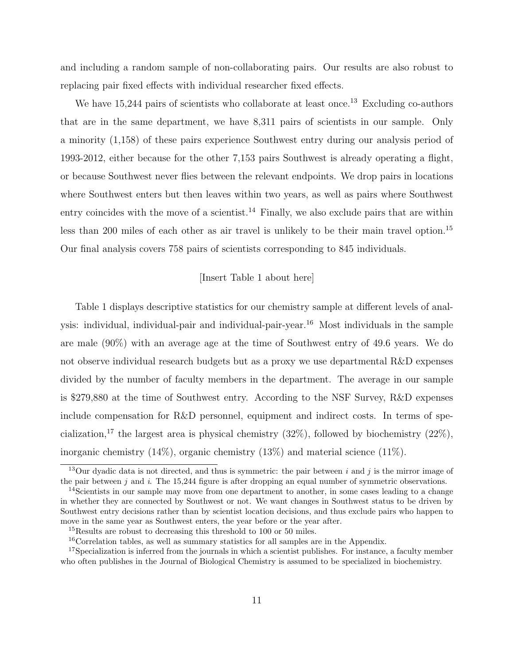and including a random sample of non-collaborating pairs. Our results are also robust to replacing pair fixed effects with individual researcher fixed effects.

We have  $15,244$  pairs of scientists who collaborate at least once.<sup>13</sup> Excluding co-authors that are in the same department, we have 8,311 pairs of scientists in our sample. Only a minority (1,158) of these pairs experience Southwest entry during our analysis period of 1993-2012, either because for the other 7,153 pairs Southwest is already operating a flight, or because Southwest never flies between the relevant endpoints. We drop pairs in locations where Southwest enters but then leaves within two years, as well as pairs where Southwest entry coincides with the move of a scientist.<sup>14</sup> Finally, we also exclude pairs that are within less than 200 miles of each other as air travel is unlikely to be their main travel option.<sup>15</sup> Our final analysis covers 758 pairs of scientists corresponding to 845 individuals.

#### [Insert Table 1 about here]

Table 1 displays descriptive statistics for our chemistry sample at different levels of analysis: individual, individual-pair and individual-pair-year.<sup>16</sup> Most individuals in the sample are male (90%) with an average age at the time of Southwest entry of 49.6 years. We do not observe individual research budgets but as a proxy we use departmental R&D expenses divided by the number of faculty members in the department. The average in our sample is \$279,880 at the time of Southwest entry. According to the NSF Survey, R&D expenses include compensation for R&D personnel, equipment and indirect costs. In terms of specialization,<sup>17</sup> the largest area is physical chemistry  $(32\%)$ , followed by biochemistry  $(22\%)$ . inorganic chemistry  $(14\%)$ , organic chemistry  $(13\%)$  and material science  $(11\%)$ .

<sup>&</sup>lt;sup>13</sup>Our dyadic data is not directed, and thus is symmetric: the pair between i and j is the mirror image of the pair between  $j$  and  $i$ . The 15,244 figure is after dropping an equal number of symmetric observations.

<sup>&</sup>lt;sup>14</sup>Scientists in our sample may move from one department to another, in some cases leading to a change in whether they are connected by Southwest or not. We want changes in Southwest status to be driven by Southwest entry decisions rather than by scientist location decisions, and thus exclude pairs who happen to move in the same year as Southwest enters, the year before or the year after.

<sup>&</sup>lt;sup>15</sup>Results are robust to decreasing this threshold to 100 or 50 miles.

<sup>&</sup>lt;sup>16</sup>Correlation tables, as well as summary statistics for all samples are in the Appendix.

<sup>&</sup>lt;sup>17</sup>Specialization is inferred from the journals in which a scientist publishes. For instance, a faculty member who often publishes in the Journal of Biological Chemistry is assumed to be specialized in biochemistry.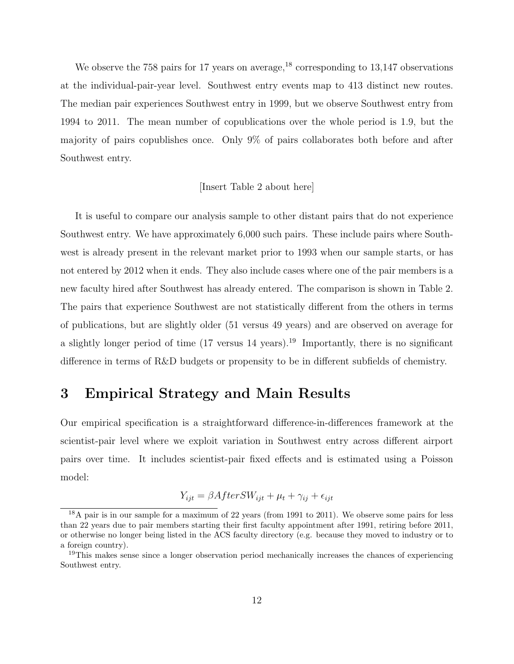We observe the 758 pairs for 17 years on average,  $^{18}$  corresponding to 13,147 observations at the individual-pair-year level. Southwest entry events map to 413 distinct new routes. The median pair experiences Southwest entry in 1999, but we observe Southwest entry from 1994 to 2011. The mean number of copublications over the whole period is 1.9, but the majority of pairs copublishes once. Only 9% of pairs collaborates both before and after Southwest entry.

#### [Insert Table 2 about here]

It is useful to compare our analysis sample to other distant pairs that do not experience Southwest entry. We have approximately 6,000 such pairs. These include pairs where Southwest is already present in the relevant market prior to 1993 when our sample starts, or has not entered by 2012 when it ends. They also include cases where one of the pair members is a new faculty hired after Southwest has already entered. The comparison is shown in Table 2. The pairs that experience Southwest are not statistically different from the others in terms of publications, but are slightly older (51 versus 49 years) and are observed on average for a slightly longer period of time  $(17 \text{ versus } 14 \text{ years})$ .<sup>19</sup> Importantly, there is no significant difference in terms of R&D budgets or propensity to be in different subfields of chemistry.

# 3 Empirical Strategy and Main Results

Our empirical specification is a straightforward difference-in-differences framework at the scientist-pair level where we exploit variation in Southwest entry across different airport pairs over time. It includes scientist-pair fixed effects and is estimated using a Poisson model:

$$
Y_{ijt} = \beta AfterSW_{ijt} + \mu_t + \gamma_{ij} + \epsilon_{ijt}
$$

<sup>&</sup>lt;sup>18</sup>A pair is in our sample for a maximum of 22 years (from 1991 to 2011). We observe some pairs for less than 22 years due to pair members starting their first faculty appointment after 1991, retiring before 2011, or otherwise no longer being listed in the ACS faculty directory (e.g. because they moved to industry or to a foreign country).

<sup>&</sup>lt;sup>19</sup>This makes sense since a longer observation period mechanically increases the chances of experiencing Southwest entry.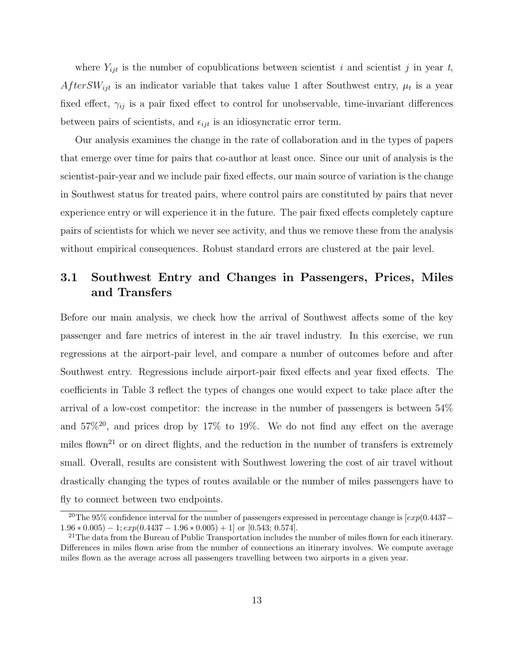where  $Y_{ijt}$  is the number of copublications between scientist i and scientist j in year t, After SW<sub>ijt</sub> is an indicator variable that takes value 1 after Southwest entry,  $\mu_t$  is a year fixed effect,  $\gamma_{ij}$  is a pair fixed effect to control for unobservable, time-invariant differences between pairs of scientists, and  $\epsilon_{ijt}$  is an idiosyncratic error term.

Our analysis examines the change in the rate of collaboration and in the types of papers that emerge over time for pairs that co-author at least once. Since our unit of analysis is the scientist-pair-year and we include pair fixed effects, our main source of variation is the change in Southwest status for treated pairs, where control pairs are constituted by pairs that never experience entry or will experience it in the future. The pair fixed effects completely capture pairs of scientists for which we never see activity, and thus we remove these from the analysis without empirical consequences. Robust standard errors are clustered at the pair level.

## 3.1 Southwest Entry and Changes in Passengers, Prices, Miles and Transfers

Before our main analysis, we check how the arrival of Southwest affects some of the key passenger and fare metrics of interest in the air travel industry. In this exercise, we run regressions at the airport-pair level, and compare a number of outcomes before and after Southwest entry. Regressions include airport-pair fixed effects and year fixed effects. The coefficients in Table 3 reflect the types of changes one would expect to take place after the arrival of a low-cost competitor: the increase in the number of passengers is between 54% and  $57\%^{20}$ , and prices drop by  $17\%$  to  $19\%$ . We do not find any effect on the average miles flown<sup>21</sup> or on direct flights, and the reduction in the number of transfers is extremely small. Overall, results are consistent with Southwest lowering the cost of air travel without drastically changing the types of routes available or the number of miles passengers have to fly to connect between two endpoints.

<sup>&</sup>lt;sup>20</sup>The 95% confidence interval for the number of passengers expressed in percentage change is  $[exp(0.4437−10.0437)]$  $1.96 * 0.005$  – 1;  $exp(0.4437 - 1.96 * 0.005) + 1$  or  $[0.543; 0.574]$ .

 $^{21}$ The data from the Bureau of Public Transportation includes the number of miles flown for each itinerary. Differences in miles flown arise from the number of connections an itinerary involves. We compute average miles flown as the average across all passengers travelling between two airports in a given year.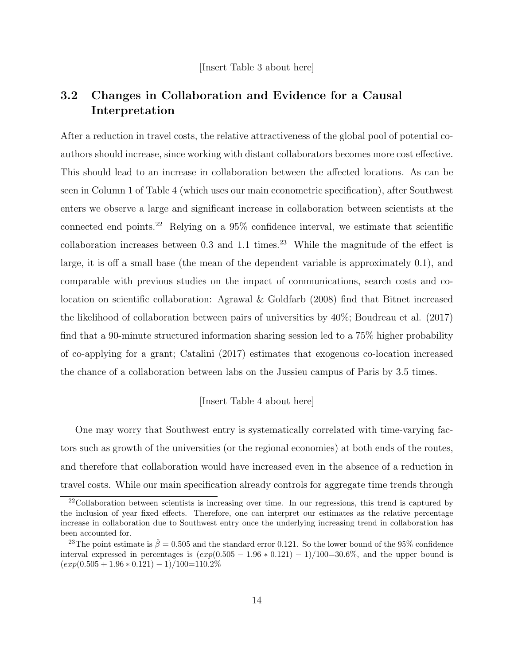[Insert Table 3 about here]

# 3.2 Changes in Collaboration and Evidence for a Causal Interpretation

After a reduction in travel costs, the relative attractiveness of the global pool of potential coauthors should increase, since working with distant collaborators becomes more cost effective. This should lead to an increase in collaboration between the affected locations. As can be seen in Column 1 of Table 4 (which uses our main econometric specification), after Southwest enters we observe a large and significant increase in collaboration between scientists at the connected end points.<sup>22</sup> Relying on a  $95\%$  confidence interval, we estimate that scientific collaboration increases between  $0.3$  and  $1.1$  times.<sup>23</sup> While the magnitude of the effect is large, it is off a small base (the mean of the dependent variable is approximately 0.1), and comparable with previous studies on the impact of communications, search costs and colocation on scientific collaboration: Agrawal & Goldfarb (2008) find that Bitnet increased the likelihood of collaboration between pairs of universities by 40%; Boudreau et al. (2017) find that a 90-minute structured information sharing session led to a 75% higher probability of co-applying for a grant; Catalini (2017) estimates that exogenous co-location increased the chance of a collaboration between labs on the Jussieu campus of Paris by 3.5 times.

#### [Insert Table 4 about here]

One may worry that Southwest entry is systematically correlated with time-varying factors such as growth of the universities (or the regional economies) at both ends of the routes, and therefore that collaboration would have increased even in the absence of a reduction in travel costs. While our main specification already controls for aggregate time trends through

<sup>&</sup>lt;sup>22</sup>Collaboration between scientists is increasing over time. In our regressions, this trend is captured by the inclusion of year fixed effects. Therefore, one can interpret our estimates as the relative percentage increase in collaboration due to Southwest entry once the underlying increasing trend in collaboration has been accounted for.

<sup>&</sup>lt;sup>23</sup>The point estimate is  $\hat{\beta} = 0.505$  and the standard error 0.121. So the lower bound of the 95% confidence interval expressed in percentages is  $(exp(0.505 - 1.96 * 0.121) - 1)/100=30.6\%$ , and the upper bound is  $(exp(0.505 + 1.96 * 0.121) - 1)/100=110.2\%$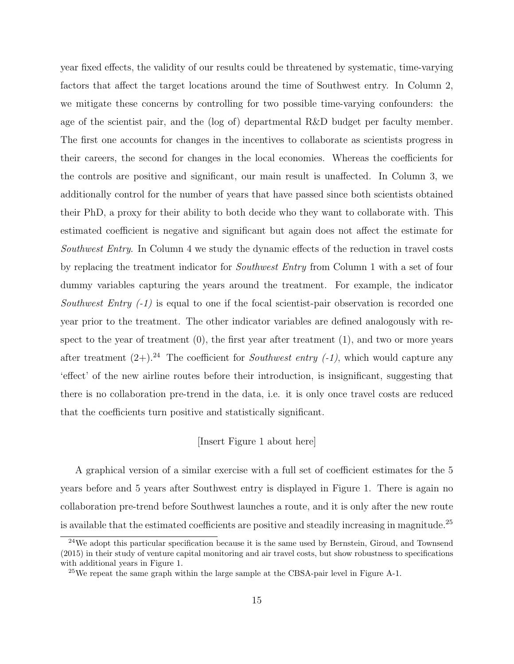year fixed effects, the validity of our results could be threatened by systematic, time-varying factors that affect the target locations around the time of Southwest entry. In Column 2, we mitigate these concerns by controlling for two possible time-varying confounders: the age of the scientist pair, and the (log of) departmental R&D budget per faculty member. The first one accounts for changes in the incentives to collaborate as scientists progress in their careers, the second for changes in the local economies. Whereas the coefficients for the controls are positive and significant, our main result is unaffected. In Column 3, we additionally control for the number of years that have passed since both scientists obtained their PhD, a proxy for their ability to both decide who they want to collaborate with. This estimated coefficient is negative and significant but again does not affect the estimate for Southwest Entry. In Column 4 we study the dynamic effects of the reduction in travel costs by replacing the treatment indicator for Southwest Entry from Column 1 with a set of four dummy variables capturing the years around the treatment. For example, the indicator Southwest Entry  $(-1)$  is equal to one if the focal scientist-pair observation is recorded one year prior to the treatment. The other indicator variables are defined analogously with respect to the year of treatment  $(0)$ , the first year after treatment  $(1)$ , and two or more years after treatment  $(2+)$ .<sup>24</sup> The coefficient for *Southwest entry (-1)*, which would capture any 'effect' of the new airline routes before their introduction, is insignificant, suggesting that there is no collaboration pre-trend in the data, i.e. it is only once travel costs are reduced that the coefficients turn positive and statistically significant.

#### [Insert Figure 1 about here]

A graphical version of a similar exercise with a full set of coefficient estimates for the 5 years before and 5 years after Southwest entry is displayed in Figure 1. There is again no collaboration pre-trend before Southwest launches a route, and it is only after the new route is available that the estimated coefficients are positive and steadily increasing in magnitude.<sup>25</sup>

 $24$ We adopt this particular specification because it is the same used by Bernstein, Giroud, and Townsend (2015) in their study of venture capital monitoring and air travel costs, but show robustness to specifications with additional years in Figure 1.

<sup>&</sup>lt;sup>25</sup>We repeat the same graph within the large sample at the CBSA-pair level in Figure A-1.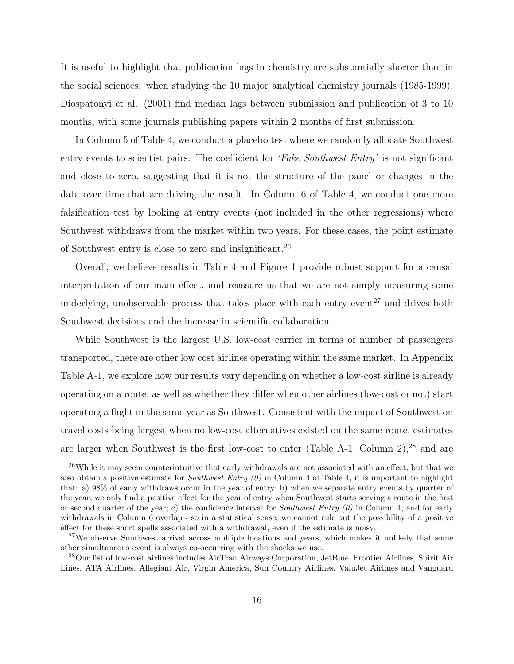It is useful to highlight that publication lags in chemistry are substantially shorter than in the social sciences: when studying the 10 major analytical chemistry journals (1985-1999), Diospatonyi et al. (2001) find median lags between submission and publication of 3 to 10 months, with some journals publishing papers within 2 months of first submission.

In Column 5 of Table 4, we conduct a placebo test where we randomly allocate Southwest entry events to scientist pairs. The coefficient for 'Fake Southwest Entry' is not significant and close to zero, suggesting that it is not the structure of the panel or changes in the data over time that are driving the result. In Column 6 of Table 4, we conduct one more falsification test by looking at entry events (not included in the other regressions) where Southwest withdraws from the market within two years. For these cases, the point estimate of Southwest entry is close to zero and insignificant.<sup>26</sup>

Overall, we believe results in Table 4 and Figure 1 provide robust support for a causal interpretation of our main effect, and reassure us that we are not simply measuring some underlying, unobservable process that takes place with each entry event<sup>27</sup> and drives both Southwest decisions and the increase in scientific collaboration.

While Southwest is the largest U.S. low-cost carrier in terms of number of passengers transported, there are other low cost airlines operating within the same market. In Appendix Table A-1, we explore how our results vary depending on whether a low-cost airline is already operating on a route, as well as whether they differ when other airlines (low-cost or not) start operating a flight in the same year as Southwest. Consistent with the impact of Southwest on travel costs being largest when no low-cost alternatives existed on the same route, estimates are larger when Southwest is the first low-cost to enter (Table A-1, Column  $2$ ),<sup>28</sup> and are

<sup>&</sup>lt;sup>26</sup>While it may seem counterintuitive that early withdrawals are not associated with an effect, but that we also obtain a positive estimate for *Southwest Entry*  $(0)$  in Column 4 of Table 4, it is important to highlight that: a) 98% of early withdraws occur in the year of entry; b) when we separate entry events by quarter of the year, we only find a positive effect for the year of entry when Southwest starts serving a route in the first or second quarter of the year; c) the confidence interval for *Southwest Entry*  $(0)$  in Column 4, and for early withdrawals in Column 6 overlap - so in a statistical sense, we cannot rule out the possibility of a positive effect for these short spells associated with a withdrawal, even if the estimate is noisy.

<sup>&</sup>lt;sup>27</sup>We observe Southwest arrival across multiple locations and years, which makes it unlikely that some other simultaneous event is always co-occurring with the shocks we use.

<sup>28</sup>Our list of low-cost airlines includes AirTran Airways Corporation, JetBlue, Frontier Airlines, Spirit Air Lines, ATA Airlines, Allegiant Air, Virgin America, Sun Country Airlines, ValuJet Airlines and Vanguard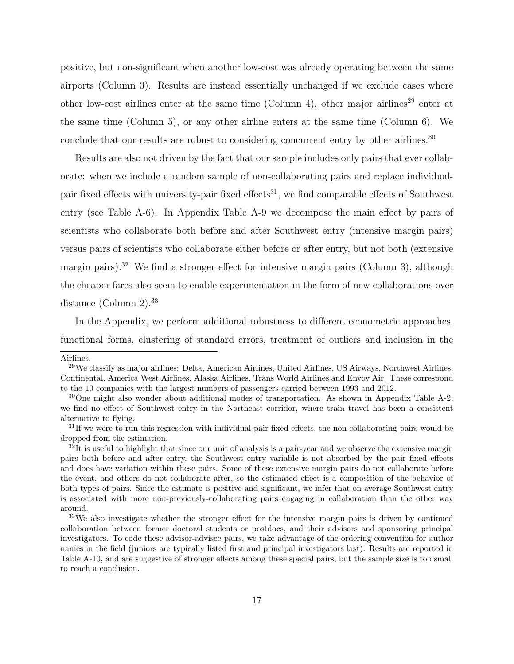positive, but non-significant when another low-cost was already operating between the same airports (Column 3). Results are instead essentially unchanged if we exclude cases where other low-cost airlines enter at the same time (Column 4), other major airlines<sup>29</sup> enter at the same time (Column 5), or any other airline enters at the same time (Column 6). We conclude that our results are robust to considering concurrent entry by other airlines.<sup>30</sup>

Results are also not driven by the fact that our sample includes only pairs that ever collaborate: when we include a random sample of non-collaborating pairs and replace individualpair fixed effects with university-pair fixed effects<sup>31</sup>, we find comparable effects of Southwest entry (see Table A-6). In Appendix Table A-9 we decompose the main effect by pairs of scientists who collaborate both before and after Southwest entry (intensive margin pairs) versus pairs of scientists who collaborate either before or after entry, but not both (extensive margin pairs).<sup>32</sup> We find a stronger effect for intensive margin pairs (Column 3), although the cheaper fares also seem to enable experimentation in the form of new collaborations over distance (Column 2).<sup>33</sup>

In the Appendix, we perform additional robustness to different econometric approaches, functional forms, clustering of standard errors, treatment of outliers and inclusion in the

Airlines.

<sup>&</sup>lt;sup>29</sup>We classify as major airlines: Delta, American Airlines, United Airlines, US Airways, Northwest Airlines, Continental, America West Airlines, Alaska Airlines, Trans World Airlines and Envoy Air. These correspond to the 10 companies with the largest numbers of passengers carried between 1993 and 2012.

<sup>30</sup>One might also wonder about additional modes of transportation. As shown in Appendix Table A-2, we find no effect of Southwest entry in the Northeast corridor, where train travel has been a consistent alternative to flying.

 $31$ If we were to run this regression with individual-pair fixed effects, the non-collaborating pairs would be dropped from the estimation.

 $32$ It is useful to highlight that since our unit of analysis is a pair-year and we observe the extensive margin pairs both before and after entry, the Southwest entry variable is not absorbed by the pair fixed effects and does have variation within these pairs. Some of these extensive margin pairs do not collaborate before the event, and others do not collaborate after, so the estimated effect is a composition of the behavior of both types of pairs. Since the estimate is positive and significant, we infer that on average Southwest entry is associated with more non-previously-collaborating pairs engaging in collaboration than the other way around.

<sup>33</sup>We also investigate whether the stronger effect for the intensive margin pairs is driven by continued collaboration between former doctoral students or postdocs, and their advisors and sponsoring principal investigators. To code these advisor-advisee pairs, we take advantage of the ordering convention for author names in the field (juniors are typically listed first and principal investigators last). Results are reported in Table A-10, and are suggestive of stronger effects among these special pairs, but the sample size is too small to reach a conclusion.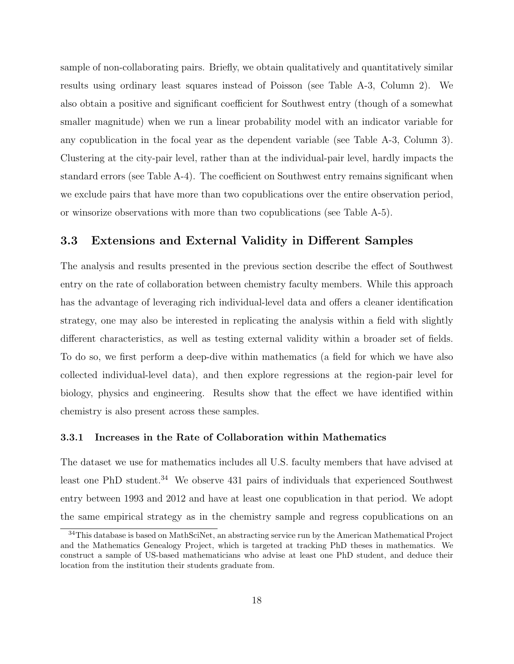sample of non-collaborating pairs. Briefly, we obtain qualitatively and quantitatively similar results using ordinary least squares instead of Poisson (see Table A-3, Column 2). We also obtain a positive and significant coefficient for Southwest entry (though of a somewhat smaller magnitude) when we run a linear probability model with an indicator variable for any copublication in the focal year as the dependent variable (see Table A-3, Column 3). Clustering at the city-pair level, rather than at the individual-pair level, hardly impacts the standard errors (see Table A-4). The coefficient on Southwest entry remains significant when we exclude pairs that have more than two copublications over the entire observation period, or winsorize observations with more than two copublications (see Table A-5).

## 3.3 Extensions and External Validity in Different Samples

The analysis and results presented in the previous section describe the effect of Southwest entry on the rate of collaboration between chemistry faculty members. While this approach has the advantage of leveraging rich individual-level data and offers a cleaner identification strategy, one may also be interested in replicating the analysis within a field with slightly different characteristics, as well as testing external validity within a broader set of fields. To do so, we first perform a deep-dive within mathematics (a field for which we have also collected individual-level data), and then explore regressions at the region-pair level for biology, physics and engineering. Results show that the effect we have identified within chemistry is also present across these samples.

#### 3.3.1 Increases in the Rate of Collaboration within Mathematics

The dataset we use for mathematics includes all U.S. faculty members that have advised at least one PhD student.<sup>34</sup> We observe 431 pairs of individuals that experienced Southwest entry between 1993 and 2012 and have at least one copublication in that period. We adopt the same empirical strategy as in the chemistry sample and regress copublications on an

<sup>34</sup>This database is based on MathSciNet, an abstracting service run by the American Mathematical Project and the Mathematics Genealogy Project, which is targeted at tracking PhD theses in mathematics. We construct a sample of US-based mathematicians who advise at least one PhD student, and deduce their location from the institution their students graduate from.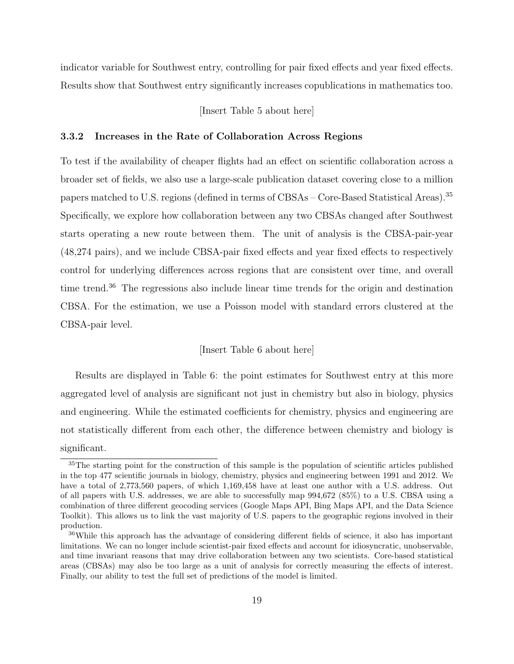indicator variable for Southwest entry, controlling for pair fixed effects and year fixed effects. Results show that Southwest entry significantly increases copublications in mathematics too.

#### [Insert Table 5 about here]

#### 3.3.2 Increases in the Rate of Collaboration Across Regions

To test if the availability of cheaper flights had an effect on scientific collaboration across a broader set of fields, we also use a large-scale publication dataset covering close to a million papers matched to U.S. regions (defined in terms of CBSAs – Core-Based Statistical Areas).<sup>35</sup> Specifically, we explore how collaboration between any two CBSAs changed after Southwest starts operating a new route between them. The unit of analysis is the CBSA-pair-year (48,274 pairs), and we include CBSA-pair fixed effects and year fixed effects to respectively control for underlying differences across regions that are consistent over time, and overall time trend.<sup>36</sup> The regressions also include linear time trends for the origin and destination CBSA. For the estimation, we use a Poisson model with standard errors clustered at the CBSA-pair level.

#### [Insert Table 6 about here]

Results are displayed in Table 6: the point estimates for Southwest entry at this more aggregated level of analysis are significant not just in chemistry but also in biology, physics and engineering. While the estimated coefficients for chemistry, physics and engineering are not statistically different from each other, the difference between chemistry and biology is significant.

<sup>&</sup>lt;sup>35</sup>The starting point for the construction of this sample is the population of scientific articles published in the top 477 scientific journals in biology, chemistry, physics and engineering between 1991 and 2012. We have a total of 2,773,560 papers, of which 1,169,458 have at least one author with a U.S. address. Out of all papers with U.S. addresses, we are able to successfully map 994,672 (85%) to a U.S. CBSA using a combination of three different geocoding services (Google Maps API, Bing Maps API, and the Data Science Toolkit). This allows us to link the vast majority of U.S. papers to the geographic regions involved in their production.

<sup>&</sup>lt;sup>36</sup>While this approach has the advantage of considering different fields of science, it also has important limitations. We can no longer include scientist-pair fixed effects and account for idiosyncratic, unobservable, and time invariant reasons that may drive collaboration between any two scientists. Core-based statistical areas (CBSAs) may also be too large as a unit of analysis for correctly measuring the effects of interest. Finally, our ability to test the full set of predictions of the model is limited.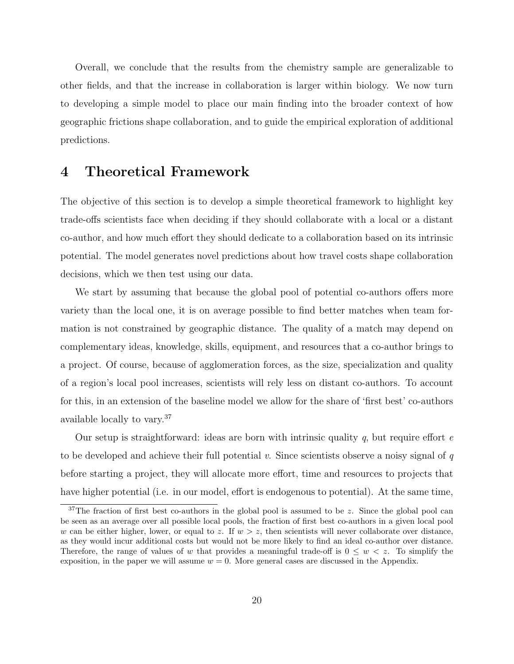Overall, we conclude that the results from the chemistry sample are generalizable to other fields, and that the increase in collaboration is larger within biology. We now turn to developing a simple model to place our main finding into the broader context of how geographic frictions shape collaboration, and to guide the empirical exploration of additional predictions.

# 4 Theoretical Framework

The objective of this section is to develop a simple theoretical framework to highlight key trade-offs scientists face when deciding if they should collaborate with a local or a distant co-author, and how much effort they should dedicate to a collaboration based on its intrinsic potential. The model generates novel predictions about how travel costs shape collaboration decisions, which we then test using our data.

We start by assuming that because the global pool of potential co-authors offers more variety than the local one, it is on average possible to find better matches when team formation is not constrained by geographic distance. The quality of a match may depend on complementary ideas, knowledge, skills, equipment, and resources that a co-author brings to a project. Of course, because of agglomeration forces, as the size, specialization and quality of a region's local pool increases, scientists will rely less on distant co-authors. To account for this, in an extension of the baseline model we allow for the share of 'first best' co-authors available locally to vary.<sup>37</sup>

Our setup is straightforward: ideas are born with intrinsic quality  $q$ , but require effort  $e$ to be developed and achieve their full potential v. Since scientists observe a noisy signal of  $q$ before starting a project, they will allocate more effort, time and resources to projects that have higher potential (i.e. in our model, effort is endogenous to potential). At the same time,

 $37$ The fraction of first best co-authors in the global pool is assumed to be z. Since the global pool can be seen as an average over all possible local pools, the fraction of first best co-authors in a given local pool w can be either higher, lower, or equal to z. If  $w > z$ , then scientists will never collaborate over distance, as they would incur additional costs but would not be more likely to find an ideal co-author over distance. Therefore, the range of values of w that provides a meaningful trade-off is  $0 \leq w \leq z$ . To simplify the exposition, in the paper we will assume  $w = 0$ . More general cases are discussed in the Appendix.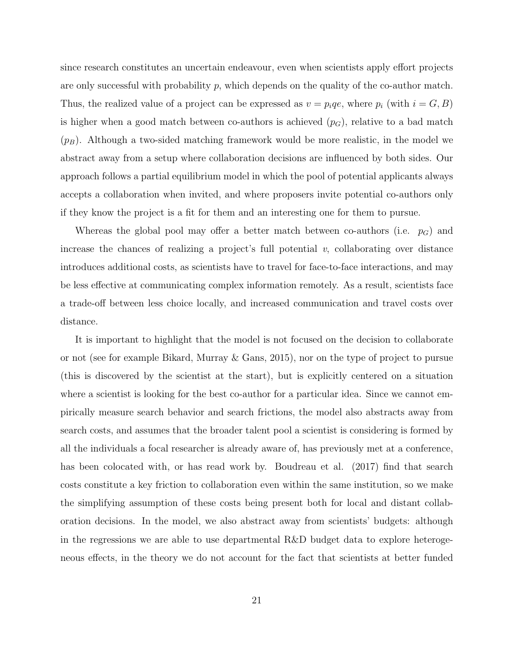since research constitutes an uncertain endeavour, even when scientists apply effort projects are only successful with probability  $p$ , which depends on the quality of the co-author match. Thus, the realized value of a project can be expressed as  $v = p_i q e$ , where  $p_i$  (with  $i = G, B$ ) is higher when a good match between co-authors is achieved  $(p_G)$ , relative to a bad match  $(p_B)$ . Although a two-sided matching framework would be more realistic, in the model we abstract away from a setup where collaboration decisions are influenced by both sides. Our approach follows a partial equilibrium model in which the pool of potential applicants always accepts a collaboration when invited, and where proposers invite potential co-authors only if they know the project is a fit for them and an interesting one for them to pursue.

Whereas the global pool may offer a better match between co-authors (i.e.  $p_G$ ) and increase the chances of realizing a project's full potential  $v$ , collaborating over distance introduces additional costs, as scientists have to travel for face-to-face interactions, and may be less effective at communicating complex information remotely. As a result, scientists face a trade-off between less choice locally, and increased communication and travel costs over distance.

It is important to highlight that the model is not focused on the decision to collaborate or not (see for example Bikard, Murray & Gans, 2015), nor on the type of project to pursue (this is discovered by the scientist at the start), but is explicitly centered on a situation where a scientist is looking for the best co-author for a particular idea. Since we cannot empirically measure search behavior and search frictions, the model also abstracts away from search costs, and assumes that the broader talent pool a scientist is considering is formed by all the individuals a focal researcher is already aware of, has previously met at a conference, has been colocated with, or has read work by. Boudreau et al. (2017) find that search costs constitute a key friction to collaboration even within the same institution, so we make the simplifying assumption of these costs being present both for local and distant collaboration decisions. In the model, we also abstract away from scientists' budgets: although in the regressions we are able to use departmental R&D budget data to explore heterogeneous effects, in the theory we do not account for the fact that scientists at better funded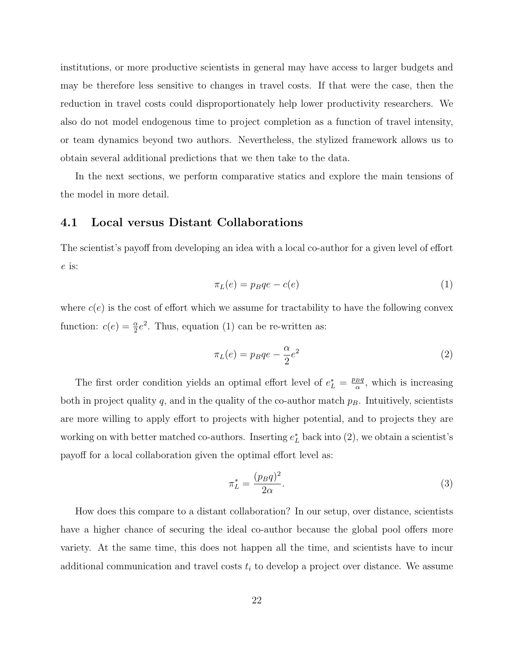institutions, or more productive scientists in general may have access to larger budgets and may be therefore less sensitive to changes in travel costs. If that were the case, then the reduction in travel costs could disproportionately help lower productivity researchers. We also do not model endogenous time to project completion as a function of travel intensity, or team dynamics beyond two authors. Nevertheless, the stylized framework allows us to obtain several additional predictions that we then take to the data.

In the next sections, we perform comparative statics and explore the main tensions of the model in more detail.

### 4.1 Local versus Distant Collaborations

The scientist's payoff from developing an idea with a local co-author for a given level of effort e is:

$$
\pi_L(e) = p_B q e - c(e) \tag{1}
$$

where  $c(e)$  is the cost of effort which we assume for tractability to have the following convex function:  $c(e) = \frac{\alpha}{2}e^2$ . Thus, equation (1) can be re-written as:

$$
\pi_L(e) = p_B q e - \frac{\alpha}{2} e^2 \tag{2}
$$

The first order condition yields an optimal effort level of  $e_L^* = \frac{p_B q}{\alpha}$  $\frac{Bq}{\alpha}$ , which is increasing both in project quality q, and in the quality of the co-author match  $p_B$ . Intuitively, scientists are more willing to apply effort to projects with higher potential, and to projects they are working on with better matched co-authors. Inserting  $e_L^*$  back into (2), we obtain a scientist's payoff for a local collaboration given the optimal effort level as:

$$
\pi_L^* = \frac{(p_B q)^2}{2\alpha}.\tag{3}
$$

How does this compare to a distant collaboration? In our setup, over distance, scientists have a higher chance of securing the ideal co-author because the global pool offers more variety. At the same time, this does not happen all the time, and scientists have to incur additional communication and travel costs  $t_i$  to develop a project over distance. We assume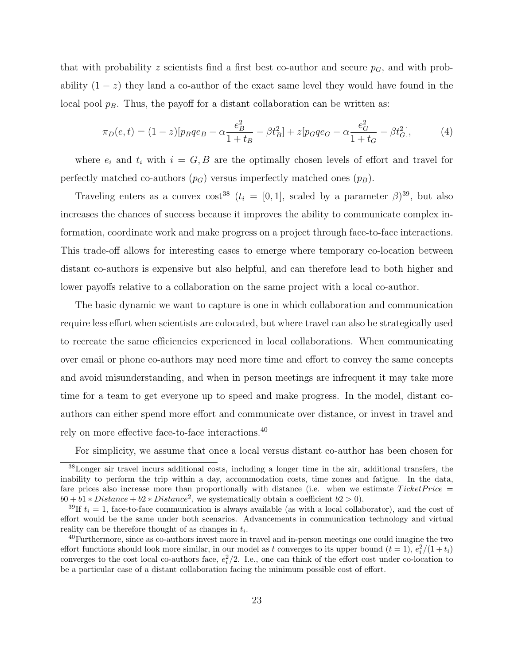that with probability z scientists find a first best co-author and secure  $p_G$ , and with probability  $(1 - z)$  they land a co-author of the exact same level they would have found in the local pool  $p_B$ . Thus, the payoff for a distant collaboration can be written as:

$$
\pi_D(e,t) = (1-z)[p_B q e_B - \alpha \frac{e_B^2}{1+t_B} - \beta t_B^2] + z[p_G q e_G - \alpha \frac{e_G^2}{1+t_G} - \beta t_G^2],\tag{4}
$$

where  $e_i$  and  $t_i$  with  $i = G, B$  are the optimally chosen levels of effort and travel for perfectly matched co-authors  $(p_G)$  versus imperfectly matched ones  $(p_B)$ .

Traveling enters as a convex cost<sup>38</sup> ( $t_i = [0, 1]$ , scaled by a parameter  $\beta$ )<sup>39</sup>, but also increases the chances of success because it improves the ability to communicate complex information, coordinate work and make progress on a project through face-to-face interactions. This trade-off allows for interesting cases to emerge where temporary co-location between distant co-authors is expensive but also helpful, and can therefore lead to both higher and lower payoffs relative to a collaboration on the same project with a local co-author.

The basic dynamic we want to capture is one in which collaboration and communication require less effort when scientists are colocated, but where travel can also be strategically used to recreate the same efficiencies experienced in local collaborations. When communicating over email or phone co-authors may need more time and effort to convey the same concepts and avoid misunderstanding, and when in person meetings are infrequent it may take more time for a team to get everyone up to speed and make progress. In the model, distant coauthors can either spend more effort and communicate over distance, or invest in travel and rely on more effective face-to-face interactions.<sup>40</sup>

For simplicity, we assume that once a local versus distant co-author has been chosen for

<sup>38</sup>Longer air travel incurs additional costs, including a longer time in the air, additional transfers, the inability to perform the trip within a day, accommodation costs, time zones and fatigue. In the data, fare prices also increase more than proportionally with distance (i.e. when we estimate  $TicketPrice =$  $b0 + b1 * Distance + b2 * Distance^2$ , we systematically obtain a coefficient  $b2 > 0$ .

<sup>&</sup>lt;sup>39</sup>If  $t_i = 1$ , face-to-face communication is always available (as with a local collaborator), and the cost of effort would be the same under both scenarios. Advancements in communication technology and virtual reality can be therefore thought of as changes in  $t_i$ .

<sup>&</sup>lt;sup>40</sup>Furthermore, since as co-authors invest more in travel and in-person meetings one could imagine the two effort functions should look more similar, in our model as t converges to its upper bound  $(t = 1)$ ,  $e_i^2/(1 + t_i)$ converges to the cost local co-authors face,  $e_i^2/2$ . I.e., one can think of the effort cost under co-location to be a particular case of a distant collaboration facing the minimum possible cost of effort.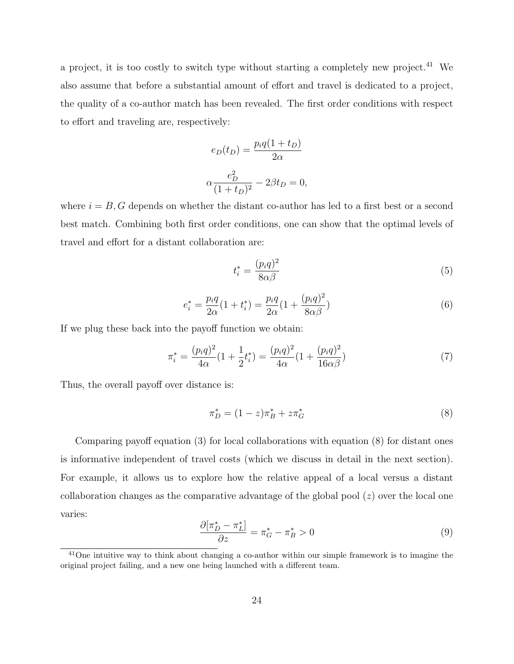a project, it is too costly to switch type without starting a completely new project.<sup>41</sup> We also assume that before a substantial amount of effort and travel is dedicated to a project, the quality of a co-author match has been revealed. The first order conditions with respect to effort and traveling are, respectively:

$$
e_D(t_D) = \frac{p_i q(1 + t_D)}{2\alpha}
$$

$$
\alpha \frac{e_D^2}{(1 + t_D)^2} - 2\beta t_D = 0,
$$

where  $i = B, G$  depends on whether the distant co-author has led to a first best or a second best match. Combining both first order conditions, one can show that the optimal levels of travel and effort for a distant collaboration are:

$$
t_i^* = \frac{(p_i q)^2}{8\alpha\beta} \tag{5}
$$

$$
e_i^* = \frac{p_i q}{2\alpha} (1 + t_i^*) = \frac{p_i q}{2\alpha} (1 + \frac{(p_i q)^2}{8\alpha \beta})
$$
\n(6)

If we plug these back into the payoff function we obtain:

$$
\pi_i^* = \frac{(p_i q)^2}{4\alpha} (1 + \frac{1}{2} t_i^*) = \frac{(p_i q)^2}{4\alpha} (1 + \frac{(p_i q)^2}{16\alpha \beta})
$$
\n(7)

Thus, the overall payoff over distance is:

$$
\pi_D^* = (1 - z)\pi_B^* + z\pi_G^* \tag{8}
$$

Comparing payoff equation (3) for local collaborations with equation (8) for distant ones is informative independent of travel costs (which we discuss in detail in the next section). For example, it allows us to explore how the relative appeal of a local versus a distant collaboration changes as the comparative advantage of the global pool  $(z)$  over the local one varies:

$$
\frac{\partial[\pi_D^* - \pi_L^*]}{\partial z} = \pi_G^* - \pi_B^* > 0 \tag{9}
$$

<sup>41</sup>One intuitive way to think about changing a co-author within our simple framework is to imagine the original project failing, and a new one being launched with a different team.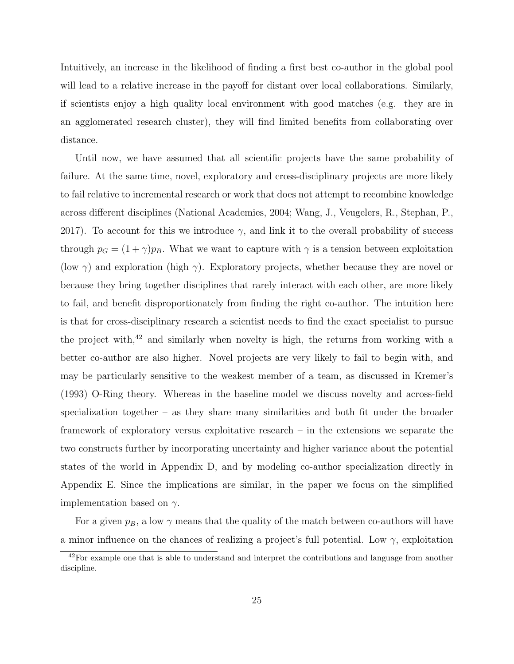Intuitively, an increase in the likelihood of finding a first best co-author in the global pool will lead to a relative increase in the payoff for distant over local collaborations. Similarly, if scientists enjoy a high quality local environment with good matches (e.g. they are in an agglomerated research cluster), they will find limited benefits from collaborating over distance.

Until now, we have assumed that all scientific projects have the same probability of failure. At the same time, novel, exploratory and cross-disciplinary projects are more likely to fail relative to incremental research or work that does not attempt to recombine knowledge across different disciplines (National Academies, 2004; Wang, J., Veugelers, R., Stephan, P., 2017). To account for this we introduce  $\gamma$ , and link it to the overall probability of success through  $p_G = (1 + \gamma)p_B$ . What we want to capture with  $\gamma$  is a tension between exploitation (low  $\gamma$ ) and exploration (high  $\gamma$ ). Exploratory projects, whether because they are novel or because they bring together disciplines that rarely interact with each other, are more likely to fail, and benefit disproportionately from finding the right co-author. The intuition here is that for cross-disciplinary research a scientist needs to find the exact specialist to pursue the project with, $42$  and similarly when novelty is high, the returns from working with a better co-author are also higher. Novel projects are very likely to fail to begin with, and may be particularly sensitive to the weakest member of a team, as discussed in Kremer's (1993) O-Ring theory. Whereas in the baseline model we discuss novelty and across-field specialization together – as they share many similarities and both fit under the broader framework of exploratory versus exploitative research – in the extensions we separate the two constructs further by incorporating uncertainty and higher variance about the potential states of the world in Appendix D, and by modeling co-author specialization directly in Appendix E. Since the implications are similar, in the paper we focus on the simplified implementation based on  $\gamma$ .

For a given  $p_B$ , a low  $\gamma$  means that the quality of the match between co-authors will have a minor influence on the chances of realizing a project's full potential. Low  $\gamma$ , exploitation

<sup>&</sup>lt;sup>42</sup>For example one that is able to understand and interpret the contributions and language from another discipline.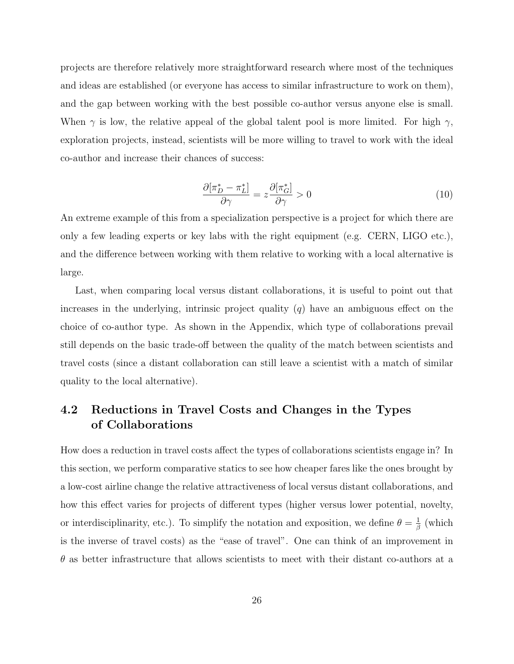projects are therefore relatively more straightforward research where most of the techniques and ideas are established (or everyone has access to similar infrastructure to work on them), and the gap between working with the best possible co-author versus anyone else is small. When  $\gamma$  is low, the relative appeal of the global talent pool is more limited. For high  $\gamma$ , exploration projects, instead, scientists will be more willing to travel to work with the ideal co-author and increase their chances of success:

$$
\frac{\partial[\pi_D^* - \pi_L^*]}{\partial \gamma} = z \frac{\partial[\pi_G^*]}{\partial \gamma} > 0
$$
\n(10)

An extreme example of this from a specialization perspective is a project for which there are only a few leading experts or key labs with the right equipment (e.g. CERN, LIGO etc.), and the difference between working with them relative to working with a local alternative is large.

Last, when comparing local versus distant collaborations, it is useful to point out that increases in the underlying, intrinsic project quality  $(q)$  have an ambiguous effect on the choice of co-author type. As shown in the Appendix, which type of collaborations prevail still depends on the basic trade-off between the quality of the match between scientists and travel costs (since a distant collaboration can still leave a scientist with a match of similar quality to the local alternative).

## 4.2 Reductions in Travel Costs and Changes in the Types of Collaborations

How does a reduction in travel costs affect the types of collaborations scientists engage in? In this section, we perform comparative statics to see how cheaper fares like the ones brought by a low-cost airline change the relative attractiveness of local versus distant collaborations, and how this effect varies for projects of different types (higher versus lower potential, novelty, or interdisciplinarity, etc.). To simplify the notation and exposition, we define  $\theta = \frac{1}{\beta}$  $\frac{1}{\beta}$  (which is the inverse of travel costs) as the "ease of travel". One can think of an improvement in  $\theta$  as better infrastructure that allows scientists to meet with their distant co-authors at a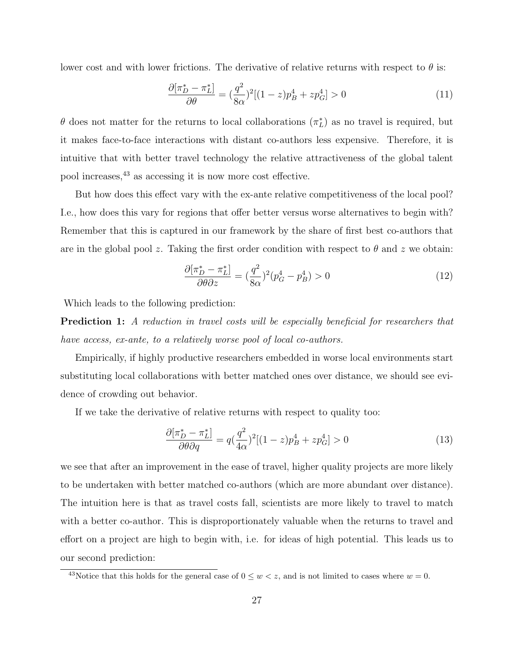lower cost and with lower frictions. The derivative of relative returns with respect to  $\theta$  is:

$$
\frac{\partial[\pi_D^* - \pi_L^*]}{\partial \theta} = (\frac{q^2}{8\alpha})^2[(1-z)p_B^4 + zp_G^4] > 0
$$
\n(11)

 $\theta$  does not matter for the returns to local collaborations  $(\pi_L^*)$  as no travel is required, but it makes face-to-face interactions with distant co-authors less expensive. Therefore, it is intuitive that with better travel technology the relative attractiveness of the global talent pool increases,<sup>43</sup> as accessing it is now more cost effective.

But how does this effect vary with the ex-ante relative competitiveness of the local pool? I.e., how does this vary for regions that offer better versus worse alternatives to begin with? Remember that this is captured in our framework by the share of first best co-authors that are in the global pool z. Taking the first order condition with respect to  $\theta$  and z we obtain:

$$
\frac{\partial[\pi_D^* - \pi_L^*]}{\partial \theta \partial z} = (\frac{q^2}{8\alpha})^2 (p_G^4 - p_B^4) > 0 \tag{12}
$$

Which leads to the following prediction:

**Prediction 1:** A reduction in travel costs will be especially beneficial for researchers that have access, ex-ante, to a relatively worse pool of local co-authors.

Empirically, if highly productive researchers embedded in worse local environments start substituting local collaborations with better matched ones over distance, we should see evidence of crowding out behavior.

If we take the derivative of relative returns with respect to quality too:

$$
\frac{\partial[\pi_D^* - \pi_L^*]}{\partial \theta \partial q} = q(\frac{q^2}{4\alpha})^2[(1-z)p_B^4 + zp_G^4] > 0
$$
\n(13)

we see that after an improvement in the ease of travel, higher quality projects are more likely to be undertaken with better matched co-authors (which are more abundant over distance). The intuition here is that as travel costs fall, scientists are more likely to travel to match with a better co-author. This is disproportionately valuable when the returns to travel and effort on a project are high to begin with, i.e. for ideas of high potential. This leads us to our second prediction:

<sup>&</sup>lt;sup>43</sup>Notice that this holds for the general case of  $0 \leq w < z$ , and is not limited to cases where  $w = 0$ .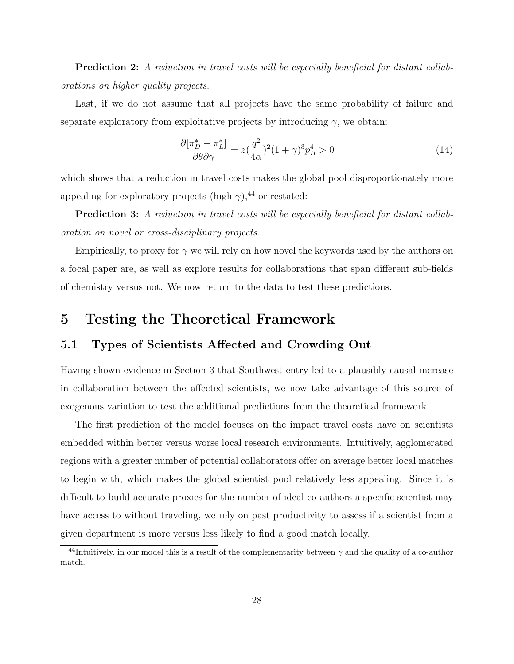**Prediction 2:** A reduction in travel costs will be especially beneficial for distant collaborations on higher quality projects.

Last, if we do not assume that all projects have the same probability of failure and separate exploratory from exploitative projects by introducing  $\gamma$ , we obtain:

$$
\frac{\partial[\pi_D^* - \pi_L^*]}{\partial \theta \partial \gamma} = z(\frac{q^2}{4\alpha})^2 (1+\gamma)^3 p_B^4 > 0 \tag{14}
$$

which shows that a reduction in travel costs makes the global pool disproportionately more appealing for exploratory projects (high  $\gamma$ ),<sup>44</sup> or restated:

**Prediction 3:** A reduction in travel costs will be especially beneficial for distant collaboration on novel or cross-disciplinary projects.

Empirically, to proxy for  $\gamma$  we will rely on how novel the keywords used by the authors on a focal paper are, as well as explore results for collaborations that span different sub-fields of chemistry versus not. We now return to the data to test these predictions.

## 5 Testing the Theoretical Framework

## 5.1 Types of Scientists Affected and Crowding Out

Having shown evidence in Section 3 that Southwest entry led to a plausibly causal increase in collaboration between the affected scientists, we now take advantage of this source of exogenous variation to test the additional predictions from the theoretical framework.

The first prediction of the model focuses on the impact travel costs have on scientists embedded within better versus worse local research environments. Intuitively, agglomerated regions with a greater number of potential collaborators offer on average better local matches to begin with, which makes the global scientist pool relatively less appealing. Since it is difficult to build accurate proxies for the number of ideal co-authors a specific scientist may have access to without traveling, we rely on past productivity to assess if a scientist from a given department is more versus less likely to find a good match locally.

<sup>&</sup>lt;sup>44</sup>Intuitively, in our model this is a result of the complementarity between  $\gamma$  and the quality of a co-author match.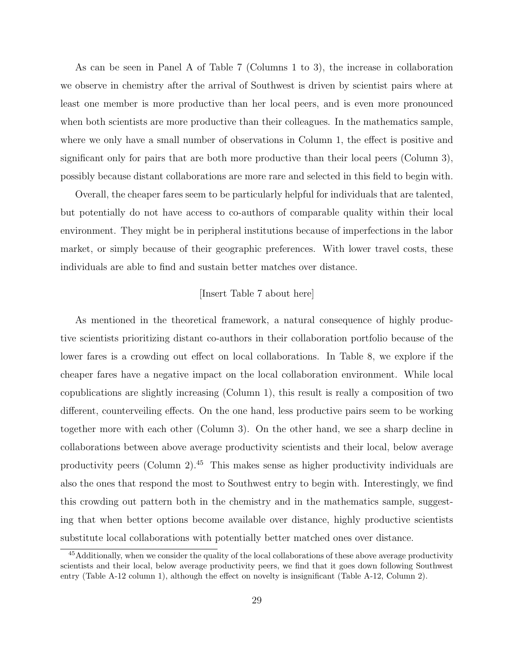As can be seen in Panel A of Table 7 (Columns 1 to 3), the increase in collaboration we observe in chemistry after the arrival of Southwest is driven by scientist pairs where at least one member is more productive than her local peers, and is even more pronounced when both scientists are more productive than their colleagues. In the mathematics sample, where we only have a small number of observations in Column 1, the effect is positive and significant only for pairs that are both more productive than their local peers (Column 3), possibly because distant collaborations are more rare and selected in this field to begin with.

Overall, the cheaper fares seem to be particularly helpful for individuals that are talented, but potentially do not have access to co-authors of comparable quality within their local environment. They might be in peripheral institutions because of imperfections in the labor market, or simply because of their geographic preferences. With lower travel costs, these individuals are able to find and sustain better matches over distance.

#### [Insert Table 7 about here]

As mentioned in the theoretical framework, a natural consequence of highly productive scientists prioritizing distant co-authors in their collaboration portfolio because of the lower fares is a crowding out effect on local collaborations. In Table 8, we explore if the cheaper fares have a negative impact on the local collaboration environment. While local copublications are slightly increasing (Column 1), this result is really a composition of two different, counterveiling effects. On the one hand, less productive pairs seem to be working together more with each other (Column 3). On the other hand, we see a sharp decline in collaborations between above average productivity scientists and their local, below average productivity peers (Column 2).<sup>45</sup> This makes sense as higher productivity individuals are also the ones that respond the most to Southwest entry to begin with. Interestingly, we find this crowding out pattern both in the chemistry and in the mathematics sample, suggesting that when better options become available over distance, highly productive scientists substitute local collaborations with potentially better matched ones over distance.

<sup>&</sup>lt;sup>45</sup> Additionally, when we consider the quality of the local collaborations of these above average productivity scientists and their local, below average productivity peers, we find that it goes down following Southwest entry (Table A-12 column 1), although the effect on novelty is insignificant (Table A-12, Column 2).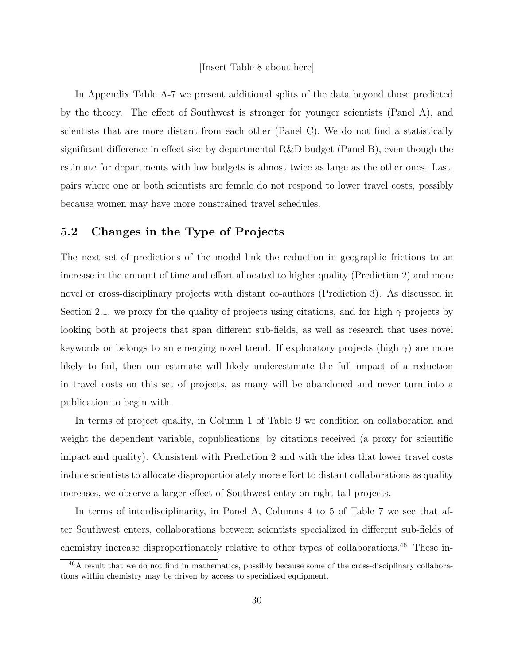#### [Insert Table 8 about here]

In Appendix Table A-7 we present additional splits of the data beyond those predicted by the theory. The effect of Southwest is stronger for younger scientists (Panel A), and scientists that are more distant from each other (Panel C). We do not find a statistically significant difference in effect size by departmental R&D budget (Panel B), even though the estimate for departments with low budgets is almost twice as large as the other ones. Last, pairs where one or both scientists are female do not respond to lower travel costs, possibly because women may have more constrained travel schedules.

## 5.2 Changes in the Type of Projects

The next set of predictions of the model link the reduction in geographic frictions to an increase in the amount of time and effort allocated to higher quality (Prediction 2) and more novel or cross-disciplinary projects with distant co-authors (Prediction 3). As discussed in Section 2.1, we proxy for the quality of projects using citations, and for high  $\gamma$  projects by looking both at projects that span different sub-fields, as well as research that uses novel keywords or belongs to an emerging novel trend. If exploratory projects (high  $\gamma$ ) are more likely to fail, then our estimate will likely underestimate the full impact of a reduction in travel costs on this set of projects, as many will be abandoned and never turn into a publication to begin with.

In terms of project quality, in Column 1 of Table 9 we condition on collaboration and weight the dependent variable, copublications, by citations received (a proxy for scientific impact and quality). Consistent with Prediction 2 and with the idea that lower travel costs induce scientists to allocate disproportionately more effort to distant collaborations as quality increases, we observe a larger effect of Southwest entry on right tail projects.

In terms of interdisciplinarity, in Panel A, Columns 4 to 5 of Table 7 we see that after Southwest enters, collaborations between scientists specialized in different sub-fields of chemistry increase disproportionately relative to other types of collaborations.<sup>46</sup> These in-

<sup>46</sup>A result that we do not find in mathematics, possibly because some of the cross-disciplinary collaborations within chemistry may be driven by access to specialized equipment.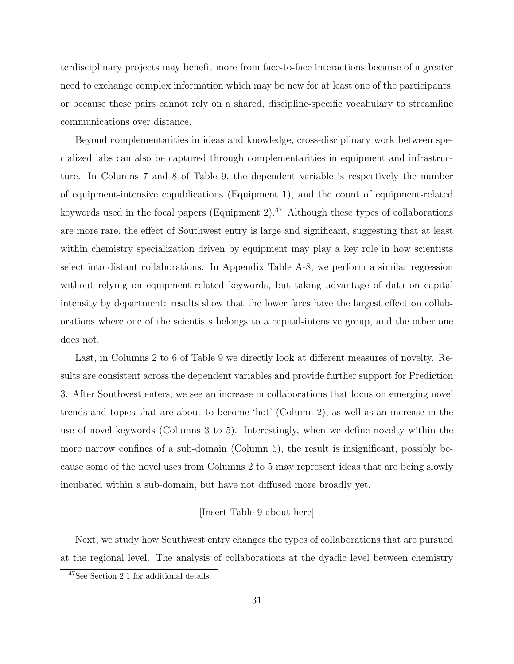terdisciplinary projects may benefit more from face-to-face interactions because of a greater need to exchange complex information which may be new for at least one of the participants, or because these pairs cannot rely on a shared, discipline-specific vocabulary to streamline communications over distance.

Beyond complementarities in ideas and knowledge, cross-disciplinary work between specialized labs can also be captured through complementarities in equipment and infrastructure. In Columns 7 and 8 of Table 9, the dependent variable is respectively the number of equipment-intensive copublications (Equipment 1), and the count of equipment-related keywords used in the focal papers (Equipment 2). $47$  Although these types of collaborations are more rare, the effect of Southwest entry is large and significant, suggesting that at least within chemistry specialization driven by equipment may play a key role in how scientists select into distant collaborations. In Appendix Table A-8, we perform a similar regression without relying on equipment-related keywords, but taking advantage of data on capital intensity by department: results show that the lower fares have the largest effect on collaborations where one of the scientists belongs to a capital-intensive group, and the other one does not.

Last, in Columns 2 to 6 of Table 9 we directly look at different measures of novelty. Results are consistent across the dependent variables and provide further support for Prediction 3. After Southwest enters, we see an increase in collaborations that focus on emerging novel trends and topics that are about to become 'hot' (Column 2), as well as an increase in the use of novel keywords (Columns 3 to 5). Interestingly, when we define novelty within the more narrow confines of a sub-domain (Column 6), the result is insignificant, possibly because some of the novel uses from Columns 2 to 5 may represent ideas that are being slowly incubated within a sub-domain, but have not diffused more broadly yet.

#### [Insert Table 9 about here]

Next, we study how Southwest entry changes the types of collaborations that are pursued at the regional level. The analysis of collaborations at the dyadic level between chemistry

<sup>47</sup>See Section 2.1 for additional details.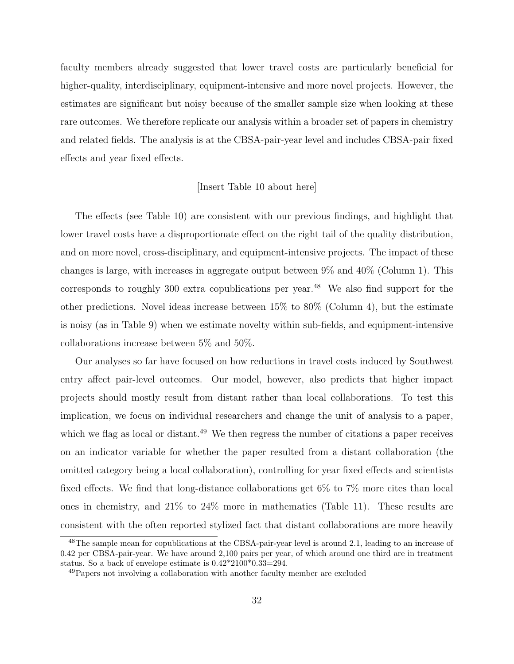faculty members already suggested that lower travel costs are particularly beneficial for higher-quality, interdisciplinary, equipment-intensive and more novel projects. However, the estimates are significant but noisy because of the smaller sample size when looking at these rare outcomes. We therefore replicate our analysis within a broader set of papers in chemistry and related fields. The analysis is at the CBSA-pair-year level and includes CBSA-pair fixed effects and year fixed effects.

#### [Insert Table 10 about here]

The effects (see Table 10) are consistent with our previous findings, and highlight that lower travel costs have a disproportionate effect on the right tail of the quality distribution, and on more novel, cross-disciplinary, and equipment-intensive projects. The impact of these changes is large, with increases in aggregate output between 9% and 40% (Column 1). This corresponds to roughly 300 extra copublications per year.<sup>48</sup> We also find support for the other predictions. Novel ideas increase between 15% to 80% (Column 4), but the estimate is noisy (as in Table 9) when we estimate novelty within sub-fields, and equipment-intensive collaborations increase between 5% and 50%.

Our analyses so far have focused on how reductions in travel costs induced by Southwest entry affect pair-level outcomes. Our model, however, also predicts that higher impact projects should mostly result from distant rather than local collaborations. To test this implication, we focus on individual researchers and change the unit of analysis to a paper, which we flag as local or distant.<sup>49</sup> We then regress the number of citations a paper receives on an indicator variable for whether the paper resulted from a distant collaboration (the omitted category being a local collaboration), controlling for year fixed effects and scientists fixed effects. We find that long-distance collaborations get 6% to 7% more cites than local ones in chemistry, and 21% to 24% more in mathematics (Table 11). These results are consistent with the often reported stylized fact that distant collaborations are more heavily

<sup>&</sup>lt;sup>48</sup>The sample mean for copublications at the CBSA-pair-year level is around 2.1, leading to an increase of 0.42 per CBSA-pair-year. We have around 2,100 pairs per year, of which around one third are in treatment status. So a back of envelope estimate is 0.42\*2100\*0.33=294.

<sup>&</sup>lt;sup>49</sup>Papers not involving a collaboration with another faculty member are excluded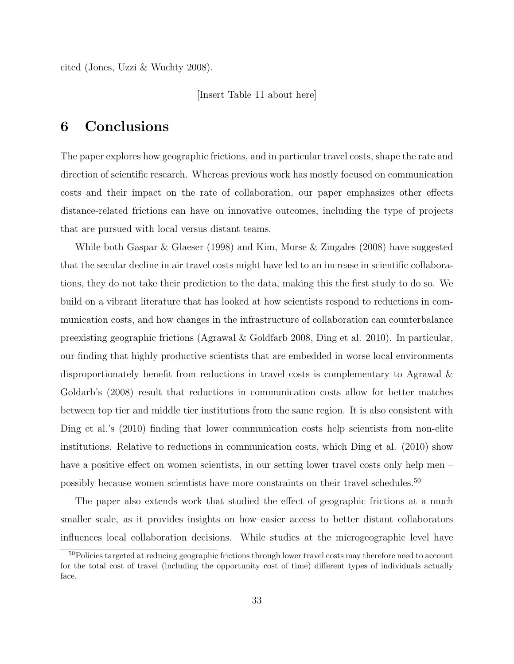cited (Jones, Uzzi & Wuchty 2008).

[Insert Table 11 about here]

# 6 Conclusions

The paper explores how geographic frictions, and in particular travel costs, shape the rate and direction of scientific research. Whereas previous work has mostly focused on communication costs and their impact on the rate of collaboration, our paper emphasizes other effects distance-related frictions can have on innovative outcomes, including the type of projects that are pursued with local versus distant teams.

While both Gaspar & Glaeser (1998) and Kim, Morse & Zingales (2008) have suggested that the secular decline in air travel costs might have led to an increase in scientific collaborations, they do not take their prediction to the data, making this the first study to do so. We build on a vibrant literature that has looked at how scientists respond to reductions in communication costs, and how changes in the infrastructure of collaboration can counterbalance preexisting geographic frictions (Agrawal & Goldfarb 2008, Ding et al. 2010). In particular, our finding that highly productive scientists that are embedded in worse local environments disproportionately benefit from reductions in travel costs is complementary to Agrawal & Goldarb's (2008) result that reductions in communication costs allow for better matches between top tier and middle tier institutions from the same region. It is also consistent with Ding et al.'s (2010) finding that lower communication costs help scientists from non-elite institutions. Relative to reductions in communication costs, which Ding et al. (2010) show have a positive effect on women scientists, in our setting lower travel costs only help men – possibly because women scientists have more constraints on their travel schedules.<sup>50</sup>

The paper also extends work that studied the effect of geographic frictions at a much smaller scale, as it provides insights on how easier access to better distant collaborators influences local collaboration decisions. While studies at the microgeographic level have

<sup>&</sup>lt;sup>50</sup>Policies targeted at reducing geographic frictions through lower travel costs may therefore need to account for the total cost of travel (including the opportunity cost of time) different types of individuals actually face.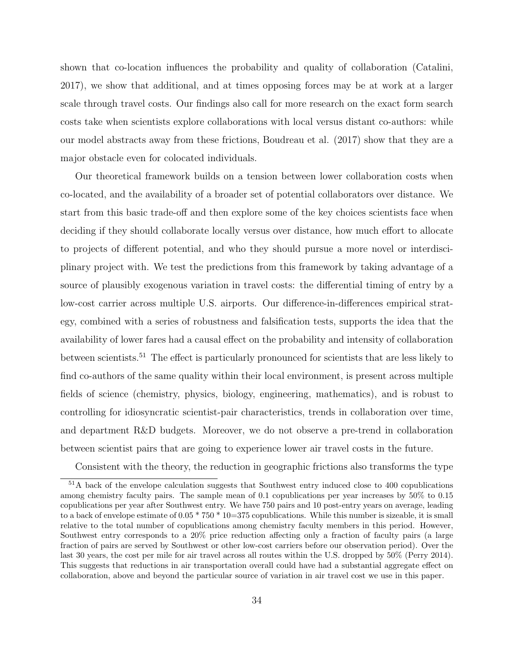shown that co-location influences the probability and quality of collaboration (Catalini, 2017), we show that additional, and at times opposing forces may be at work at a larger scale through travel costs. Our findings also call for more research on the exact form search costs take when scientists explore collaborations with local versus distant co-authors: while our model abstracts away from these frictions, Boudreau et al. (2017) show that they are a major obstacle even for colocated individuals.

Our theoretical framework builds on a tension between lower collaboration costs when co-located, and the availability of a broader set of potential collaborators over distance. We start from this basic trade-off and then explore some of the key choices scientists face when deciding if they should collaborate locally versus over distance, how much effort to allocate to projects of different potential, and who they should pursue a more novel or interdisciplinary project with. We test the predictions from this framework by taking advantage of a source of plausibly exogenous variation in travel costs: the differential timing of entry by a low-cost carrier across multiple U.S. airports. Our difference-in-differences empirical strategy, combined with a series of robustness and falsification tests, supports the idea that the availability of lower fares had a causal effect on the probability and intensity of collaboration between scientists.<sup>51</sup> The effect is particularly pronounced for scientists that are less likely to find co-authors of the same quality within their local environment, is present across multiple fields of science (chemistry, physics, biology, engineering, mathematics), and is robust to controlling for idiosyncratic scientist-pair characteristics, trends in collaboration over time, and department R&D budgets. Moreover, we do not observe a pre-trend in collaboration between scientist pairs that are going to experience lower air travel costs in the future.

Consistent with the theory, the reduction in geographic frictions also transforms the type

<sup>51</sup>A back of the envelope calculation suggests that Southwest entry induced close to 400 copublications among chemistry faculty pairs. The sample mean of 0.1 copublications per year increases by 50% to 0.15 copublications per year after Southwest entry. We have 750 pairs and 10 post-entry years on average, leading to a back of envelope estimate of  $0.05 * 750 * 10 = 375$  copublications. While this number is sizeable, it is small relative to the total number of copublications among chemistry faculty members in this period. However, Southwest entry corresponds to a 20% price reduction affecting only a fraction of faculty pairs (a large fraction of pairs are served by Southwest or other low-cost carriers before our observation period). Over the last 30 years, the cost per mile for air travel across all routes within the U.S. dropped by 50% (Perry 2014). This suggests that reductions in air transportation overall could have had a substantial aggregate effect on collaboration, above and beyond the particular source of variation in air travel cost we use in this paper.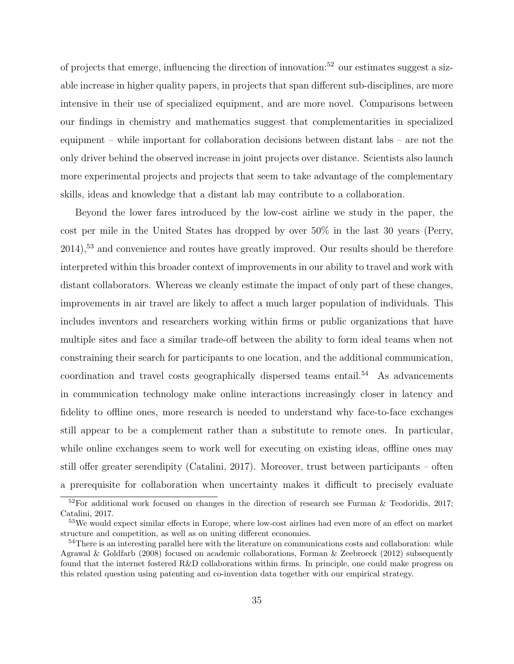of projects that emerge, influencing the direction of innovation:<sup>52</sup> our estimates suggest a sizable increase in higher quality papers, in projects that span different sub-disciplines, are more intensive in their use of specialized equipment, and are more novel. Comparisons between our findings in chemistry and mathematics suggest that complementarities in specialized equipment – while important for collaboration decisions between distant labs – are not the only driver behind the observed increase in joint projects over distance. Scientists also launch more experimental projects and projects that seem to take advantage of the complementary skills, ideas and knowledge that a distant lab may contribute to a collaboration.

Beyond the lower fares introduced by the low-cost airline we study in the paper, the cost per mile in the United States has dropped by over 50% in the last 30 years (Perry, 2014),<sup>53</sup> and convenience and routes have greatly improved. Our results should be therefore interpreted within this broader context of improvements in our ability to travel and work with distant collaborators. Whereas we cleanly estimate the impact of only part of these changes, improvements in air travel are likely to affect a much larger population of individuals. This includes inventors and researchers working within firms or public organizations that have multiple sites and face a similar trade-off between the ability to form ideal teams when not constraining their search for participants to one location, and the additional communication, coordination and travel costs geographically dispersed teams entail.<sup>54</sup> As advancements in communication technology make online interactions increasingly closer in latency and fidelity to offline ones, more research is needed to understand why face-to-face exchanges still appear to be a complement rather than a substitute to remote ones. In particular, while online exchanges seem to work well for executing on existing ideas, offline ones may still offer greater serendipity (Catalini, 2017). Moreover, trust between participants – often a prerequisite for collaboration when uncertainty makes it difficult to precisely evaluate

 $52$ For additional work focused on changes in the direction of research see Furman & Teodoridis, 2017; Catalini, 2017.

<sup>&</sup>lt;sup>53</sup>We would expect similar effects in Europe, where low-cost airlines had even more of an effect on market structure and competition, as well as on uniting different economies.

<sup>&</sup>lt;sup>54</sup>There is an interesting parallel here with the literature on communications costs and collaboration: while Agrawal & Goldfarb (2008) focused on academic collaborations, Forman & Zeebroeck (2012) subsequently found that the internet fostered R&D collaborations within firms. In principle, one could make progress on this related question using patenting and co-invention data together with our empirical strategy.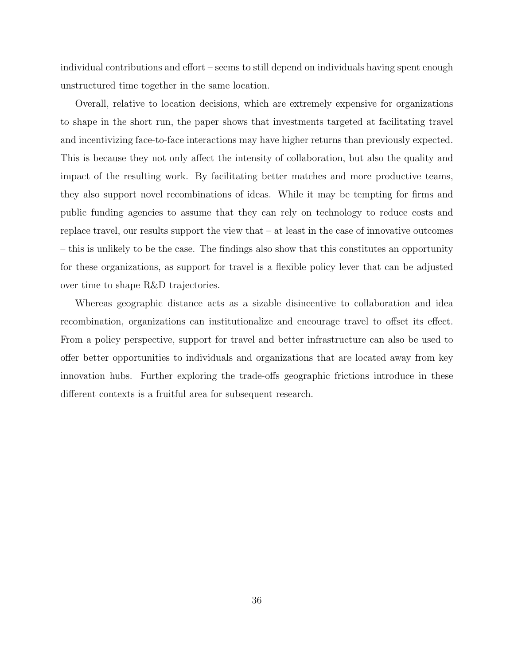individual contributions and effort – seems to still depend on individuals having spent enough unstructured time together in the same location.

Overall, relative to location decisions, which are extremely expensive for organizations to shape in the short run, the paper shows that investments targeted at facilitating travel and incentivizing face-to-face interactions may have higher returns than previously expected. This is because they not only affect the intensity of collaboration, but also the quality and impact of the resulting work. By facilitating better matches and more productive teams, they also support novel recombinations of ideas. While it may be tempting for firms and public funding agencies to assume that they can rely on technology to reduce costs and replace travel, our results support the view that – at least in the case of innovative outcomes – this is unlikely to be the case. The findings also show that this constitutes an opportunity for these organizations, as support for travel is a flexible policy lever that can be adjusted over time to shape R&D trajectories.

Whereas geographic distance acts as a sizable disincentive to collaboration and idea recombination, organizations can institutionalize and encourage travel to offset its effect. From a policy perspective, support for travel and better infrastructure can also be used to offer better opportunities to individuals and organizations that are located away from key innovation hubs. Further exploring the trade-offs geographic frictions introduce in these different contexts is a fruitful area for subsequent research.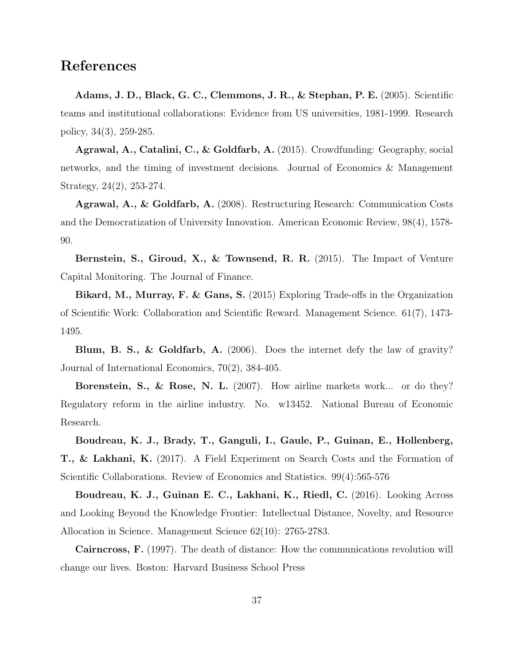### References

Adams, J. D., Black, G. C., Clemmons, J. R., & Stephan, P. E. (2005). Scientific teams and institutional collaborations: Evidence from US universities, 1981-1999. Research policy, 34(3), 259-285.

**Agrawal, A., Catalini, C., & Goldfarb, A.** (2015). Crowdfunding: Geography, social networks, and the timing of investment decisions. Journal of Economics & Management Strategy, 24(2), 253-274.

Agrawal, A., & Goldfarb, A. (2008). Restructuring Research: Communication Costs and the Democratization of University Innovation. American Economic Review, 98(4), 1578- 90.

Bernstein, S., Giroud, X., & Townsend, R. R.  $(2015)$ . The Impact of Venture Capital Monitoring. The Journal of Finance.

Bikard, M., Murray, F. & Gans, S.  $(2015)$  Exploring Trade-offs in the Organization of Scientific Work: Collaboration and Scientific Reward. Management Science. 61(7), 1473- 1495.

Blum, B. S., & Goldfarb, A. (2006). Does the internet defy the law of gravity? Journal of International Economics, 70(2), 384-405.

Borenstein, S., & Rose, N. L.  $(2007)$ . How airline markets work... or do they? Regulatory reform in the airline industry. No. w13452. National Bureau of Economic Research.

Boudreau, K. J., Brady, T., Ganguli, I., Gaule, P., Guinan, E., Hollenberg, T., & Lakhani, K. (2017). A Field Experiment on Search Costs and the Formation of Scientific Collaborations. Review of Economics and Statistics. 99(4):565-576

Boudreau, K. J., Guinan E. C., Lakhani, K., Riedl, C. (2016). Looking Across and Looking Beyond the Knowledge Frontier: Intellectual Distance, Novelty, and Resource Allocation in Science. Management Science 62(10): 2765-2783.

Cairncross, F. (1997). The death of distance: How the communications revolution will change our lives. Boston: Harvard Business School Press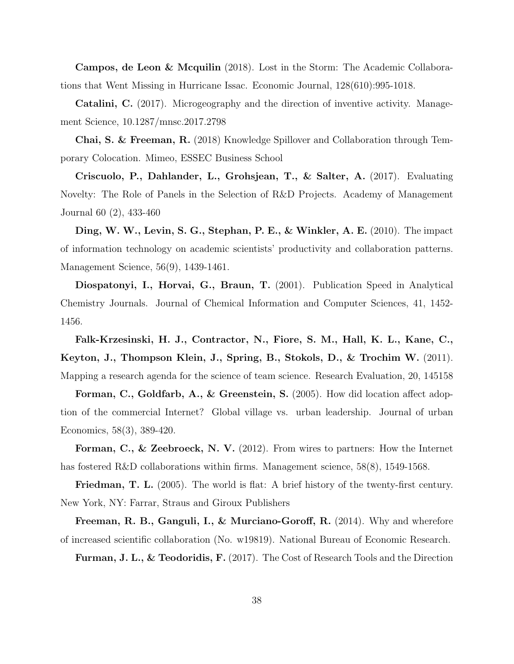Campos, de Leon & Mcquilin (2018). Lost in the Storm: The Academic Collaborations that Went Missing in Hurricane Issac. Economic Journal, 128(610):995-1018.

Catalini, C. (2017). Microgeography and the direction of inventive activity. Management Science, 10.1287/mnsc.2017.2798

Chai, S. & Freeman, R. (2018) Knowledge Spillover and Collaboration through Temporary Colocation. Mimeo, ESSEC Business School

Criscuolo, P., Dahlander, L., Grohsjean, T., & Salter, A. (2017). Evaluating Novelty: The Role of Panels in the Selection of R&D Projects. Academy of Management Journal 60 (2), 433-460

Ding, W. W., Levin, S. G., Stephan, P. E., & Winkler, A. E. (2010). The impact of information technology on academic scientists' productivity and collaboration patterns. Management Science, 56(9), 1439-1461.

Diospatonyi, I., Horvai, G., Braun, T. (2001). Publication Speed in Analytical Chemistry Journals. Journal of Chemical Information and Computer Sciences, 41, 1452- 1456.

Falk-Krzesinski, H. J., Contractor, N., Fiore, S. M., Hall, K. L., Kane, C., Keyton, J., Thompson Klein, J., Spring, B., Stokols, D., & Trochim W. (2011). Mapping a research agenda for the science of team science. Research Evaluation, 20, 145158

Forman, C., Goldfarb, A., & Greenstein, S. (2005). How did location affect adoption of the commercial Internet? Global village vs. urban leadership. Journal of urban Economics, 58(3), 389-420.

Forman, C., & Zeebroeck, N. V. (2012). From wires to partners: How the Internet has fostered R&D collaborations within firms. Management science, 58(8), 1549-1568.

**Friedman, T. L.** (2005). The world is flat: A brief history of the twenty-first century. New York, NY: Farrar, Straus and Giroux Publishers

Freeman, R. B., Ganguli, I., & Murciano-Goroff, R.  $(2014)$ . Why and wherefore of increased scientific collaboration (No. w19819). National Bureau of Economic Research.

**Furman, J. L., & Teodoridis, F.** (2017). The Cost of Research Tools and the Direction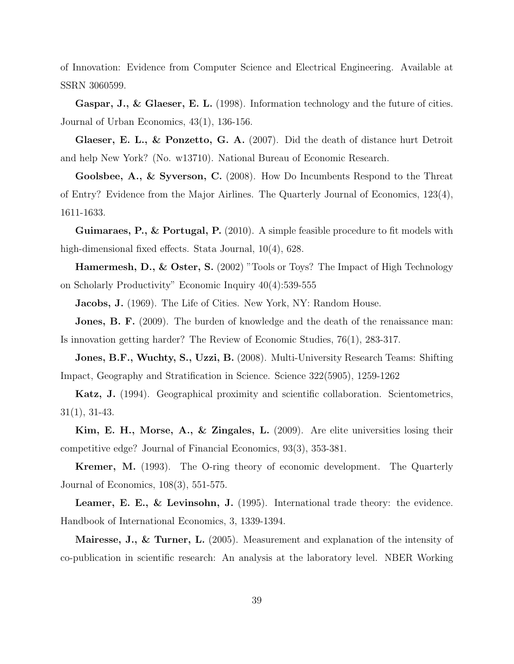of Innovation: Evidence from Computer Science and Electrical Engineering. Available at SSRN 3060599.

**Gaspar, J., & Glaeser, E. L.** (1998). Information technology and the future of cities. Journal of Urban Economics, 43(1), 136-156.

Glaeser, E. L., & Ponzetto, G. A.  $(2007)$ . Did the death of distance hurt Detroit and help New York? (No. w13710). National Bureau of Economic Research.

Goolsbee, A., & Syverson, C. (2008). How Do Incumbents Respond to the Threat of Entry? Evidence from the Major Airlines. The Quarterly Journal of Economics, 123(4), 1611-1633.

**Guimaraes, P., & Portugal, P.** (2010). A simple feasible procedure to fit models with high-dimensional fixed effects. Stata Journal,  $10(4)$ , 628.

Hamermesh, D., & Oster, S. (2002) "Tools or Toys? The Impact of High Technology on Scholarly Productivity" Economic Inquiry 40(4):539-555

Jacobs, J. (1969). The Life of Cities. New York, NY: Random House.

**Jones, B. F.** (2009). The burden of knowledge and the death of the renaissance man: Is innovation getting harder? The Review of Economic Studies, 76(1), 283-317.

Jones, B.F., Wuchty, S., Uzzi, B. (2008). Multi-University Research Teams: Shifting Impact, Geography and Stratification in Science. Science 322(5905), 1259-1262

Katz, J. (1994). Geographical proximity and scientific collaboration. Scientometrics, 31(1), 31-43.

Kim, E. H., Morse, A., & Zingales, L.  $(2009)$ . Are elite universities losing their competitive edge? Journal of Financial Economics, 93(3), 353-381.

Kremer, M. (1993). The O-ring theory of economic development. The Quarterly Journal of Economics, 108(3), 551-575.

**Leamer, E. E., & Levinsohn, J.** (1995). International trade theory: the evidence. Handbook of International Economics, 3, 1339-1394.

**Mairesse, J., & Turner, L.** (2005). Measurement and explanation of the intensity of co-publication in scientific research: An analysis at the laboratory level. NBER Working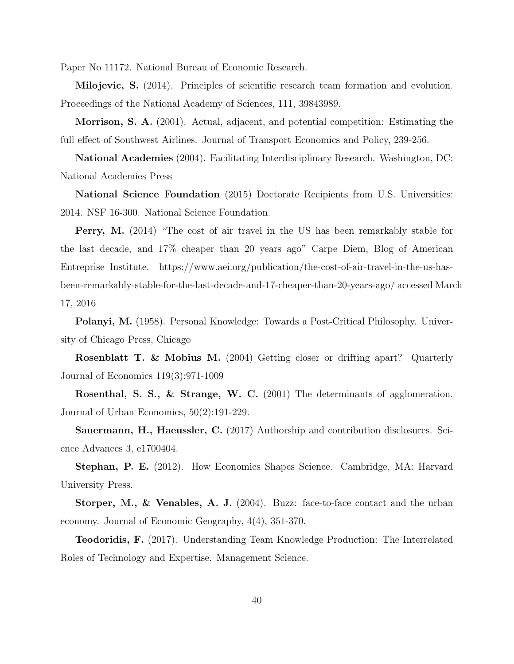Paper No 11172. National Bureau of Economic Research.

Milojevic, S. (2014). Principles of scientific research team formation and evolution. Proceedings of the National Academy of Sciences, 111, 39843989.

Morrison, S. A. (2001). Actual, adjacent, and potential competition: Estimating the full effect of Southwest Airlines. Journal of Transport Economics and Policy, 239-256.

National Academies (2004). Facilitating Interdisciplinary Research. Washington, DC: National Academies Press

National Science Foundation (2015) Doctorate Recipients from U.S. Universities: 2014. NSF 16-300. National Science Foundation.

Perry, M. (2014) "The cost of air travel in the US has been remarkably stable for the last decade, and 17% cheaper than 20 years ago" Carpe Diem, Blog of American Entreprise Institute. https://www.aei.org/publication/the-cost-of-air-travel-in-the-us-hasbeen-remarkably-stable-for-the-last-decade-and-17-cheaper-than-20-years-ago/ accessed March 17, 2016

Polanyi, M. (1958). Personal Knowledge: Towards a Post-Critical Philosophy. University of Chicago Press, Chicago

**Rosenblatt T. & Mobius M.** (2004) Getting closer or drifting apart? Quarterly Journal of Economics 119(3):971-1009

**Rosenthal, S. S., & Strange, W. C.** (2001) The determinants of agglomeration. Journal of Urban Economics, 50(2):191-229.

Sauermann, H., Haeussler, C. (2017) Authorship and contribution disclosures. Science Advances 3, e1700404.

**Stephan, P. E.** (2012). How Economics Shapes Science. Cambridge, MA: Harvard University Press.

**Storper, M., & Venables, A. J.** (2004). Buzz: face-to-face contact and the urban economy. Journal of Economic Geography, 4(4), 351-370.

Teodoridis, F. (2017). Understanding Team Knowledge Production: The Interrelated Roles of Technology and Expertise. Management Science.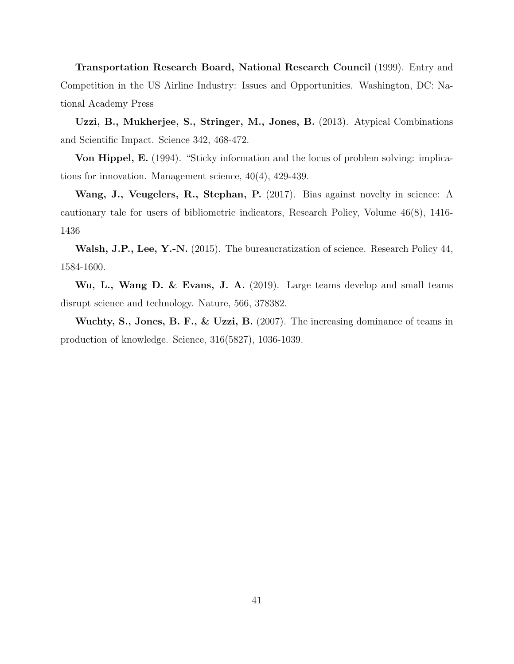Transportation Research Board, National Research Council (1999). Entry and Competition in the US Airline Industry: Issues and Opportunities. Washington, DC: National Academy Press

Uzzi, B., Mukherjee, S., Stringer, M., Jones, B. (2013). Atypical Combinations and Scientific Impact. Science 342, 468-472.

Von Hippel, E. (1994). "Sticky information and the locus of problem solving: implications for innovation. Management science, 40(4), 429-439.

Wang, J., Veugelers, R., Stephan, P. (2017). Bias against novelty in science: A cautionary tale for users of bibliometric indicators, Research Policy, Volume 46(8), 1416- 1436

Walsh, J.P., Lee, Y.-N. (2015). The bureaucratization of science. Research Policy 44, 1584-1600.

Wu, L., Wang D. & Evans, J. A. (2019). Large teams develop and small teams disrupt science and technology. Nature, 566, 378382.

Wuchty, S., Jones, B. F., & Uzzi, B. (2007). The increasing dominance of teams in production of knowledge. Science, 316(5827), 1036-1039.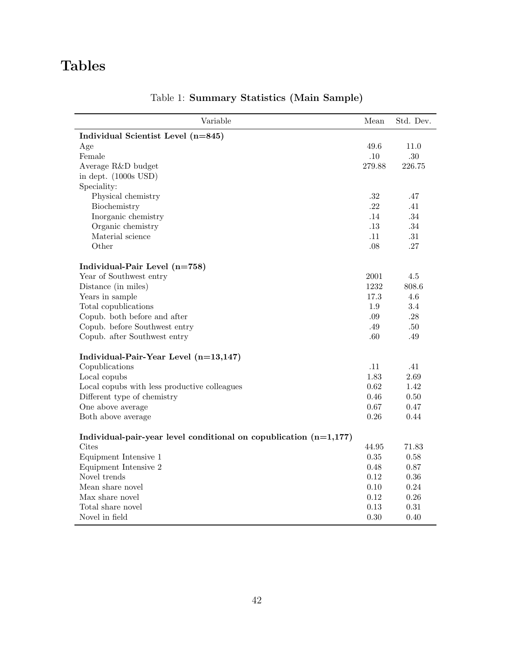# Tables

| Variable                                                            | Mean   | Std. Dev. |
|---------------------------------------------------------------------|--------|-----------|
| Individual Scientist Level (n=845)                                  |        |           |
| Age                                                                 | 49.6   | 11.0      |
| Female                                                              | .10    | $.30\,$   |
| Average R&D budget                                                  | 279.88 | 226.75    |
| in dept. $(1000s$ USD)                                              |        |           |
| Speciality:                                                         |        |           |
| Physical chemistry                                                  | .32    | .47       |
| Biochemistry                                                        | .22    | .41       |
| Inorganic chemistry                                                 | .14    | .34       |
| Organic chemistry                                                   | .13    | $.34\,$   |
| Material science                                                    | .11    | .31       |
| Other                                                               | .08    | .27       |
| Individual-Pair Level $(n=758)$                                     |        |           |
| Year of Southwest entry                                             | 2001   | $4.5\,$   |
| Distance (in miles)                                                 | 1232   | 808.6     |
| Years in sample                                                     | 17.3   | 4.6       |
| Total copublications                                                | 1.9    | 3.4       |
| Copub. both before and after                                        | .09    | .28       |
| Copub. before Southwest entry                                       | .49    | .50       |
| Copub. after Southwest entry                                        | .60    | .49       |
| Individual-Pair-Year Level $(n=13,147)$                             |        |           |
| Copublications                                                      | .11    | .41       |
| Local copubs                                                        | 1.83   | 2.69      |
| Local copubs with less productive colleagues                        | 0.62   | 1.42      |
| Different type of chemistry                                         | 0.46   | 0.50      |
| One above average                                                   | 0.67   | 0.47      |
| Both above average                                                  | 0.26   | 0.44      |
| Individual-pair-year level conditional on copublication $(n=1,177)$ |        |           |
| Cites                                                               | 44.95  | 71.83     |
| Equipment Intensive 1                                               | 0.35   | 0.58      |
| Equipment Intensive 2                                               | 0.48   | 0.87      |
| Novel trends                                                        | 0.12   | 0.36      |
| Mean share novel                                                    | 0.10   | 0.24      |
| Max share novel                                                     | 0.12   | 0.26      |
| Total share novel                                                   | 0.13   | 0.31      |
| Novel in field                                                      | 0.30   | 0.40      |

### Table 1: Summary Statistics (Main Sample)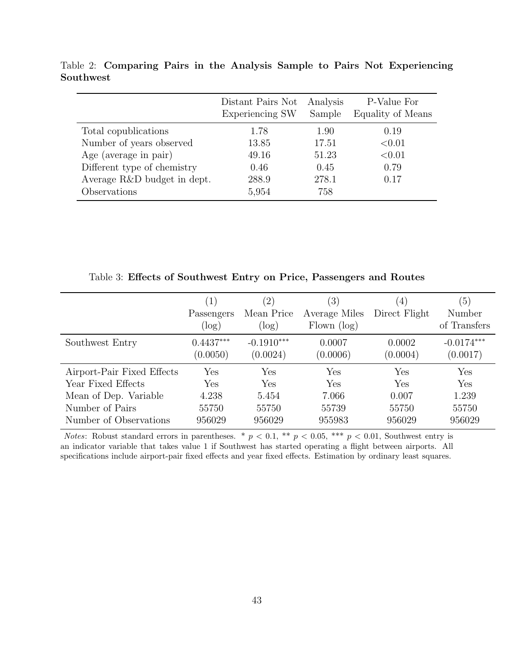|                             | Distant Pairs Not<br><b>Experiencing SW</b> | Analysis<br>Sample | P-Value For<br>Equality of Means |
|-----------------------------|---------------------------------------------|--------------------|----------------------------------|
| Total copublications        | 1.78                                        | 1.90               | 0.19                             |
| Number of years observed    | 13.85                                       | 17.51              | < 0.01                           |
| Age (average in pair)       | 49.16                                       | 51.23              | < 0.01                           |
| Different type of chemistry | 0.46                                        | 0.45               | 0.79                             |
| Average R&D budget in dept. | 288.9                                       | 278.1              | 0.17                             |
| Observations                | 5,954                                       | 758                |                                  |

Table 2: Comparing Pairs in the Analysis Sample to Pairs Not Experiencing Southwest

Table 3: Effects of Southwest Entry on Price, Passengers and Routes

|                            | $\left( 1\right)$<br>Passengers<br>log) | $\left( 2\right)$<br>Mean Price<br>$(\log)$ | (3)<br>Average Miles<br>Flown $(\log)$ | $\left(4\right)$<br>Direct Flight | (5)<br>Number<br>of Transfers |
|----------------------------|-----------------------------------------|---------------------------------------------|----------------------------------------|-----------------------------------|-------------------------------|
| Southwest Entry            | $0.4437***$                             | $-0.1910***$                                | 0.0007                                 | 0.0002                            | $-0.0174***$                  |
|                            | (0.0050)                                | (0.0024)                                    | (0.0006)                               | (0.0004)                          | (0.0017)                      |
| Airport-Pair Fixed Effects | Yes                                     | Yes                                         | Yes                                    | Yes                               | Yes                           |
| Year Fixed Effects         | Yes                                     | Yes                                         | Yes                                    | Yes                               | Yes                           |
| Mean of Dep. Variable      | 4.238                                   | 5.454                                       | 7.066                                  | 0.007                             | 1.239                         |
| Number of Pairs            | 55750                                   | 55750                                       | 55739                                  | 55750                             | 55750                         |
| Number of Observations     | 956029                                  | 956029                                      | 955983                                 | 956029                            | 956029                        |

Notes: Robust standard errors in parentheses. \*  $p < 0.1$ , \*\*  $p < 0.05$ , \*\*\*  $p < 0.01$ , Southwest entry is an indicator variable that takes value 1 if Southwest has started operating a flight between airports. All specifications include airport-pair fixed effects and year fixed effects. Estimation by ordinary least squares.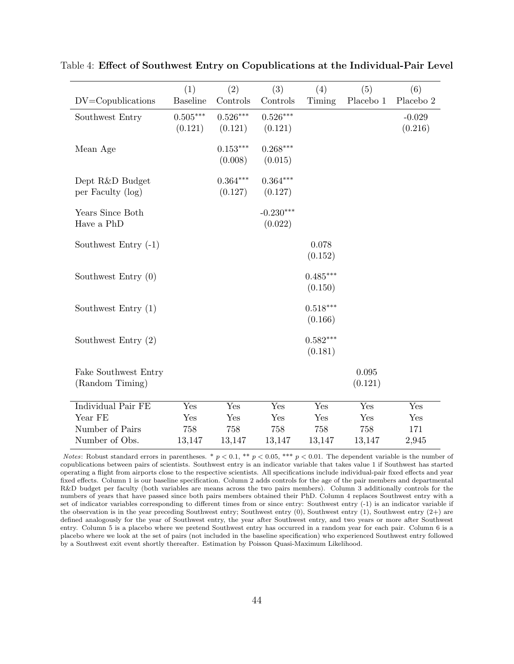| $DV =$ Copublications                   | (1)<br><b>Baseline</b> | (2)<br>Controls       | (3)<br>Controls        | (4)<br>Timing         | (5)<br>Placebo 1 | (6)<br>Placebo <sub>2</sub> |
|-----------------------------------------|------------------------|-----------------------|------------------------|-----------------------|------------------|-----------------------------|
| Southwest Entry                         | $0.505***$<br>(0.121)  | $0.526***$<br>(0.121) | $0.526***$<br>(0.121)  |                       |                  | $-0.029$<br>(0.216)         |
| Mean Age                                |                        | $0.153***$<br>(0.008) | $0.268***$<br>(0.015)  |                       |                  |                             |
| Dept R&D Budget<br>per Faculty (log)    |                        | $0.364***$<br>(0.127) | $0.364***$<br>(0.127)  |                       |                  |                             |
| Years Since Both<br>Have a PhD          |                        |                       | $-0.230***$<br>(0.022) |                       |                  |                             |
| Southwest Entry $(-1)$                  |                        |                       |                        | 0.078<br>(0.152)      |                  |                             |
| Southwest Entry $(0)$                   |                        |                       |                        | $0.485***$<br>(0.150) |                  |                             |
| Southwest Entry $(1)$                   |                        |                       |                        | $0.518***$<br>(0.166) |                  |                             |
| Southwest Entry $(2)$                   |                        |                       |                        | $0.582***$<br>(0.181) |                  |                             |
| Fake Southwest Entry<br>(Random Timing) |                        |                       |                        |                       | 0.095<br>(0.121) |                             |
| Individual Pair FE                      | Yes                    | Yes                   | Yes                    | Yes                   | Yes              | Yes                         |
| Year FE                                 | Yes                    | Yes                   | Yes                    | Yes                   | Yes              | Yes                         |
| Number of Pairs                         | 758                    | 758                   | 758                    | 758                   | 758              | 171                         |
| Number of Obs.                          | 13,147                 | 13,147                | 13,147                 | 13,147                | 13,147           | 2,945                       |

Table 4: Effect of Southwest Entry on Copublications at the Individual-Pair Level

Notes: Robust standard errors in parentheses. \*  $p < 0.1$ , \*\*  $p < 0.05$ , \*\*\*  $p < 0.01$ . The dependent variable is the number of copublications between pairs of scientists. Southwest entry is an indicator variable that takes value 1 if Southwest has started operating a flight from airports close to the respective scientists. All specifications include individual-pair fixed effects and year fixed effects. Column 1 is our baseline specification. Column 2 adds controls for the age of the pair members and departmental R&D budget per faculty (both variables are means across the two pairs members). Column 3 additionally controls for the numbers of years that have passed since both pairs members obtained their PhD. Column 4 replaces Southwest entry with a set of indicator variables corresponding to different times from or since entry: Southwest entry (-1) is an indicator variable if the observation is in the year preceding Southwest entry; Southwest entry  $(0)$ , Southwest entry  $(1)$ , Southwest entry  $(2+)$  are defined analogously for the year of Southwest entry, the year after Southwest entry, and two years or more after Southwest entry. Column 5 is a placebo where we pretend Southwest entry has occurred in a random year for each pair. Column 6 is a placebo where we look at the set of pairs (not included in the baseline specification) who experienced Southwest entry followed by a Southwest exit event shortly thereafter. Estimation by Poisson Quasi-Maximum Likelihood.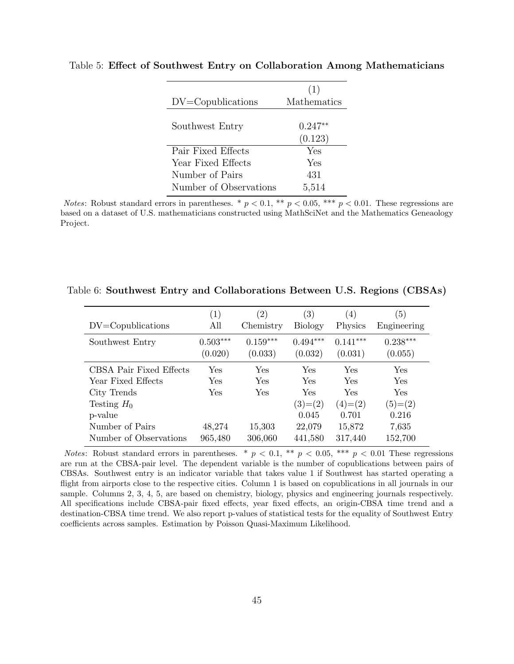|                        | (1)         |
|------------------------|-------------|
| $DV = Copublications$  | Mathematics |
|                        |             |
| Southwest Entry        | $0.247**$   |
|                        | (0.123)     |
| Pair Fixed Effects     | Yes         |
| Year Fixed Effects     | Yes         |
| Number of Pairs        | 431         |
| Number of Observations | 5,514       |

Table 5: Effect of Southwest Entry on Collaboration Among Mathematicians

*Notes*: Robust standard errors in parentheses. \*  $p < 0.1$ , \*\*  $p < 0.05$ , \*\*\*  $p < 0.01$ . These regressions are based on a dataset of U.S. mathematicians constructed using MathSciNet and the Mathematics Geneaology Project.

| $DV = Copublications$             | $\left( 1\right)$<br>All | $^{\prime}2)$<br>Chemistry | $\left( 3\right)$<br><b>Biology</b> | $\left(4\right)$<br>Physics | $\left(5\right)$<br>Engineering |
|-----------------------------------|--------------------------|----------------------------|-------------------------------------|-----------------------------|---------------------------------|
| Southwest Entry                   | $0.503***$<br>(0.020)    | $0.159***$<br>(0.033)      | $0.494***$<br>(0.032)               | $0.141***$<br>(0.031)       | $0.238***$<br>(0.055)           |
| CBSA Pair Fixed Effects           | Yes                      | Yes                        | Yes                                 | Yes                         | Yes                             |
| Year Fixed Effects<br>City Trends | Yes<br>Yes               | Yes<br>Yes                 | <b>Yes</b><br>Yes                   | Yes<br>Yes                  | Yes<br><b>Yes</b>               |
| Testing $H_0$                     |                          |                            | $(3)=(2)$                           | $(4) = (2)$                 | $(5)= (2)$                      |
| Number of Pairs                   | 48,274                   | 15,303                     | 22,079                              | 15,872                      | 7,635                           |
| p-value<br>Number of Observations | 965,480                  | 306,060                    | 0.045<br>441,580                    | 0.701<br>317,440            | 0.216<br>152,700                |

Table 6: Southwest Entry and Collaborations Between U.S. Regions (CBSAs)

*Notes*: Robust standard errors in parentheses. \*  $p < 0.1$ , \*\*  $p < 0.05$ , \*\*\*  $p < 0.01$  These regressions are run at the CBSA-pair level. The dependent variable is the number of copublications between pairs of CBSAs. Southwest entry is an indicator variable that takes value 1 if Southwest has started operating a flight from airports close to the respective cities. Column 1 is based on copublications in all journals in our sample. Columns 2, 3, 4, 5, are based on chemistry, biology, physics and engineering journals respectively. All specifications include CBSA-pair fixed effects, year fixed effects, an origin-CBSA time trend and a destination-CBSA time trend. We also report p-values of statistical tests for the equality of Southwest Entry coefficients across samples. Estimation by Poisson Quasi-Maximum Likelihood.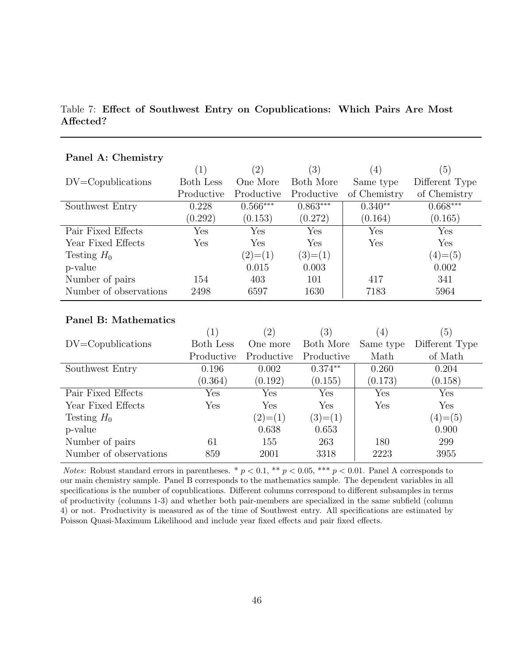| Panel A: Chemistry     |                      |                   |            |              |                |
|------------------------|----------------------|-------------------|------------|--------------|----------------|
|                        | (1)                  | $\left( 2\right)$ | (3)        | (4)          | (5)            |
| $DV = Copublications$  | <b>Both Less</b>     | One More          | Both More  | Same type    | Different Type |
|                        | Productive           | Productive        | Productive | of Chemistry | of Chemistry   |
| Southwest Entry        | 0.228                | $0.566***$        | $0.863***$ | $0.340**$    | $0.668***$     |
|                        | (0.292)              | (0.153)           | (0.272)    | (0.164)      | (0.165)        |
| Pair Fixed Effects     | $\operatorname{Yes}$ | Yes               | Yes        | Yes          | Yes            |
| Year Fixed Effects     | Yes                  | Yes               | Yes        | Yes          | Yes            |
| Testing $H_0$          |                      | $(2)= (1)$        | $(3)=(1)$  |              | $(4) = (5)$    |
| p-value                |                      | 0.015             | 0.003      |              | 0.002          |
| Number of pairs        | 154                  | 403               | 101        | 417          | 341            |
| Number of observations | 2498                 | 6597              | 1630       | 7183         | 5964           |

Table 7: Effect of Southwest Entry on Copublications: Which Pairs Are Most Affected?

#### Panel B: Mathematics

|                        | $\left(1\right)$ | $\left( 2\right)$ | $^{\prime}3)$ | $\left( 4\right)$    | $\left[5\right]$ |
|------------------------|------------------|-------------------|---------------|----------------------|------------------|
| $DV = Copublications$  | Both Less        | One more          | Both More     | Same type            | Different Type   |
|                        | Productive       | Productive        | Productive    | Math                 | of Math          |
| Southwest Entry        | 0.196            | 0.002             | $0.374**$     | 0.260                | 0.204            |
|                        | (0.364)          | (0.192)           | (0.155)       | (0.173)              | (0.158)          |
| Pair Fixed Effects     | Yes              | Yes               | Yes           | $\operatorname{Yes}$ | Yes              |
| Year Fixed Effects     | Yes              | Yes               | Yes           | Yes                  | Yes              |
| Testing $H_0$          |                  | $(2)= (1)$        | $(3)=(1)$     |                      | $(4) = (5)$      |
| p-value                |                  | 0.638             | 0.653         |                      | 0.900            |
| Number of pairs        | 61               | 155               | 263           | 180                  | 299              |
| Number of observations | 859              | 2001              | 3318          | 2223                 | 3955             |

Notes: Robust standard errors in parentheses. \*  $p < 0.1$ , \*\*  $p < 0.05$ , \*\*\*  $p < 0.01$ . Panel A corresponds to our main chemistry sample. Panel B corresponds to the mathematics sample. The dependent variables in all specifications is the number of copublications. Different columns correspond to different subsamples in terms of productivity (columns 1-3) and whether both pair-members are specialized in the same subfield (column 4) or not. Productivity is measured as of the time of Southwest entry. All specifications are estimated by Poisson Quasi-Maximum Likelihood and include year fixed effects and pair fixed effects.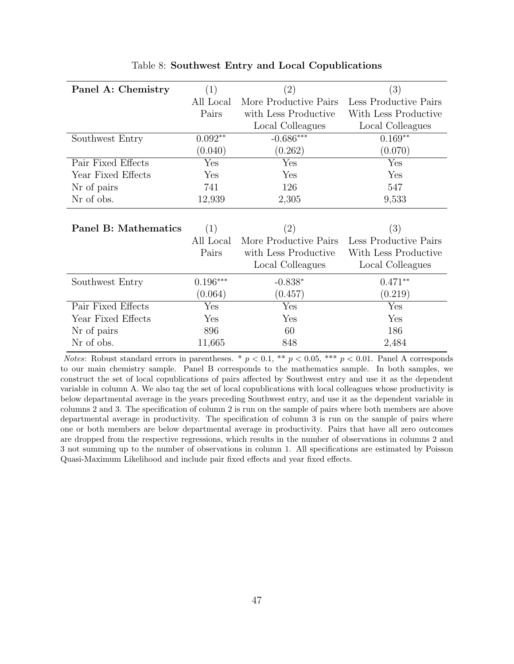| Panel A: Chemistry          | (1)        | (2)                   | (3)                   |
|-----------------------------|------------|-----------------------|-----------------------|
|                             | All Local  | More Productive Pairs | Less Productive Pairs |
|                             | Pairs      | with Less Productive  | With Less Productive  |
|                             |            | Local Colleagues      | Local Colleagues      |
| Southwest Entry             | $0.092**$  | $-0.686***$           | $0.169**$             |
|                             | (0.040)    | (0.262)               | (0.070)               |
| Pair Fixed Effects          | Yes        | Yes                   | Yes                   |
| Year Fixed Effects          | Yes        | Yes                   | Yes                   |
| Nr of pairs                 | 741        | 126                   | 547                   |
| Nr of obs.                  | 12,939     | 2,305                 | 9,533                 |
|                             |            |                       |                       |
| <b>Panel B: Mathematics</b> | (1)        | (2)                   | (3)                   |
|                             | All Local  | More Productive Pairs | Less Productive Pairs |
|                             | Pairs      | with Less Productive  | With Less Productive  |
|                             |            | Local Colleagues      | Local Colleagues      |
| Southwest Entry             | $0.196***$ | $-0.838*$             | $0.471**$             |
|                             | (0.064)    | (0.457)               | (0.219)               |
| Pair Fixed Effects          | Yes        | Yes                   | Yes                   |
| Year Fixed Effects          | Yes        | Yes                   | Yes                   |
| Nr of pairs                 | 896        | 60                    | 186                   |
| Nr of obs.                  | 11,665     | 848                   | 2,484                 |

#### Table 8: Southwest Entry and Local Copublications

Notes: Robust standard errors in parentheses. \*  $p < 0.1$ , \*\*  $p < 0.05$ , \*\*\*  $p < 0.01$ . Panel A corresponds to our main chemistry sample. Panel B corresponds to the mathematics sample. In both samples, we construct the set of local copublications of pairs affected by Southwest entry and use it as the dependent variable in column A. We also tag the set of local copublications with local colleagues whose productivity is below departmental average in the years preceding Southwest entry, and use it as the dependent variable in columns 2 and 3. The specification of column 2 is run on the sample of pairs where both members are above departmental average in productivity. The specification of column 3 is run on the sample of pairs where one or both members are below departmental average in productivity. Pairs that have all zero outcomes are dropped from the respective regressions, which results in the number of observations in columns 2 and 3 not summing up to the number of observations in column 1. All specifications are estimated by Poisson Quasi-Maximum Likelihood and include pair fixed effects and year fixed effects.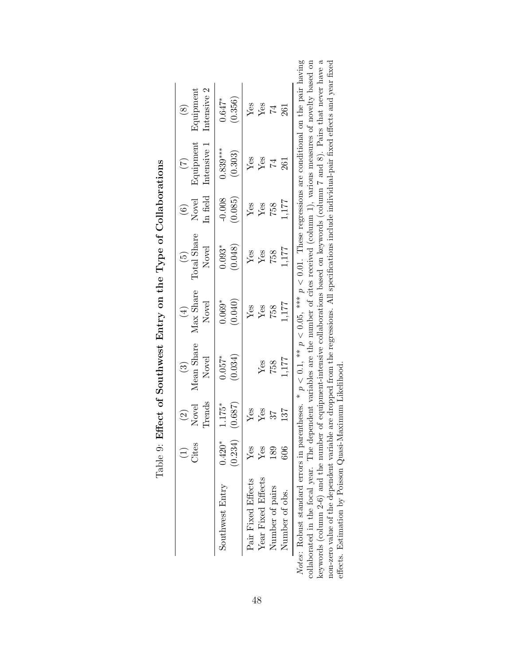|                    |          | $\frac{2}{\text{Novel}}$ | $\widehat{\mathfrak{S}}$ | $\bigoplus$ | $\widehat{G}$              |                                       |                        | $\circledast$                            |
|--------------------|----------|--------------------------|--------------------------|-------------|----------------------------|---------------------------------------|------------------------|------------------------------------------|
|                    | Cites    |                          | Mean Share               | Max Share   |                            | $(6)$<br>Novel                        | ${\bf Equipment}$      | Equipment                                |
|                    |          | Trends                   | Novel                    | Novel       | Total Share 1.<br>Novel 1. | In field                              | Intensive <sup>1</sup> | ntensive 2                               |
| Southwest Entry    | $0.420*$ | $1.175*$                 |                          | $0.069*$    | $0.093*$                   | $-0.008$                              | $0.839***$             | $0.647^{*}$                              |
|                    | (0.234)  | (0.687)                  | $0.057$ * $(0.034)$      | (0.040)     | (0.048)                    | (0.085)                               | (0.303)                | (0.356)                                  |
| Pair Fixed Effects | Yes      |                          |                          |             |                            |                                       |                        |                                          |
| Year Fixed Effects | Yes      | $\frac{Y}{Y}$ es         | Yes                      | $Y_{CS}$    | Yes<br>Yes                 | $\frac{Y_{\text{CS}}}{Y_{\text{CS}}}$ | Yes<br>Yes             |                                          |
| Number of pairs    | $^{189}$ | 25                       | 758                      | 758         | 758                        | 758                                   | $\rm 74$               | $\frac{V_{\text{ES}}}{V_{\text{ES}}}$ 74 |
| Number of obs.     |          | 137                      | 1,177                    | 177         | 1,177                      | 1,177                                 | 261                    |                                          |

| Entry on the lype of Collaborations<br>-<br>7<br>( |
|----------------------------------------------------|
| Ç                                                  |
| I                                                  |
|                                                    |
|                                                    |
| ׇ֚֓                                                |
| .<br>ו<br>ann in Don Tr<br>$\frac{1}{2}$           |
| i<br> <br> -<br>؟<br>ا<br>İ                        |
| $\frac{1}{2}$                                      |

collaborated in the focal year. The dependent variables are the number of cites received (column 1), various measures of novelty based on keywords (column 2-6) and the number of equipment-intensive collaborations based on ving keywords (column 2-6) and the number of equipment-intensive collaborations based on keywords (column 7 and 8). Pairs that never have a Notes: Robust standard errors in parentheses. \*  $p < 0.1$ , \*\*  $p < 0.05$ , \*\*\*  $p < 0.01$ . These regressions are conditional on the pair having  $n = 1$ . collaborated in the focal year. The dependent variables are the number of cites received (column 1), various measures of novelty based on non-zero value of the dependent variable are dropped from the regressions. All specifications include individual-pair fixed effects and year fixed effects. Estimation by Poisson Quasi-Maximum Likelihood. Note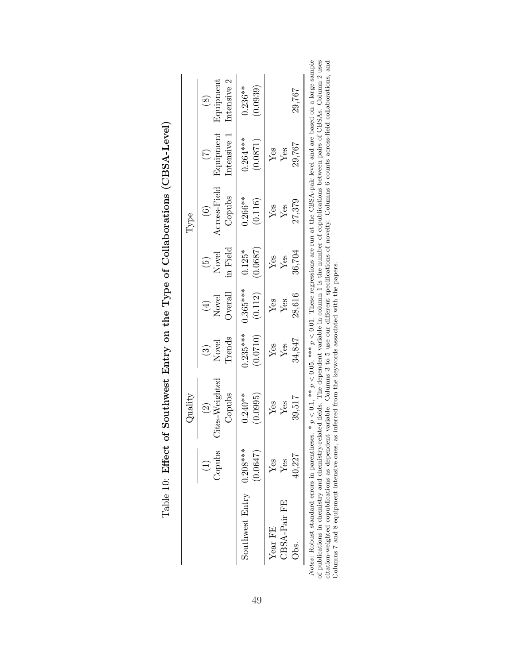|                                      |                         | $\operatorname{Quality}$                       |                         |                                                            |                                             | Type                                    |                                 |                                           |
|--------------------------------------|-------------------------|------------------------------------------------|-------------------------|------------------------------------------------------------|---------------------------------------------|-----------------------------------------|---------------------------------|-------------------------------------------|
|                                      | Copulos                 | Cites-Weighted<br>Copubs<br>$\widehat{\Omega}$ | Frends<br>Novel         | $\bigcirc$ verall<br>Novel<br>$\left( \frac{1}{2} \right)$ | in Field<br>Novel<br>$\widehat{\mathbb{G}}$ | Across-Field<br>Copubs<br>$\widehat{6}$ | Equipment<br>Intensive 1<br>(1) | Intensive 2<br>Equipment<br>$\circledast$ |
| Southwest Entry 0.208***             | (0.0647)                | $0.240**$<br>(0.0995)                          | $0.235***$<br>(0.0710)  | $0.365***$<br>(0.112)                                      | (0.0687)<br>$0.125*$                        | $0.266***$<br>(0.116)                   | $0.264***$<br>(0.0871)          | $0.236**$<br>(0.0939)                     |
| CBSA-Pair FE<br>Year FE<br>.<br>Obs. | 40,227<br>$Y$ es<br>Yes | 39,517<br>Yes<br>Yes                           | 34,847<br>Yes<br>$Y$ es | 28,616<br>Yes<br>$Y$ es                                    | 36,704<br>Yes<br>Yes                        | 27,379<br>$Y$ es<br>$Y$ es              | 29,767<br>$Y$ es<br>Yes         | 29,767                                    |

| ֧֖֖֖֚֚֚֚֚֚֚֚֚֝֝<br>֧֖֖֖֖֖֖֖֖֚֚֚֚֚֚֚֚֚֚֚֚֚֚֚֚֚֚֝<br>֧<br>$\frac{1}{1}$<br> <br> <br> <br> <br>ı<br>$\begin{smallmatrix} 1 \ 2 \ 2 \ 3 \end{smallmatrix}$ |
|---------------------------------------------------------------------------------------------------------------------------------------------------------|
| $\frac{1}{2}$<br> <br> <br> <br>;<br><<br>.<br>)                                                                                                        |
| I                                                                                                                                                       |
| -<br> }<br> <br>I                                                                                                                                       |
| .<br>.<br>.<br>.<br>.<br>$\frac{1}{2}$<br>$\frac{1}{2}$<br>$\ddot{\phantom{0}}$                                                                         |
| )<br>ן                                                                                                                                                  |
| ì<br>$\frac{1}{2}$<br>$\frac{1}{2}$                                                                                                                     |

*Notes*: Robust standard errors in parentheses. \*  $p < 0.01$ , \*\*  $p < 0.05$ , \*\*\*  $p < 0.01$ . These regressions are run at the CBSA-pair level and are based on a large sample of publications in chemistry-related fields. The d of publications in chemistry and chemistry-related fields. The dependent variable in column 1 is the number of copublications between pairs of CBSAs. Column 2 uses citation-weighted copublications as dependent variable. Columns 3 to 5 use our different specifications of novelty. Columns 6 counts across-field collaborations, and

Columns 7 and 8 equipment intensive ones, as inferred from the keywords associated with the papers.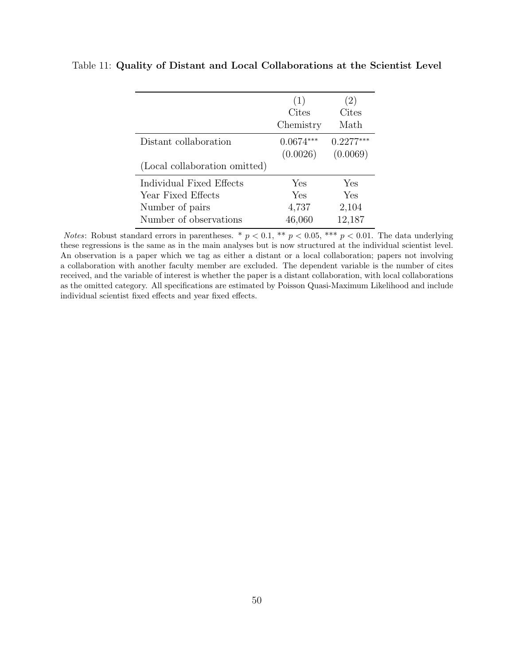|                               | (1)         | (2)         |
|-------------------------------|-------------|-------------|
|                               | Cites       | Cites       |
|                               | Chemistry   | Math        |
| Distant collaboration         | $0.0674***$ | $0.2277***$ |
|                               | (0.0026)    | (0.0069)    |
| (Local collaboration omitted) |             |             |
| Individual Fixed Effects      | Yes         | Yes         |
| Year Fixed Effects            | Yes         | Yes         |
| Number of pairs               | 4,737       | 2,104       |
| Number of observations        | 46,060      | 12,187      |

Table 11: Quality of Distant and Local Collaborations at the Scientist Level

*Notes*: Robust standard errors in parentheses. \*  $p < 0.1$ , \*\*  $p < 0.05$ , \*\*\*  $p < 0.01$ . The data underlying these regressions is the same as in the main analyses but is now structured at the individual scientist level. An observation is a paper which we tag as either a distant or a local collaboration; papers not involving a collaboration with another faculty member are excluded. The dependent variable is the number of cites received, and the variable of interest is whether the paper is a distant collaboration, with local collaborations as the omitted category. All specifications are estimated by Poisson Quasi-Maximum Likelihood and include individual scientist fixed effects and year fixed effects.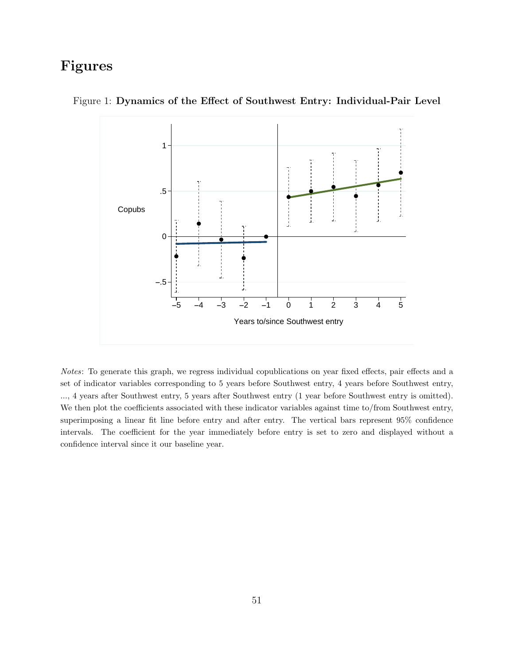### Figures



Figure 1: Dynamics of the Effect of Southwest Entry: Individual-Pair Level

Notes: To generate this graph, we regress individual copublications on year fixed effects, pair effects and a set of indicator variables corresponding to 5 years before Southwest entry, 4 years before Southwest entry, ..., 4 years after Southwest entry, 5 years after Southwest entry (1 year before Southwest entry is omitted). We then plot the coefficients associated with these indicator variables against time to/from Southwest entry, superimposing a linear fit line before entry and after entry. The vertical bars represent 95% confidence intervals. The coefficient for the year immediately before entry is set to zero and displayed without a confidence interval since it our baseline year.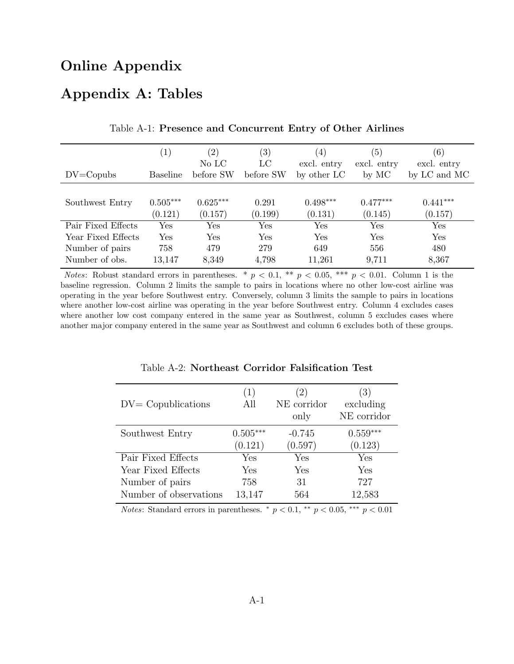### Online Appendix

### Appendix A: Tables

|                      | $\left( 1\right)$ | $^{\prime}2)$ | $\left( 3\right)$ | (4)         | $\left( 5\right)$ | (6)          |
|----------------------|-------------------|---------------|-------------------|-------------|-------------------|--------------|
|                      |                   | No LC         | LC                | excl. entry | excl. entry       | excl. entry  |
| $DV = \text{Copubs}$ | <b>Baseline</b>   | before SW     | before SW         | by other LC | by MC             | by LC and MC |
|                      |                   |               |                   |             |                   |              |
| Southwest Entry      | $0.505***$        | $0.625***$    | 0.291             | $0.498***$  | $0.477***$        | $0.441***$   |
|                      | (0.121)           | (0.157)       | (0.199)           | (0.131)     | (0.145)           | (0.157)      |
| Pair Fixed Effects   | Yes               | Yes           | Yes               | Yes         | Yes               | Yes          |
| Year Fixed Effects   | Yes               | Yes           | Yes               | Yes         | Yes               | Yes          |
| Number of pairs      | 758               | 479           | 279               | 649         | 556               | 480          |
| Number of obs.       | 13,147            | 8,349         | 4,798             | 11,261      | 9,711             | 8,367        |

#### Table A-1: Presence and Concurrent Entry of Other Airlines

Notes: Robust standard errors in parentheses. \*  $p < 0.1$ , \*\*  $p < 0.05$ , \*\*\*  $p < 0.01$ . Column 1 is the baseline regression. Column 2 limits the sample to pairs in locations where no other low-cost airline was operating in the year before Southwest entry. Conversely, column 3 limits the sample to pairs in locations where another low-cost airline was operating in the year before Southwest entry. Column 4 excludes cases where another low cost company entered in the same year as Southwest, column 5 excludes cases where another major company entered in the same year as Southwest and column 6 excludes both of these groups.

| (1)<br>All | (2)<br>NE corridor<br>only | (3)<br>excluding<br>NE corridor |
|------------|----------------------------|---------------------------------|
| $0.505***$ | $-0.745$                   | $0.559***$                      |
|            |                            | (0.123)                         |
| Yes        | Yes                        | Yes                             |
| Yes        | Yes                        | Yes                             |
| 758        | 31                         | 727                             |
| 13,147     | 564                        | 12,583                          |
|            | (0.121)                    | (0.597)                         |

Table A-2: Northeast Corridor Falsification Test

*Notes*: Standard errors in parentheses.  $*$   $p < 0.1$ ,  $**$   $p < 0.05$ ,  $***$   $p < 0.01$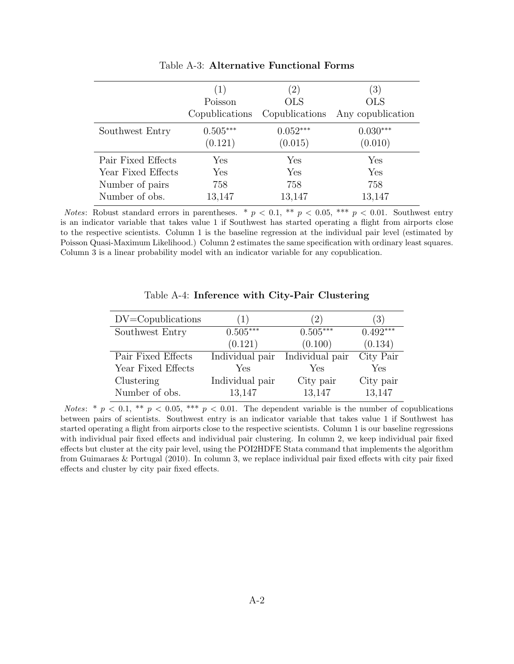|                    | (1)            | (2)            | $\left( 3\right)$ |
|--------------------|----------------|----------------|-------------------|
|                    | Poisson        | <b>OLS</b>     | <b>OLS</b>        |
|                    | Copublications | Copublications | Any copublication |
| Southwest Entry    | $0.505***$     | $0.052***$     | $0.030***$        |
|                    | (0.121)        | (0.015)        | (0.010)           |
| Pair Fixed Effects | Yes            | Yes            | Yes               |
| Year Fixed Effects | Yes            | Yes            | Yes               |
| Number of pairs    | 758            | 758            | 758               |
| Number of obs.     | 13,147         | 13,147         | 13,147            |

Table A-3: Alternative Functional Forms

Notes: Robust standard errors in parentheses. \*  $p < 0.1$ , \*\*  $p < 0.05$ , \*\*\*  $p < 0.01$ . Southwest entry is an indicator variable that takes value 1 if Southwest has started operating a flight from airports close to the respective scientists. Column 1 is the baseline regression at the individual pair level (estimated by Poisson Quasi-Maximum Likelihood.) Column 2 estimates the same specification with ordinary least squares. Column 3 is a linear probability model with an indicator variable for any copublication.

| $DV = Copublications$ | (1)             | (2)             | (3)        |
|-----------------------|-----------------|-----------------|------------|
| Southwest Entry       | $0.505***$      | $0.505***$      | $0.492***$ |
|                       | (0.121)         | (0.100)         | (0.134)    |
| Pair Fixed Effects    | Individual pair | Individual pair | City Pair  |
| Year Fixed Effects    | Yes             | Yes             | Yes        |
| Clustering            | Individual pair | City pair       | City pair  |
| Number of obs.        | 13,147          | 13,147          | 13,147     |

Table A-4: Inference with City-Pair Clustering

Notes: \*  $p < 0.1$ , \*\*  $p < 0.05$ , \*\*\*  $p < 0.01$ . The dependent variable is the number of copublications between pairs of scientists. Southwest entry is an indicator variable that takes value 1 if Southwest has started operating a flight from airports close to the respective scientists. Column 1 is our baseline regressions with individual pair fixed effects and individual pair clustering. In column 2, we keep individual pair fixed effects but cluster at the city pair level, using the POI2HDFE Stata command that implements the algorithm from Guimaraes & Portugal (2010). In column 3, we replace individual pair fixed effects with city pair fixed effects and cluster by city pair fixed effects.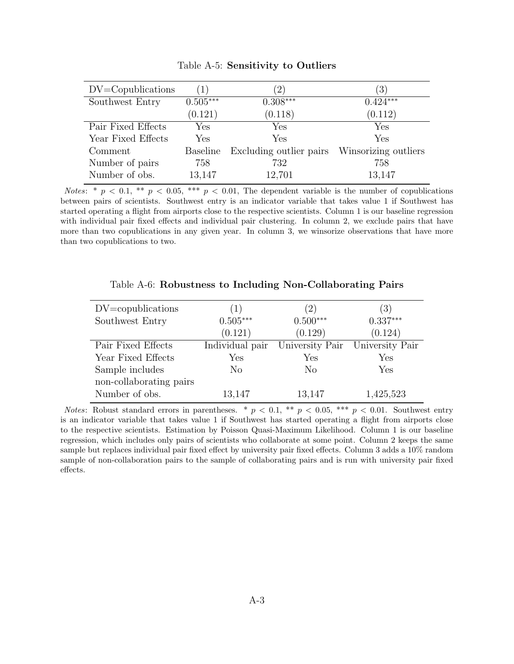| $DV =$ Copublications |                 | $2^{\circ}$             | $\left(3\right)$     |
|-----------------------|-----------------|-------------------------|----------------------|
| Southwest Entry       | $0.505***$      | $0.308***$              | $0.424***$           |
|                       | (0.121)         | (0.118)                 | (0.112)              |
| Pair Fixed Effects    | Yes             | Yes                     | Yes                  |
| Year Fixed Effects    | Yes             | Yes                     | Yes                  |
| Comment               | <b>Baseline</b> | Excluding outlier pairs | Winsorizing outliers |
| Number of pairs       | 758             | 732                     | 758                  |
| Number of obs.        | 13,147          | 12,701                  | 13,147               |

Table A-5: Sensitivity to Outliers

Notes: \*  $p < 0.1$ , \*\*  $p < 0.05$ , \*\*\*  $p < 0.01$ , The dependent variable is the number of copublications between pairs of scientists. Southwest entry is an indicator variable that takes value 1 if Southwest has started operating a flight from airports close to the respective scientists. Column 1 is our baseline regression with individual pair fixed effects and individual pair clustering. In column 2, we exclude pairs that have more than two copublications in any given year. In column 3, we winsorize observations that have more than two copublications to two.

| $DV = copublications$   |                 | (2)             | (3)             |
|-------------------------|-----------------|-----------------|-----------------|
| Southwest Entry         | $0.505***$      | $0.500***$      | $0.337***$      |
|                         | (0.121)         | (0.129)         | (0.124)         |
| Pair Fixed Effects      | Individual pair | University Pair | University Pair |
| Year Fixed Effects      | Yes             | Yes             | Yes             |
| Sample includes         | $\rm No$        | No              | Yes             |
| non-collaborating pairs |                 |                 |                 |
| Number of obs.          | 13,147          | 13,147          | 1,425,523       |

Notes: Robust standard errors in parentheses. \*  $p < 0.1$ , \*\*  $p < 0.05$ , \*\*\*  $p < 0.01$ . Southwest entry is an indicator variable that takes value 1 if Southwest has started operating a flight from airports close to the respective scientists. Estimation by Poisson Quasi-Maximum Likelihood. Column 1 is our baseline regression, which includes only pairs of scientists who collaborate at some point. Column 2 keeps the same sample but replaces individual pair fixed effect by university pair fixed effects. Column 3 adds a 10% random sample of non-collaboration pairs to the sample of collaborating pairs and is run with university pair fixed effects.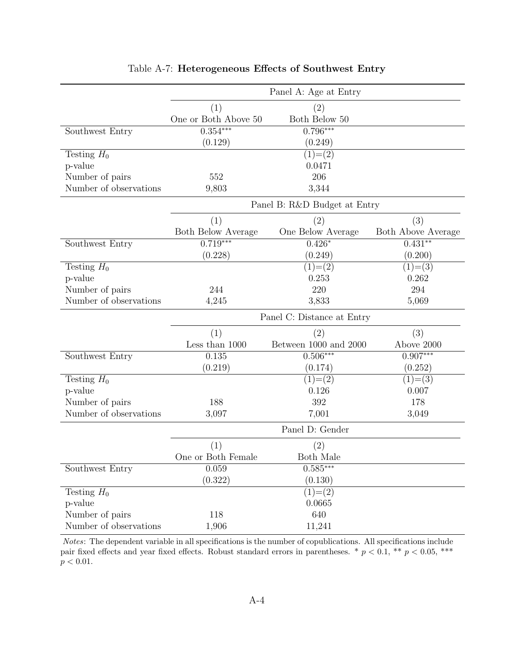|                        |                            | Panel A: Age at Entry        |                           |  |
|------------------------|----------------------------|------------------------------|---------------------------|--|
|                        | (1)                        | (2)                          |                           |  |
|                        | One or Both Above 50       | Both Below 50                |                           |  |
| Southwest Entry        | $0.354***$                 | $0.796***$                   |                           |  |
|                        | (0.129)                    | (0.249)                      |                           |  |
| Testing $H_0$          |                            | $(1)= (2)$                   |                           |  |
| p-value                |                            | 0.0471                       |                           |  |
| Number of pairs        | 552                        | 206                          |                           |  |
| Number of observations | 9,803                      | 3,344                        |                           |  |
|                        |                            | Panel B: R&D Budget at Entry |                           |  |
|                        | (1)                        | (2)                          | (3)                       |  |
|                        | <b>Both Below Average</b>  | One Below Average            | <b>Both Above Average</b> |  |
| Southwest Entry        | $0.719***$                 | $0.426*$                     | $0.431**$                 |  |
|                        | (0.228)                    | (0.249)                      | (0.200)                   |  |
| Testing $H_0$          |                            | $(1)=\overline{(2)}$         | $(1)=$ $(\overline{3})$   |  |
| p-value                |                            | 0.253                        | 0.262                     |  |
| Number of pairs        | 244                        | 220                          | 294                       |  |
| Number of observations | 4,245                      | 3,833                        | 5,069                     |  |
|                        | Panel C: Distance at Entry |                              |                           |  |
|                        | (1)                        | (2)                          | (3)                       |  |
|                        | Less than 1000             | Between 1000 and 2000        | Above 2000                |  |
| Southwest Entry        | 0.135                      | $0.506***$                   | $0.907***$                |  |
|                        | (0.219)                    | (0.174)                      | (0.252)                   |  |
| Testing $H_0$          |                            | $(1)=(2)$                    | $(1)= (3)$                |  |
| p-value                |                            | 0.126                        | 0.007                     |  |
| Number of pairs        | 188                        | 392                          | 178                       |  |
| Number of observations | 3,097                      | 7,001                        | 3,049                     |  |
|                        |                            | Panel D: Gender              |                           |  |
|                        | (1)                        | (2)                          |                           |  |
|                        | One or Both Female         | Both Male                    |                           |  |
| Southwest Entry        | 0.059                      | $0.585***$                   |                           |  |
|                        | (0.322)                    | (0.130)                      |                           |  |
| Testing $H_0$          |                            | $(1)= (2)$                   |                           |  |
| p-value                |                            | 0.0665                       |                           |  |
| Number of pairs        | 118                        | 640                          |                           |  |
| Number of observations | 1,906                      | 11,241                       |                           |  |

### Table A-7: Heterogeneous Effects of Southwest Entry

Notes: The dependent variable in all specifications is the number of copublications. All specifications include pair fixed effects and year fixed effects. Robust standard errors in parentheses. \*  $p < 0.1$ , \*\*  $p < 0.05$ , \*\*\*  $p < 0.01$ .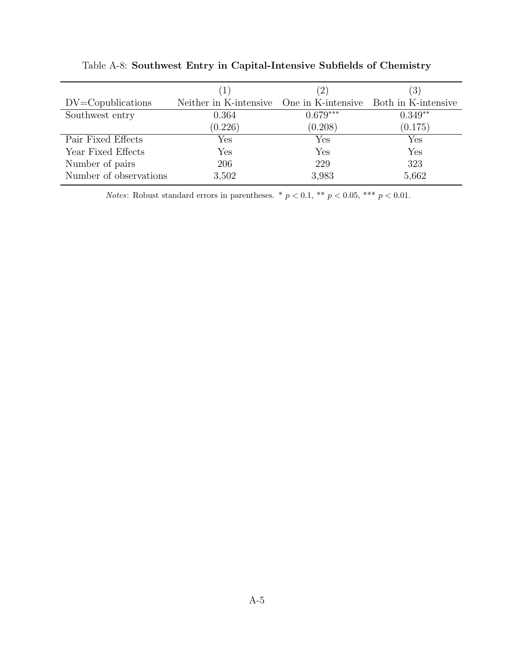|                        | $\perp$                                                       | $\left( 2\right)$ | $\left(3\right)$ |
|------------------------|---------------------------------------------------------------|-------------------|------------------|
| $DV =$ Copublications  | Neither in K-intensive One in K-intensive Both in K-intensive |                   |                  |
| Southwest entry        | 0.364                                                         | $0.679***$        | $0.349**$        |
|                        | (0.226)                                                       | (0.208)           | (0.175)          |
| Pair Fixed Effects     | Yes                                                           | Yes               | ${\rm Yes}$      |
| Year Fixed Effects     | $\operatorname{Yes}$                                          | Yes               | Yes              |
| Number of pairs        | 206                                                           | 229               | 323              |
| Number of observations | 3,502                                                         | 3,983             | 5,662            |

Table A-8: Southwest Entry in Capital-Intensive Subfields of Chemistry

 $Notes:~Robust~standard~errors~in~parents.~*~p<0.1,~^{**}~p<0.05,~^{***}~p<0.01.$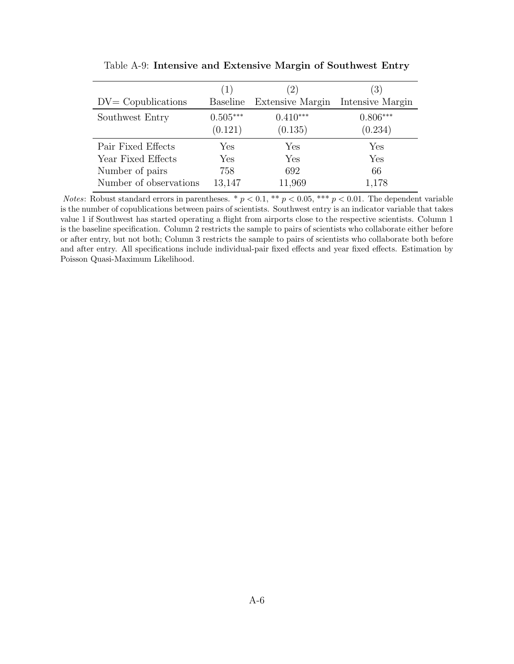|                        | (1)             | (2)              | (3)              |
|------------------------|-----------------|------------------|------------------|
| $DV =$ Copublications  | <b>Baseline</b> | Extensive Margin | Intensive Margin |
| Southwest Entry        | $0.505***$      | $0.410***$       | $0.806***$       |
|                        | (0.121)         | (0.135)          | (0.234)          |
| Pair Fixed Effects     | Yes             | ${\rm Yes}$      | Yes              |
| Year Fixed Effects     | Yes             | Yes              | Yes              |
| Number of pairs        | 758             | 692              | 66               |
| Number of observations | 13,147          | 11,969           | 1,178            |

Table A-9: Intensive and Extensive Margin of Southwest Entry

Notes: Robust standard errors in parentheses. \*  $p < 0.1$ , \*\*  $p < 0.05$ , \*\*\*  $p < 0.01$ . The dependent variable is the number of copublications between pairs of scientists. Southwest entry is an indicator variable that takes value 1 if Southwest has started operating a flight from airports close to the respective scientists. Column 1 is the baseline specification. Column 2 restricts the sample to pairs of scientists who collaborate either before or after entry, but not both; Column 3 restricts the sample to pairs of scientists who collaborate both before and after entry. All specifications include individual-pair fixed effects and year fixed effects. Estimation by Poisson Quasi-Maximum Likelihood.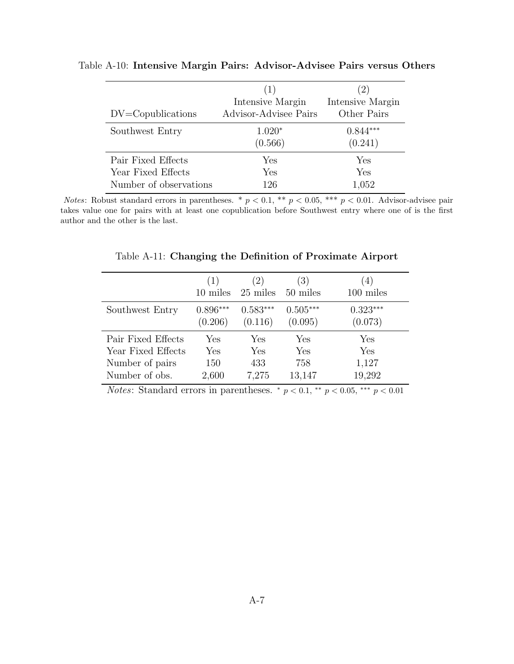|                        | (1)                   | (2)              |
|------------------------|-----------------------|------------------|
|                        | Intensive Margin      | Intensive Margin |
| $DV =$ Copublications  | Advisor-Advisee Pairs | Other Pairs      |
| Southwest Entry        | $1.020*$              | $0.844***$       |
|                        | (0.566)               | (0.241)          |
| Pair Fixed Effects     | Yes                   | Yes              |
| Year Fixed Effects     | ${\rm Yes}$           | Yes              |
| Number of observations | 126                   | 1,052            |

Table A-10: Intensive Margin Pairs: Advisor-Advisee Pairs versus Others

*Notes*: Robust standard errors in parentheses.  $*$   $p$  < 0.1,  $**$   $p$  < 0.05,  $***$   $p$  < 0.01. Advisor-advisee pair takes value one for pairs with at least one copublication before Southwest entry where one of is the first author and the other is the last.

Table A-11: Changing the Definition of Proximate Airport

|                    | (1)        | $\left(2\right)$ | $\left(3\right)$ | 4)         |
|--------------------|------------|------------------|------------------|------------|
|                    | 10 miles   | 25 miles         | 50 miles         | 100 miles  |
| Southwest Entry    | $0.896***$ | $0.583***$       | $0.505***$       | $0.323***$ |
|                    | (0.206)    | (0.116)          | (0.095)          | (0.073)    |
| Pair Fixed Effects | Yes        | Yes              | Yes              | Yes        |
| Year Fixed Effects | Yes        | Yes              | Yes              | Yes        |
| Number of pairs    | 150        | 433              | 758              | 1,127      |
| Number of obs.     | 2,600      | 7,275            | 13,147           | 19,292     |

*Notes*: Standard errors in parentheses.  $*$   $p < 0.1$ ,  $**$   $p < 0.05$ ,  $***$   $p < 0.01$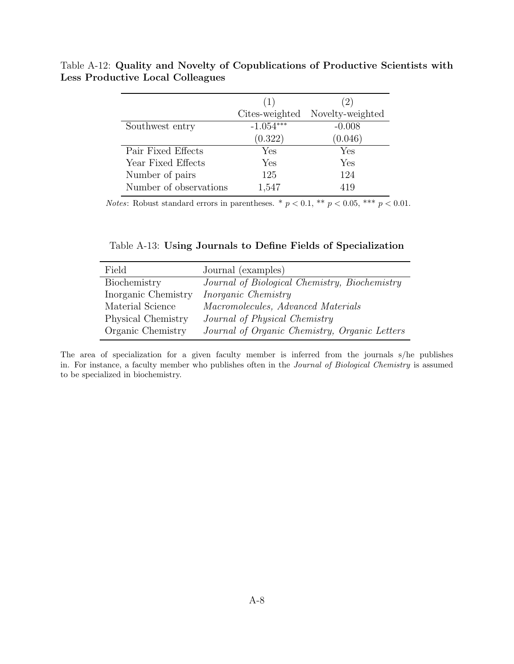|                        | (1)            | (2)              |
|------------------------|----------------|------------------|
|                        | Cites-weighted | Novelty-weighted |
| Southwest entry        | $-1.054***$    | $-0.008$         |
|                        | (0.322)        | (0.046)          |
| Pair Fixed Effects     | Yes            | Yes              |
| Year Fixed Effects     | Yes            | Yes              |
| Number of pairs        | 125            | 124              |
| Number of observations | 1,547          | 419              |

Table A-12: Quality and Novelty of Copublications of Productive Scientists with Less Productive Local Colleagues

*Notes*: Robust standard errors in parentheses. \*  $p < 0.1$ , \*\*  $p < 0.05$ , \*\*\*  $p < 0.01$ .

Table A-13: Using Journals to Define Fields of Specialization

| Field               | Journal (examples)                            |
|---------------------|-----------------------------------------------|
| Biochemistry        | Journal of Biological Chemistry, Biochemistry |
| Inorganic Chemistry | <i>Inorganic Chemistry</i>                    |
| Material Science    | Macromolecules, Advanced Materials            |
| Physical Chemistry  | Journal of Physical Chemistry                 |
| Organic Chemistry   | Journal of Organic Chemistry, Organic Letters |

The area of specialization for a given faculty member is inferred from the journals s/he publishes in. For instance, a faculty member who publishes often in the Journal of Biological Chemistry is assumed to be specialized in biochemistry.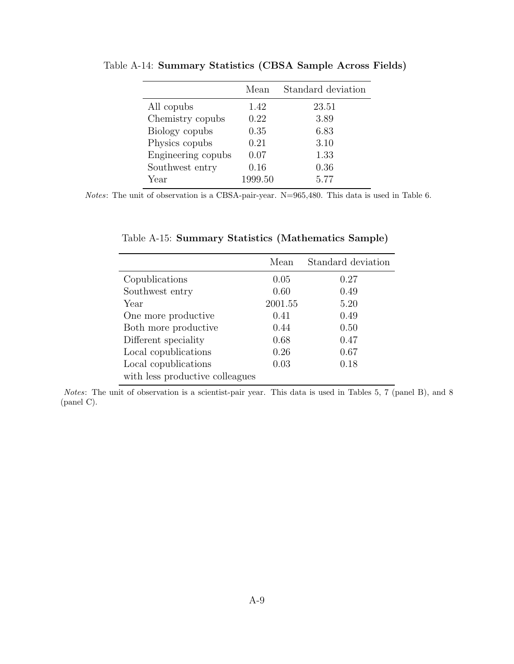|                    | Mean    | Standard deviation |
|--------------------|---------|--------------------|
| All copubs         | 1.42    | 23.51              |
| Chemistry copubs   | 0.22    | 3.89               |
| Biology copubs     | 0.35    | 6.83               |
| Physics copubs     | 0.21    | 3.10               |
| Engineering copubs | 0.07    | 1.33               |
| Southwest entry    | 0.16    | 0.36               |
| Year               | 1999.50 | 5.77               |

Table A-14: Summary Statistics (CBSA Sample Across Fields)

Notes: The unit of observation is a CBSA-pair-year. N=965,480. This data is used in Table 6.

|                                 | Mean    | Standard deviation |
|---------------------------------|---------|--------------------|
| Copublications                  | 0.05    | 0.27               |
| Southwest entry                 | 0.60    | 0.49               |
| Year                            | 2001.55 | 5.20               |
| One more productive.            | 0.41    | 0.49               |
| Both more productive            | 0.44    | 0.50               |
| Different speciality            | 0.68    | 0.47               |
| Local copublications            | 0.26    | 0.67               |
| Local copublications            | 0.03    | 0.18               |
| with less productive colleagues |         |                    |

Table A-15: Summary Statistics (Mathematics Sample)

Notes: The unit of observation is a scientist-pair year. This data is used in Tables 5, 7 (panel B), and 8 (panel C).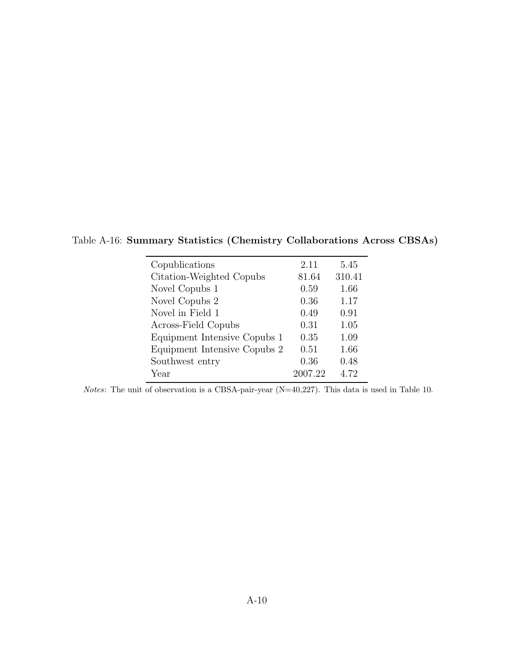| Copublications               | 2.11    | 5.45   |
|------------------------------|---------|--------|
|                              |         |        |
| Citation-Weighted Copubs     | 81.64   | 310.41 |
| Novel Copubs 1               | 0.59    | 1.66   |
| Novel Copubs 2               | 0.36    | 1.17   |
| Novel in Field 1             | 0.49    | 0.91   |
| Across-Field Copubs          | 0.31    | 1.05   |
| Equipment Intensive Copubs 1 | 0.35    | 1.09   |
| Equipment Intensive Copubs 2 | 0.51    | 1.66   |
| Southwest entry              | 0.36    | 0.48   |
| Year                         | 2007.22 | 4.72   |

Table A-16: Summary Statistics (Chemistry Collaborations Across CBSAs)

Notes: The unit of observation is a CBSA-pair-year (N=40,227). This data is used in Table 10.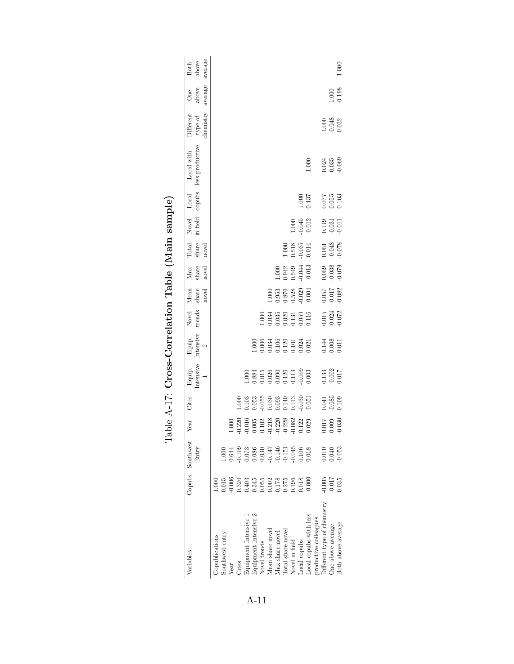| average<br>above<br><b>Both</b><br>average<br>above<br><b>One</b> |                                                                                                                                                                                                                                                                              | 1.000<br>$\begin{array}{c} 1.000 \\ 0.198 \end{array}$                 |
|-------------------------------------------------------------------|------------------------------------------------------------------------------------------------------------------------------------------------------------------------------------------------------------------------------------------------------------------------------|------------------------------------------------------------------------|
| chemistry<br>Different<br>type of                                 |                                                                                                                                                                                                                                                                              | $\begin{array}{c} 1.000 \\ 0.048 \\ 0.032 \end{array}$                 |
| less productive<br>Local with                                     | 1.000                                                                                                                                                                                                                                                                        | 0.069<br>$0.024$<br>$0.035$                                            |
| copubs<br>Local                                                   | 0.437<br>00(                                                                                                                                                                                                                                                                 | 0.077<br>770.05<br>0.103                                               |
| in field<br>Novel                                                 | $1.000$<br>$-0.045$<br>$-0.012$                                                                                                                                                                                                                                              | $0.119$<br>$-0.031$<br>$-0.011$                                        |
| Total<br>share<br>novel                                           | $\begin{array}{c} 1.000 \\ 0.518 \\ 0.037 \\ 0.014 \end{array}$                                                                                                                                                                                                              | $0.051$<br>$0.048$<br>$0.078$                                          |
| share<br>novel<br>Max                                             | $1.000$<br>$0.942$<br>$0.549$<br>$0.044$<br>$0.013$                                                                                                                                                                                                                          | $0.059$<br>$0.038$<br>$0.079$                                          |
| Mean<br>share<br>novel                                            | $\begin{array}{c} 1.000 \\ 0.953 \\ 0.870 \\ 0.528 \\ 0.029 \\ \end{array}$                                                                                                                                                                                                  | $0.057$<br>$0.017$<br>$-0.082$                                         |
| Novel<br>trends                                                   | $\begin{array}{c} 1.000 \\ 1.034 \\ 0.035 \\ 0.020 \\ 0.131 \\ 0.059 \\ 0.0116 \\ 0.0116 \\ \end{array}$                                                                                                                                                                     | $\begin{array}{c} 0.015 \\ -0.024 \end{array}$                         |
| Intensive<br>Equip.<br>$\sim$                                     | $1.006$<br>$0.033$<br>$0.106$<br>$0.120$<br>$0.024$<br>$0.021$                                                                                                                                                                                                               | 0.144<br>0.008<br>0.011                                                |
| Equip.<br>Intensive                                               | $\begin{array}{l} 1.000\\ 0.884\\ 0.015\\ 0.026\\ 0.090\\ 0.126\\ 0.13\\ 0.003\\ 0.003\\ 0.003\\ 0.003\\ 0.003\\ 0.003\\ 0.003\\ 0.003\\ 0.003\\ 0.003\\ 0.003\\ 0.003\\ 0.003\\ 0.003\\ 0.003\\ 0.003\\ 0.003\\ 0.003\\ 0.003\\ 0.003\\ 0.003\\ 0.003\\ 0.003\\ 0.0$        | $\begin{array}{c} 0.133 \\ 0.002 \\ 0.017 \end{array}$                 |
| Cites                                                             | $-0.055$<br>$0.030$<br>$0.093$<br>$0.140$<br>$0.113$<br>$-0.030$<br>1.000<br>0.53<br>0.103                                                                                                                                                                                   | $-0.041$<br>$-0.085$<br>0.109                                          |
| Year                                                              | $0.102$<br>$0.218$<br>$0.220$<br>$0.228$<br>$1.000$<br>$0.220$<br>0.016<br>$0.082$<br>$0.122$<br>0.029<br>0.005                                                                                                                                                              | 1.017<br>0.030<br>0.009                                                |
| Copubs Southwest<br>Entry                                         | $\begin{array}{c} 0.109 \\ 0.073 \\ 0.086 \\ 0.030 \\ 0.147 \\ 0.146 \\ 0.146 \end{array}$<br>$\begin{array}{c} 0.045 \\ 0.106 \\ 0.018 \end{array}$<br>0.644<br>0001                                                                                                        | 0.053<br>0.010<br>0.040                                                |
|                                                                   | 0.006<br>0.002<br>1.178<br>1.275<br>1.196<br>0.000<br>0.015<br>0.345<br>0.55<br>0.320<br>0.018                                                                                                                                                                               | $-0.005$<br>0.017<br>0.035                                             |
| Variables                                                         | Equipment Intensive 2<br>Local copubs with less<br>Equipment Intensive 1<br>productive colleagues<br>Mean share novel<br>Total share novel<br>Max share novel<br>Southwest entry<br><b>Copublications</b><br>Local copubs<br>Novel trends<br>Novel in field<br>Year<br>Cites | Different type of chemistry<br>Both above average<br>One above average |

| n m m l n                                      |
|------------------------------------------------|
|                                                |
| $\frac{1}{2}$                                  |
| $\frac{1}{2}$<br>i<br>$\overline{\phantom{a}}$ |
| Ì<br>ζ                                         |
| Į<br>ı                                         |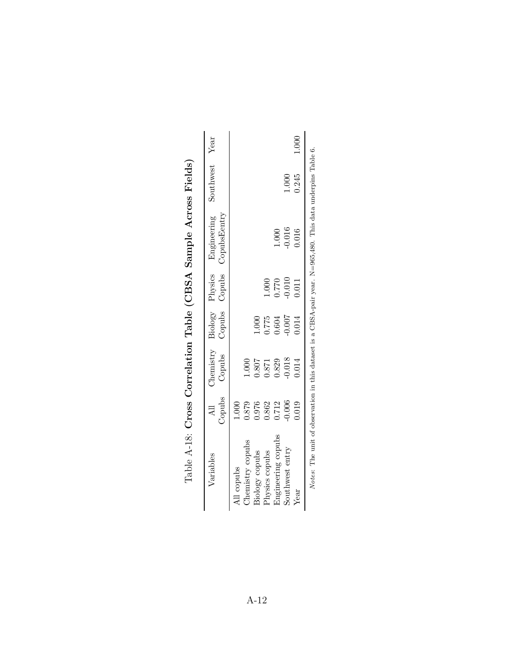| 1.000<br>Year<br>Southwest<br>$\frac{1.000}{0.245}$<br>Biology Physics Engineering<br>Copubs Copubs CopubsBentry<br>$-0.016$<br>$0.016$<br>1.000<br>$-0.010$<br>0.770<br>1.000<br>0.011<br>-0.007<br>0.014<br>0.775<br>0.604<br>1.000<br>Chemistry<br>Copubs |
|--------------------------------------------------------------------------------------------------------------------------------------------------------------------------------------------------------------------------------------------------------------|
|                                                                                                                                                                                                                                                              |
|                                                                                                                                                                                                                                                              |
|                                                                                                                                                                                                                                                              |
|                                                                                                                                                                                                                                                              |
|                                                                                                                                                                                                                                                              |
|                                                                                                                                                                                                                                                              |
|                                                                                                                                                                                                                                                              |
|                                                                                                                                                                                                                                                              |
|                                                                                                                                                                                                                                                              |

| ı<br>י.<br>בו<br>$\overline{ }$        |
|----------------------------------------|
| )<br> <br>                             |
| $\sim$<br>i<br>֧֓֜֕֜֜֜                 |
| $\frac{1}{2}$                          |
| .<br>גול<br>$\frac{1}{2}$<br>-<br>E    |
| ֘<br>$\frac{1}{2}$<br>)<br> <br> <br>Ì |
| くくく<br>l<br>ζ                          |
| l<br>ı<br>י<br>                        |

Notes: The unit of observation in this dataset is a CBSA-pair year. N=965,480. This data underpins Table 6. Notes: The unit of observation in this dataset is a CBSA-pair year. N=965,480. This data underpins Table 6.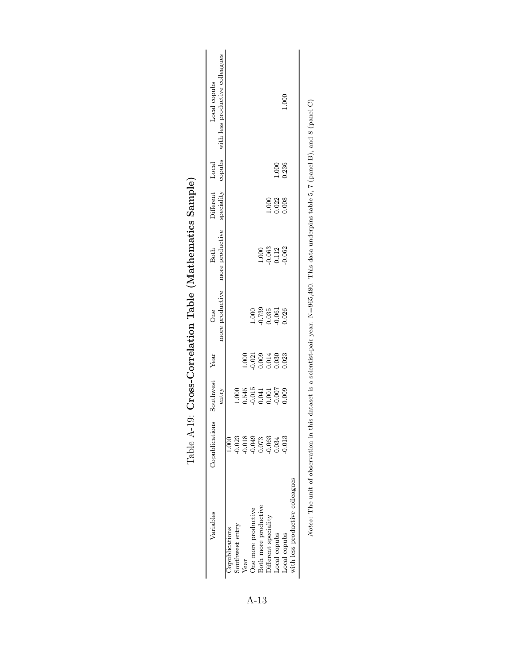| Variables                       | Copublications                                                                                | Southwest                                                                                  | Year                                                                                        | One                                                                      | <b>Both</b>                                                     | <b>Different</b>                                       | Local<br>copubs       | Local copubs                    |
|---------------------------------|-----------------------------------------------------------------------------------------------|--------------------------------------------------------------------------------------------|---------------------------------------------------------------------------------------------|--------------------------------------------------------------------------|-----------------------------------------------------------------|--------------------------------------------------------|-----------------------|---------------------------------|
|                                 |                                                                                               | entry                                                                                      |                                                                                             | more productive                                                          | more productive                                                 | speciality                                             |                       | with less productive colleagues |
| Copublications                  | 1.000                                                                                         |                                                                                            |                                                                                             |                                                                          |                                                                 |                                                        |                       |                                 |
| Southwest entry                 |                                                                                               |                                                                                            |                                                                                             |                                                                          |                                                                 |                                                        |                       |                                 |
| Year                            | $\begin{array}{c} 0.023 \\ 0.018 \\ 0.049 \\ 0.073 \\ 0.063 \\ 0.034 \\ 0.034 \\ \end{array}$ | $\begin{array}{c} 1.000 \\ 0.545 \\ 0.015 \\ 0.041 \\ 0.001 \\ 0.007 \\ 0.007 \end{array}$ |                                                                                             |                                                                          |                                                                 |                                                        |                       |                                 |
| One more productive             |                                                                                               |                                                                                            | $\begin{array}{c} 1.000 \\ -0.021 \\ 0.009 \\ 0.014 \\ 0.030 \\ 0.030 \\ 0.033 \end{array}$ |                                                                          |                                                                 |                                                        |                       |                                 |
| Both more productive            |                                                                                               |                                                                                            |                                                                                             |                                                                          |                                                                 |                                                        |                       |                                 |
| $\Delta$ ifferent speciality    |                                                                                               |                                                                                            |                                                                                             | $\begin{array}{c} 1.000 \\ 0.739 \\ 0.035 \\ 0.061 \\ 0.001 \end{array}$ | $\begin{array}{c} 1.000 \\ 0.063 \\ 0.112 \\ 0.062 \end{array}$ |                                                        |                       |                                 |
| Local copubs                    |                                                                                               |                                                                                            |                                                                                             |                                                                          |                                                                 | $\begin{array}{c} 1.000 \\ 0.022 \\ 0.008 \end{array}$ |                       |                                 |
| Local copubs                    |                                                                                               |                                                                                            |                                                                                             |                                                                          |                                                                 |                                                        | $\frac{1.000}{0.236}$ | 1.000                           |
| with less productive colleagues |                                                                                               |                                                                                            |                                                                                             |                                                                          |                                                                 |                                                        |                       |                                 |
|                                 |                                                                                               |                                                                                            |                                                                                             |                                                                          |                                                                 |                                                        |                       |                                 |

| $\sim$<br>I<br>ζ<br>こくこく<br>ً<br>ا<br>ı                                    |
|----------------------------------------------------------------------------|
| $\frac{1}{2}$<br>$\frac{1}{2}$<br>'<br>                                    |
| ı<br>֖֖֖֧֧֧֧֧֧֚֚֚֚֚֚֚֚֚֚֚֚֚֚֚֚֚֚֚֚֚֚֚֚֚֚֚֚֬֝֓֝֓֝֓֝֬֝֓<br>$\mathbf{r}$<br>้ |
| Ì                                                                          |
| l<br>j<br>-<br>E                                                           |

Notes: The unit of observation in this dataset is a scientist-pair year. N=965,480. This data underpins table 5, 7 (panel B), and 8 (panel C) Notes: The unit of observation in this dataset is a scientist-pair year. N=965,480. This data underpins table 5, 7 (panel B), and 8 (panel C)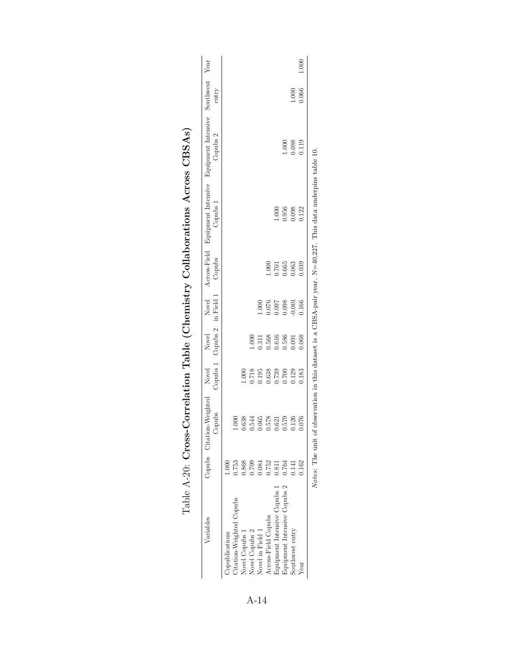| Variables                          |       | Copubs Citation-Weighted<br>Copubs | Novel | Novel | Novel    | Copubs 1 Copubs 2 in Field 1 Copubs | Copubs 1 | Across-Field Equipment Intensive Equipment Intensive Southwest<br>Copubs <sub>2</sub> | $entry$                                       | Year  |
|------------------------------------|-------|------------------------------------|-------|-------|----------|-------------------------------------|----------|---------------------------------------------------------------------------------------|-----------------------------------------------|-------|
|                                    |       |                                    |       |       |          |                                     |          |                                                                                       |                                               |       |
| Copublications                     |       |                                    |       |       |          |                                     |          |                                                                                       |                                               |       |
| <b>Copulation-Weighted Copulos</b> | 0.753 | 1.000                              |       |       |          |                                     |          |                                                                                       |                                               |       |
| Novel Copubs 1                     | 0.868 | .638                               | 1.000 |       |          |                                     |          |                                                                                       |                                               |       |
|                                    | 0.709 | :544                               | 0.718 | 00    |          |                                     |          |                                                                                       |                                               |       |
| Novel Copubs 2<br>Novel in Field 1 | 1.084 | 0.065                              | 0.195 | 1.311 | 000      |                                     |          |                                                                                       |                                               |       |
| Across-Field Copubs                | 0.752 | 1578                               | 0.638 | 0.568 | 0.076    | 000                                 |          |                                                                                       |                                               |       |
| Equipment Intensive Copubs 1       | 0.811 | 1.621                              | 0.739 | 0.616 | 0.097    | 0.701                               | 000      |                                                                                       |                                               |       |
| Equipment Intensive Copubs 2       | 0.764 | .579                               | 0.700 | 0.586 | 0.098    | 0.665                               | 0.956    | 1.000                                                                                 |                                               |       |
| Southwest entry                    | 141   | 0.126                              | 0.129 | 0.091 | $-0.001$ | 0.063                               | 0.098    | 0.088                                                                                 |                                               |       |
| Year                               | 1.162 | 1.076                              | 0.183 | 0.068 | 0.166    | 0.039                               | 0.122    | 0.119                                                                                 | $\begin{array}{c} 1.000 \\ 0.066 \end{array}$ | 1.000 |

| $\begin{smallmatrix} 2 \ 3 \ 2 \end{smallmatrix}$<br>$\frac{1}{\sqrt{2}}$<br>)<br>) |
|-------------------------------------------------------------------------------------|
| )<br> <br>!<br>.<br>המחיר הייתה ה                                                   |
| '<br>$\overline{\phantom{a}}$<br>i<br>Ì                                             |
| :<br>י<br>Ī                                                                         |
| į<br>י<br>                                                                          |
| $\frac{1}{4}$<br>$\overline{\phantom{a}}$<br>Ò                                      |
| ŗ.<br>ζ                                                                             |
| ı<br>-<br> <br>                                                                     |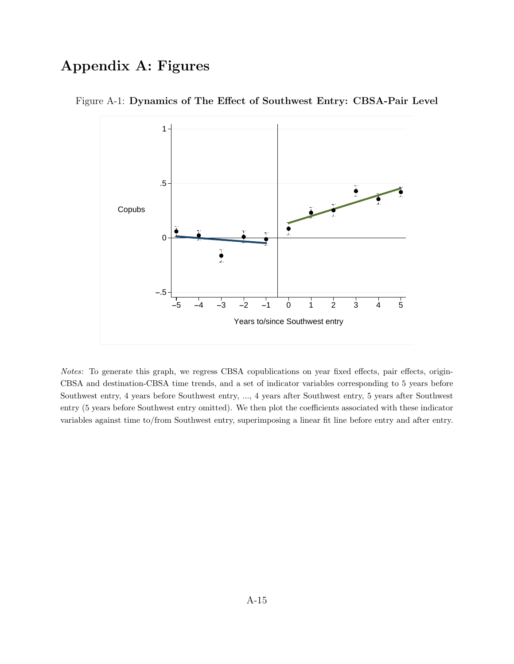### Appendix A: Figures



Figure A-1: Dynamics of The Effect of Southwest Entry: CBSA-Pair Level

Notes: To generate this graph, we regress CBSA copublications on year fixed effects, pair effects, origin-CBSA and destination-CBSA time trends, and a set of indicator variables corresponding to 5 years before Southwest entry, 4 years before Southwest entry, ..., 4 years after Southwest entry, 5 years after Southwest entry (5 years before Southwest entry omitted). We then plot the coefficients associated with these indicator variables against time to/from Southwest entry, superimposing a linear fit line before entry and after entry.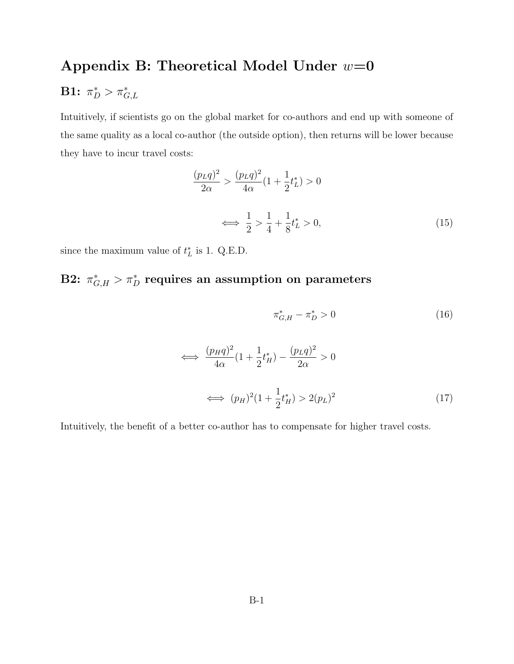### Appendix B: Theoretical Model Under  $w=0$

## **B1:**  $\pi_D^* > \pi_{G,L}^*$

Intuitively, if scientists go on the global market for co-authors and end up with someone of the same quality as a local co-author (the outside option), then returns will be lower because they have to incur travel costs:

$$
\frac{(p_L q)^2}{2\alpha} > \frac{(p_L q)^2}{4\alpha} (1 + \frac{1}{2} t_L^*) > 0
$$
\n
$$
\iff \frac{1}{2} > \frac{1}{4} + \frac{1}{8} t_L^* > 0,\tag{15}
$$

since the maximum value of  $t_L^*$  is 1. Q.E.D.

## B2:  $\pi_{G,H}^* > \pi_D^*$  requires an assumption on parameters

$$
\pi_{G,H}^* - \pi_D^* > 0 \tag{16}
$$

$$
\iff \frac{(p_H q)^2}{4\alpha} (1 + \frac{1}{2} t_H^*) - \frac{(p_L q)^2}{2\alpha} > 0
$$
\n
$$
\iff (p_H)^2 (1 + \frac{1}{2} t_H^*) > 2(p_L)^2 \tag{17}
$$

Intuitively, the benefit of a better co-author has to compensate for higher travel costs.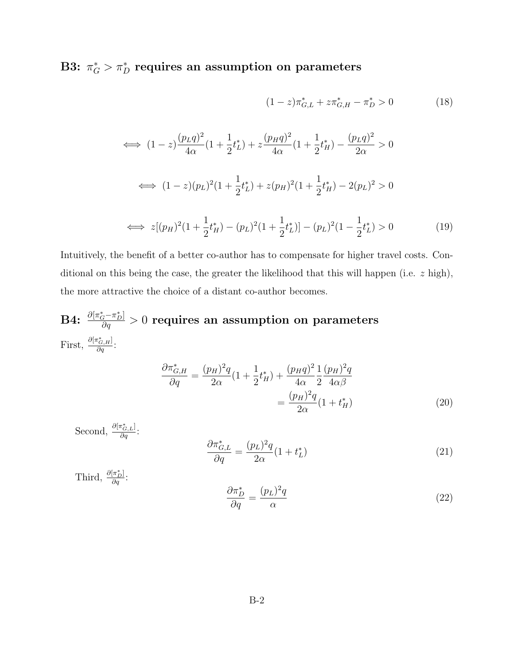## B3:  $\pi_G^* > \pi_D^*$  requires an assumption on parameters

$$
(1-z)\pi_{G,L}^* + z\pi_{G,H}^* - \pi_D^* > 0 \tag{18}
$$

$$
\iff (1-z)\frac{(p_Lq)^2}{4\alpha}(1+\frac{1}{2}t_L^*) + z\frac{(p_Hq)^2}{4\alpha}(1+\frac{1}{2}t_H^*) - \frac{(p_Lq)^2}{2\alpha} > 0
$$
\n
$$
\iff (1-z)(p_L)^2(1+\frac{1}{2}t_L^*) + z(p_H)^2(1+\frac{1}{2}t_H^*) - 2(p_L)^2 > 0
$$
\n
$$
\iff z[(p_H)^2(1+\frac{1}{2}t_H^*) - (p_L)^2(1+\frac{1}{2}t_L^*)] - (p_L)^2(1-\frac{1}{2}t_L^*) > 0
$$
\n(19)

Intuitively, the benefit of a better co-author has to compensate for higher travel costs. Conditional on this being the case, the greater the likelihood that this will happen (i.e. z high), the more attractive the choice of a distant co-author becomes.

B4: 
$$
\frac{\partial [\pi_G^* - \pi_D^*]}{\partial q} > 0
$$
 requires an assumption on parameters First,  $\frac{\partial [\pi_{G,H}^*]}{\partial q}$ :

$$
\frac{\partial \pi_{G,H}^*}{\partial q} = \frac{(p_H)^2 q}{2\alpha} (1 + \frac{1}{2} t_H^*) + \frac{(p_H q)^2}{4\alpha} \frac{1}{2} \frac{(p_H)^2 q}{4\alpha \beta} \n= \frac{(p_H)^2 q}{2\alpha} (1 + t_H^*)
$$
\n(20)

Second,  $\frac{\partial [\pi_{G,L}^*]}{\partial q}$ :  $\frac{\partial \pi_{G,L}^*}{\partial q} =$  $(p_L)^2 q$  $2\alpha$  $(1 + t_L^*)$ ) (21) Third,  $\frac{\partial [\pi_D^*]}{\partial q}$ : 2

$$
\frac{\partial \pi_D^*}{\partial q} = \frac{(p_L)^2 q}{\alpha} \tag{22}
$$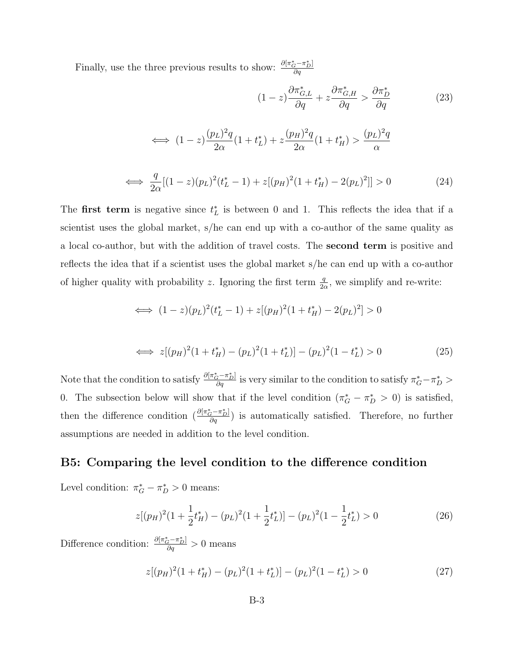Finally, use the three previous results to show:  $\frac{\partial [\pi_{G}^{*} - \pi_{D}^{*}]}{\partial q}$ ∂q

$$
(1-z)\frac{\partial \pi_{G,L}^*}{\partial q} + z \frac{\partial \pi_{G,H}^*}{\partial q} > \frac{\partial \pi_D^*}{\partial q}
$$
 (23)

$$
\iff (1-z)\frac{(p_L)^2 q}{2\alpha}(1+t_L^*) + z\frac{(p_H)^2 q}{2\alpha}(1+t_H^*) > \frac{(p_L)^2 q}{\alpha}
$$
\n
$$
\iff \frac{q}{2\alpha}[(1-z)(p_L)^2(t_L^*-1) + z[(p_H)^2(1+t_H^*) - 2(p_L)^2]] > 0 \tag{24}
$$

The first term is negative since  $t_L^*$  is between 0 and 1. This reflects the idea that if a scientist uses the global market, s/he can end up with a co-author of the same quality as a local co-author, but with the addition of travel costs. The second term is positive and reflects the idea that if a scientist uses the global market s/he can end up with a co-author of higher quality with probability z. Ignoring the first term  $\frac{q}{2\alpha}$ , we simplify and re-write:

$$
\iff (1-z)(p_L)^2(t_L^* - 1) + z[(p_H)^2(1 + t_H^*) - 2(p_L)^2] > 0
$$
\n
$$
\iff z[(p_H)^2(1 + t_H^*) - (p_L)^2(1 + t_L^*)] - (p_L)^2(1 - t_L^*) > 0
$$
\n(25)

Note that the condition to satisfy  $\frac{\partial [\pi_{G}^{*} - \pi_{D}^{*}]}{\partial q}$  is very similar to the condition to satisfy  $\pi_{G}^{*} - \pi_{D}^{*}$ 0. The subsection below will show that if the level condition  $(\pi_G^* - \pi_D^* > 0)$  is satisfied, then the difference condition  $\left(\frac{\partial [\pi_G^* - \pi_D^*]}{\partial q}\right)$  is automatically satisfied. Therefore, no further assumptions are needed in addition to the level condition.

### B5: Comparing the level condition to the difference condition

Level condition:  $\pi_G^* - \pi_D^* > 0$  means:

$$
z[(p_H)^2(1+\frac{1}{2}t_H^*)-(p_L)^2(1+\frac{1}{2}t_L^*)]-(p_L)^2(1-\frac{1}{2}t_L^*)>0
$$
\n(26)

Difference condition:  $\frac{\partial [\pi_G^* - \pi_D^*]}{\partial q} > 0$  means

$$
z[(p_H)^2(1+t_H^*)-(p_L)^2(1+t_L^*)]-(p_L)^2(1-t_L^*)>0\tag{27}
$$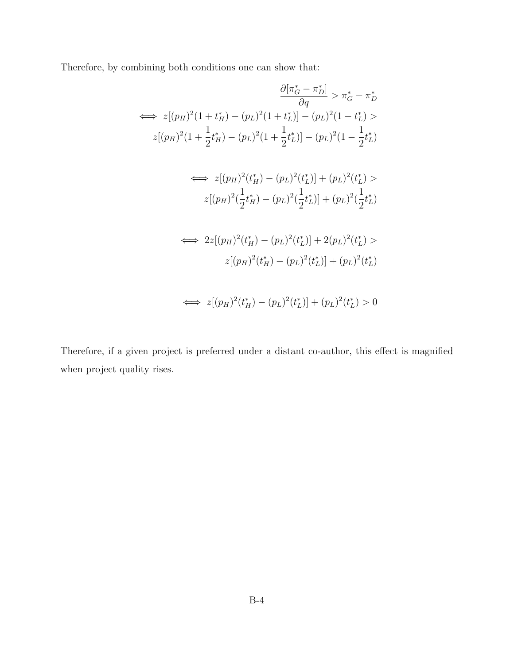Therefore, by combining both conditions one can show that:

$$
\frac{\partial[\pi_G^* - \pi_D^*]}{\partial q} > \pi_G^* - \pi_D^*
$$
\n
$$
\iff z[(p_H)^2(1 + t_H^*) - (p_L)^2(1 + t_L^*)] - (p_L)^2(1 - t_L^*) >
$$
\n
$$
z[(p_H)^2(1 + \frac{1}{2}t_H^*) - (p_L)^2(1 + \frac{1}{2}t_L^*)] - (p_L)^2(1 - \frac{1}{2}t_L^*)
$$
\n
$$
\iff z[(p_H)^2(t_H^*) - (p_L)^2(t_L^*)] + (p_L)^2(t_L^*) >
$$
\n
$$
z[(p_H)^2(\frac{1}{2}t_H^*) - (p_L)^2(\frac{1}{2}t_L^*)] + (p_L)^2(\frac{1}{2}t_L^*)
$$
\n
$$
\iff 2z[(p_H)^2(t_H^*) - (p_L)^2(t_L^*)] + 2(p_L)^2(t_L^*) >
$$
\n
$$
z[(p_H)^2(t_H^*) - (p_L)^2(t_L^*)] + (p_L)^2(t_L^*) >
$$
\n
$$
\iff z[(p_H)^2(t_H^*) - (p_L)^2(t_L^*)] + (p_L)^2(t_L^*) >
$$

Therefore, if a given project is preferred under a distant co-author, this effect is magnified when project quality rises.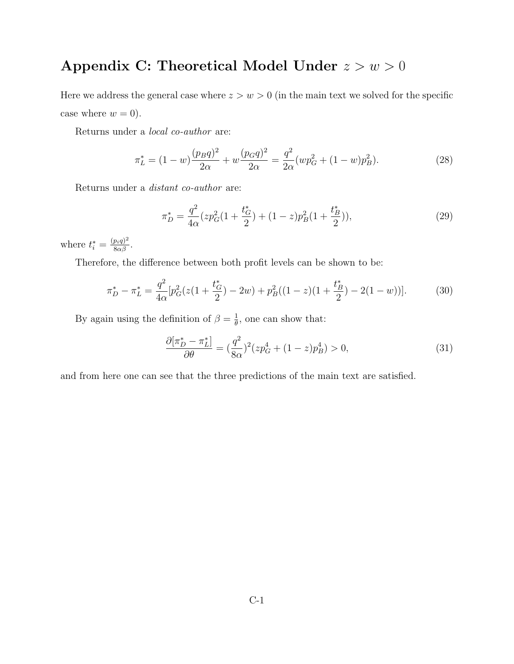### Appendix C: Theoretical Model Under  $z > w > 0$

Here we address the general case where  $z > w > 0$  (in the main text we solved for the specific case where  $w = 0$ ).

Returns under a local co-author are:

$$
\pi_L^* = (1 - w) \frac{(p_B q)^2}{2\alpha} + w \frac{(p_G q)^2}{2\alpha} = \frac{q^2}{2\alpha} (w p_G^2 + (1 - w) p_B^2).
$$
 (28)

Returns under a distant co-author are:

$$
\pi_D^* = \frac{q^2}{4\alpha} (z p_G^2 (1 + \frac{t_G^*}{2}) + (1 - z) p_B^2 (1 + \frac{t_B^*}{2})),\tag{29}
$$

where  $t_i^* = \frac{(p_i q)^2}{8\alpha\beta}$ .

Therefore, the difference between both profit levels can be shown to be:

$$
\pi_D^* - \pi_L^* = \frac{q^2}{4\alpha} [p_G^2(z(1 + \frac{t_G^*}{2}) - 2w) + p_B^2((1 - z)(1 + \frac{t_B^*}{2}) - 2(1 - w))].\tag{30}
$$

By again using the definition of  $\beta = \frac{1}{\theta}$  $\frac{1}{\theta}$ , one can show that:

$$
\frac{\partial[\pi_D^* - \pi_L^*]}{\partial \theta} = (\frac{q^2}{8\alpha})^2 (zp_G^4 + (1-z)p_B^4) > 0,
$$
\n(31)

and from here one can see that the three predictions of the main text are satisfied.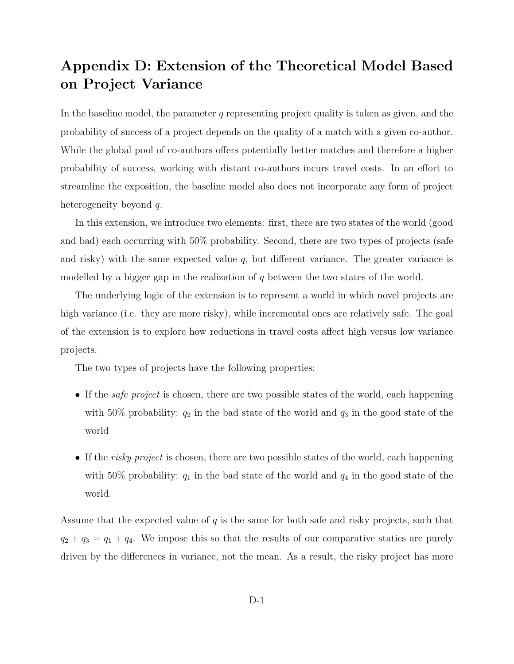# Appendix D: Extension of the Theoretical Model Based on Project Variance

In the baseline model, the parameter q representing project quality is taken as given, and the probability of success of a project depends on the quality of a match with a given co-author. While the global pool of co-authors offers potentially better matches and therefore a higher probability of success, working with distant co-authors incurs travel costs. In an effort to streamline the exposition, the baseline model also does not incorporate any form of project heterogeneity beyond q.

In this extension, we introduce two elements: first, there are two states of the world (good and bad) each occurring with 50% probability. Second, there are two types of projects (safe and risky) with the same expected value  $q$ , but different variance. The greater variance is modelled by a bigger gap in the realization of  $q$  between the two states of the world.

The underlying logic of the extension is to represent a world in which novel projects are high variance (i.e. they are more risky), while incremental ones are relatively safe. The goal of the extension is to explore how reductions in travel costs affect high versus low variance projects.

The two types of projects have the following properties:

- If the *safe project* is chosen, there are two possible states of the world, each happening with 50% probability:  $q_2$  in the bad state of the world and  $q_3$  in the good state of the world
- If the *risky project* is chosen, there are two possible states of the world, each happening with 50% probability:  $q_1$  in the bad state of the world and  $q_4$  in the good state of the world.

Assume that the expected value of  $q$  is the same for both safe and risky projects, such that  $q_2 + q_3 = q_1 + q_4$ . We impose this so that the results of our comparative statics are purely driven by the differences in variance, not the mean. As a result, the risky project has more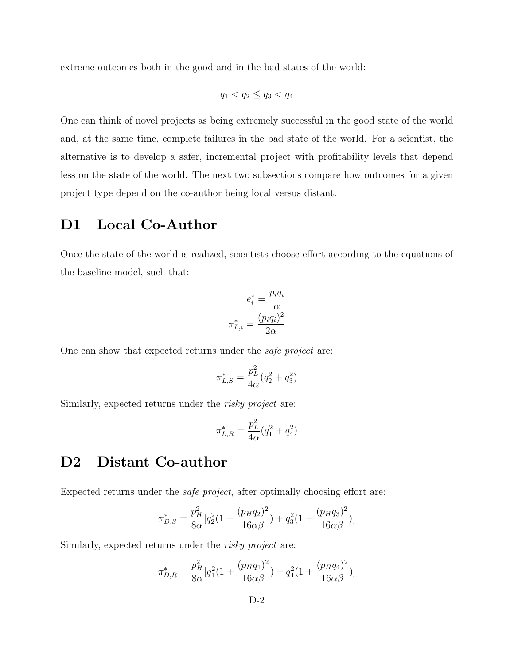extreme outcomes both in the good and in the bad states of the world:

$$
q_1 < q_2 \le q_3 < q_4
$$

One can think of novel projects as being extremely successful in the good state of the world and, at the same time, complete failures in the bad state of the world. For a scientist, the alternative is to develop a safer, incremental project with profitability levels that depend less on the state of the world. The next two subsections compare how outcomes for a given project type depend on the co-author being local versus distant.

#### D1 Local Co-Author

Once the state of the world is realized, scientists choose effort according to the equations of the baseline model, such that:

$$
e_i^* = \frac{p_i q_i}{\alpha}
$$

$$
\pi_{L,i}^* = \frac{(p_i q_i)^2}{2\alpha}
$$

One can show that expected returns under the safe project are:

$$
\pi_{L,S}^* = \frac{p_L^2}{4\alpha} (q_2^2 + q_3^2)
$$

Similarly, expected returns under the *risky project* are:

$$
\pi^*_{L,R} = \frac{p_L^2}{4\alpha}(q_1^2+q_4^2)
$$

#### D2 Distant Co-author

Expected returns under the safe project, after optimally choosing effort are:

$$
\pi_{D,S}^* = \frac{p_H^2}{8\alpha} \left[ q_2^2 \left( 1 + \frac{(p_H q_2)^2}{16\alpha \beta} \right) + q_3^2 \left( 1 + \frac{(p_H q_3)^2}{16\alpha \beta} \right) \right]
$$

Similarly, expected returns under the *risky project* are:

$$
\pi^*_{D,R} = \frac{p_H^2}{8\alpha} [q_1^2 \left(1 + \frac{(p_H q_1)^2}{16\alpha\beta}\right) + q_4^2 \left(1 + \frac{(p_H q_4)^2}{16\alpha\beta}\right)]
$$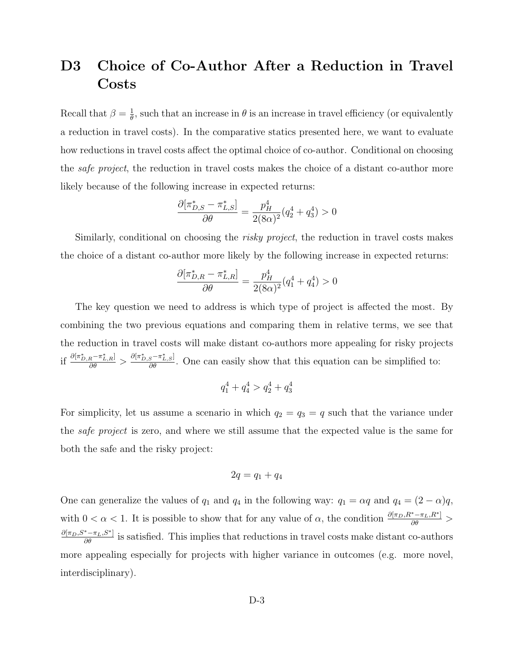# D3 Choice of Co-Author After a Reduction in Travel Costs

Recall that  $\beta = \frac{1}{\theta}$  $\frac{1}{\theta}$ , such that an increase in  $\theta$  is an increase in travel efficiency (or equivalently a reduction in travel costs). In the comparative statics presented here, we want to evaluate how reductions in travel costs affect the optimal choice of co-author. Conditional on choosing the *safe project*, the reduction in travel costs makes the choice of a distant co-author more likely because of the following increase in expected returns:

$$
\frac{\partial [\pi_{D,S}^* - \pi_{L,S}^*]}{\partial \theta} = \frac{p_H^4}{2(8\alpha)^2} (q_2^4 + q_3^4) > 0
$$

Similarly, conditional on choosing the *risky project*, the reduction in travel costs makes the choice of a distant co-author more likely by the following increase in expected returns:

$$
\frac{\partial[\pi^*_{D,R} - \pi^*_{L,R}]}{\partial \theta} = \frac{p_H^4}{2(8\alpha)^2} (q_1^4 + q_4^4) > 0
$$

The key question we need to address is which type of project is affected the most. By combining the two previous equations and comparing them in relative terms, we see that the reduction in travel costs will make distant co-authors more appealing for risky projects if  $\frac{\partial [\pi_{D,R}^*-\pi_{L,R}^*]}{\partial \theta} > \frac{\partial [\pi_{D,S}^*-\pi_{L,S}^*]}{\partial \theta}$ . One can easily show that this equation can be simplified to:

$$
q_1^4+q_4^4>q_2^4+q_3^4\\
$$

For simplicity, let us assume a scenario in which  $q_2 = q_3 = q$  such that the variance under the safe project is zero, and where we still assume that the expected value is the same for both the safe and the risky project:

$$
2q = q_1 + q_4
$$

One can generalize the values of  $q_1$  and  $q_4$  in the following way:  $q_1 = \alpha q$  and  $q_4 = (2 - \alpha)q$ , with  $0 < \alpha < 1$ . It is possible to show that for any value of  $\alpha$ , the condition  $\frac{\partial [\pi_D, R^* - \pi_L, R^*]}{\partial \theta} >$  $\frac{\partial [\pi_D, S^*-\pi_L, S^*]}{\partial \theta}$  is satisfied. This implies that reductions in travel costs make distant co-authors more appealing especially for projects with higher variance in outcomes (e.g. more novel, interdisciplinary).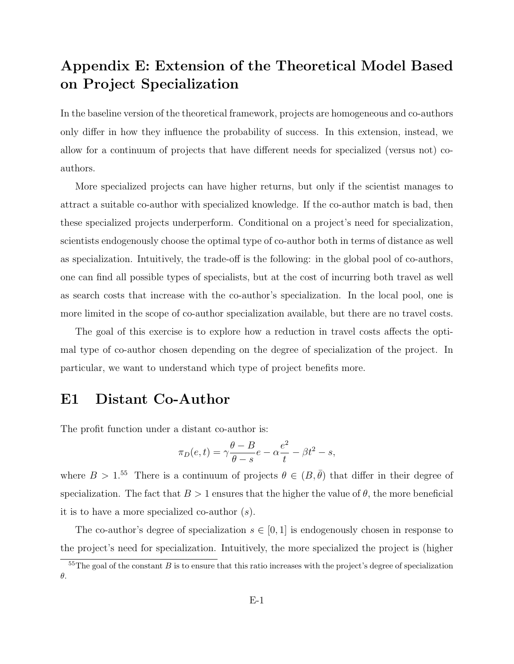# Appendix E: Extension of the Theoretical Model Based on Project Specialization

In the baseline version of the theoretical framework, projects are homogeneous and co-authors only differ in how they influence the probability of success. In this extension, instead, we allow for a continuum of projects that have different needs for specialized (versus not) coauthors.

More specialized projects can have higher returns, but only if the scientist manages to attract a suitable co-author with specialized knowledge. If the co-author match is bad, then these specialized projects underperform. Conditional on a project's need for specialization, scientists endogenously choose the optimal type of co-author both in terms of distance as well as specialization. Intuitively, the trade-off is the following: in the global pool of co-authors, one can find all possible types of specialists, but at the cost of incurring both travel as well as search costs that increase with the co-author's specialization. In the local pool, one is more limited in the scope of co-author specialization available, but there are no travel costs.

The goal of this exercise is to explore how a reduction in travel costs affects the optimal type of co-author chosen depending on the degree of specialization of the project. In particular, we want to understand which type of project benefits more.

### E1 Distant Co-Author

The profit function under a distant co-author is:

$$
\pi_D(e,t) = \gamma \frac{\theta - B}{\theta - s} e - \alpha \frac{e^2}{t} - \beta t^2 - s,
$$

where  $B > 1^{55}$  There is a continuum of projects  $\theta \in (B, \bar{\theta})$  that differ in their degree of specialization. The fact that  $B > 1$  ensures that the higher the value of  $\theta$ , the more beneficial it is to have a more specialized co-author  $(s)$ .

The co-author's degree of specialization  $s \in [0,1]$  is endogenously chosen in response to the project's need for specialization. Intuitively, the more specialized the project is (higher

 $55$ The goal of the constant B is to ensure that this ratio increases with the project's degree of specialization θ.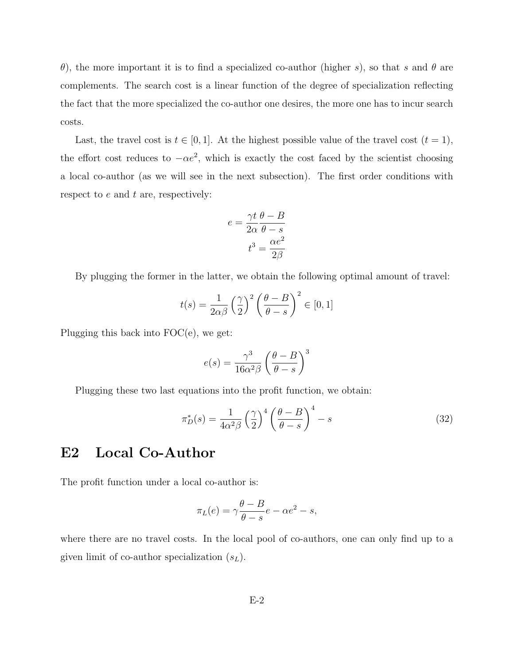θ), the more important it is to find a specialized co-author (higher s), so that s and θ are complements. The search cost is a linear function of the degree of specialization reflecting the fact that the more specialized the co-author one desires, the more one has to incur search costs.

Last, the travel cost is  $t \in [0, 1]$ . At the highest possible value of the travel cost  $(t = 1)$ , the effort cost reduces to  $-\alpha e^2$ , which is exactly the cost faced by the scientist choosing a local co-author (as we will see in the next subsection). The first order conditions with respect to  $e$  and  $t$  are, respectively:

$$
e = \frac{\gamma t}{2\alpha} \frac{\theta - B}{\theta - s}
$$

$$
t^3 = \frac{\alpha e^2}{2\beta}
$$

By plugging the former in the latter, we obtain the following optimal amount of travel:

$$
t(s) = \frac{1}{2\alpha\beta} \left(\frac{\gamma}{2}\right)^2 \left(\frac{\theta - B}{\theta - s}\right)^2 \in [0, 1]
$$

Plugging this back into FOC(e), we get:

$$
e(s) = \frac{\gamma^3}{16\alpha^2 \beta} \left(\frac{\theta - B}{\theta - s}\right)^3
$$

Plugging these two last equations into the profit function, we obtain:

$$
\pi_D^*(s) = \frac{1}{4\alpha^2 \beta} \left(\frac{\gamma}{2}\right)^4 \left(\frac{\theta - B}{\theta - s}\right)^4 - s \tag{32}
$$

#### E2 Local Co-Author

The profit function under a local co-author is:

$$
\pi_L(e) = \gamma \frac{\theta - B}{\theta - s} e - \alpha e^2 - s,
$$

where there are no travel costs. In the local pool of co-authors, one can only find up to a given limit of co-author specialization  $(s_L)$ .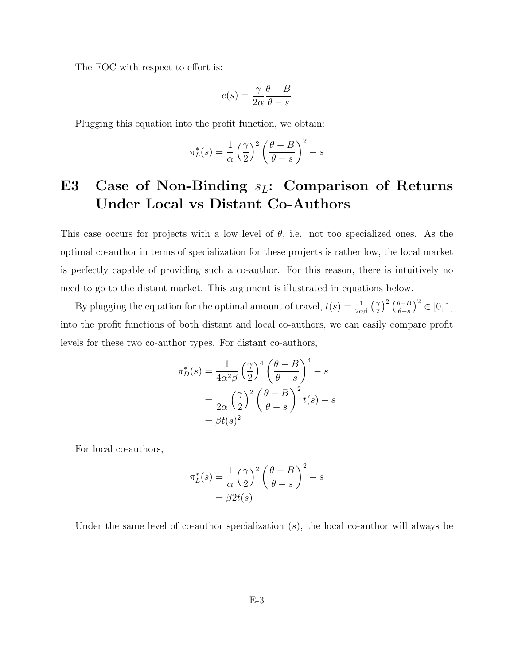The FOC with respect to effort is:

$$
e(s) = \frac{\gamma}{2\alpha} \frac{\theta - B}{\theta - s}
$$

Plugging this equation into the profit function, we obtain:

$$
\pi_L^*(s) = \frac{1}{\alpha} \left(\frac{\gamma}{2}\right)^2 \left(\frac{\theta - B}{\theta - s}\right)^2 - s
$$

## E3 Case of Non-Binding  $s_L$ : Comparison of Returns Under Local vs Distant Co-Authors

This case occurs for projects with a low level of  $\theta$ , i.e. not too specialized ones. As the optimal co-author in terms of specialization for these projects is rather low, the local market is perfectly capable of providing such a co-author. For this reason, there is intuitively no need to go to the distant market. This argument is illustrated in equations below.

By plugging the equation for the optimal amount of travel,  $t(s) = \frac{1}{2\alpha\beta} \left(\frac{\gamma}{2}\right)$  $\left(\frac{\gamma}{2}\right)^2\left(\frac{\theta-B}{\theta-s}\right)$  $\left(\frac{\theta-B}{\theta-s}\right)^2 \in [0,1]$ into the profit functions of both distant and local co-authors, we can easily compare profit levels for these two co-author types. For distant co-authors,

$$
\pi_D^*(s) = \frac{1}{4\alpha^2 \beta} \left(\frac{\gamma}{2}\right)^4 \left(\frac{\theta - B}{\theta - s}\right)^4 - s
$$

$$
= \frac{1}{2\alpha} \left(\frac{\gamma}{2}\right)^2 \left(\frac{\theta - B}{\theta - s}\right)^2 t(s) - s
$$

$$
= \beta t(s)^2
$$

For local co-authors,

$$
\pi_L^*(s) = \frac{1}{\alpha} \left(\frac{\gamma}{2}\right)^2 \left(\frac{\theta - B}{\theta - s}\right)^2 - s
$$

$$
= \beta 2t(s)
$$

Under the same level of co-author specialization  $(s)$ , the local co-author will always be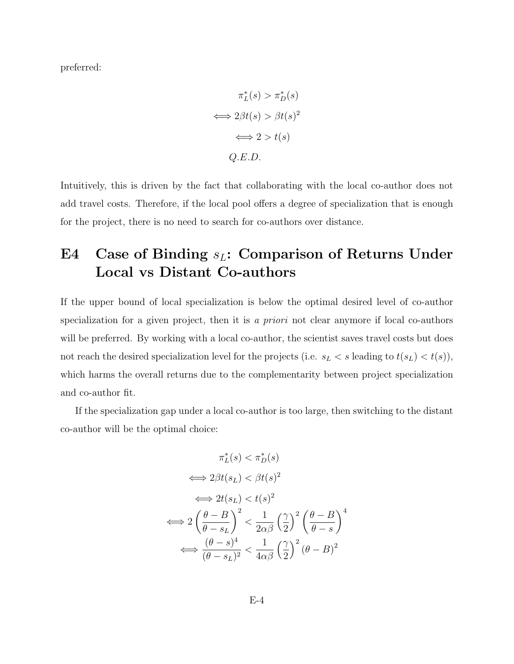preferred:

$$
\pi_L^*(s) > \pi_D^*(s)
$$
  

$$
\iff 2\beta t(s) > \beta t(s)^2
$$
  

$$
\iff 2 > t(s)
$$
  

$$
Q.E.D.
$$

Intuitively, this is driven by the fact that collaborating with the local co-author does not add travel costs. Therefore, if the local pool offers a degree of specialization that is enough for the project, there is no need to search for co-authors over distance.

## E4 Case of Binding  $s_L$ : Comparison of Returns Under Local vs Distant Co-authors

If the upper bound of local specialization is below the optimal desired level of co-author specialization for a given project, then it is a priori not clear anymore if local co-authors will be preferred. By working with a local co-author, the scientist saves travel costs but does not reach the desired specialization level for the projects (i.e.  $s_L < s$  leading to  $t(s_L) < t(s)$ ), which harms the overall returns due to the complementarity between project specialization and co-author fit.

If the specialization gap under a local co-author is too large, then switching to the distant co-author will be the optimal choice:

$$
\pi_L^*(s) < \pi_D^*(s)
$$
\n
$$
\iff 2\beta t(s_L) < \beta t(s)^2
$$
\n
$$
\iff 2t(s_L) < t(s)^2
$$
\n
$$
\iff 2\left(\frac{\theta - B}{\theta - s_L}\right)^2 < \frac{1}{2\alpha\beta} \left(\frac{\gamma}{2}\right)^2 \left(\frac{\theta - B}{\theta - s}\right)^4
$$
\n
$$
\iff \frac{(\theta - s)^4}{(\theta - s_L)^2} < \frac{1}{4\alpha\beta} \left(\frac{\gamma}{2}\right)^2 (\theta - B)^2
$$